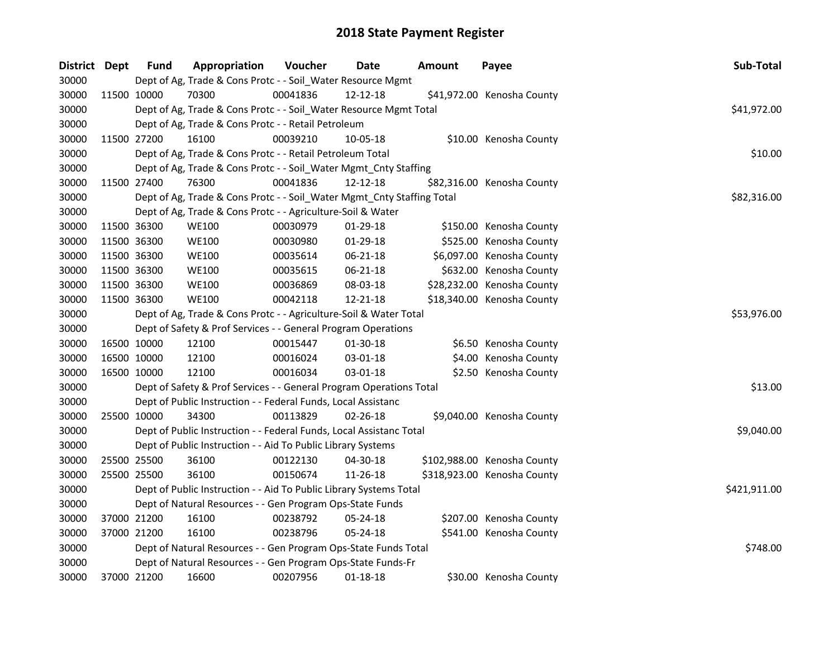| District Dept |             | <b>Fund</b> | Appropriation                                                          | Voucher     | Date           | <b>Amount</b> | Payee                       | Sub-Total    |
|---------------|-------------|-------------|------------------------------------------------------------------------|-------------|----------------|---------------|-----------------------------|--------------|
| 30000         |             |             | Dept of Ag, Trade & Cons Protc - - Soil_Water Resource Mgmt            |             |                |               |                             |              |
| 30000         |             | 11500 10000 | 70300                                                                  | 00041836    | 12-12-18       |               | \$41,972.00 Kenosha County  |              |
| 30000         |             |             | Dept of Ag, Trade & Cons Protc - - Soil_Water Resource Mgmt Total      |             |                |               |                             | \$41,972.00  |
| 30000         |             |             | Dept of Ag, Trade & Cons Protc - - Retail Petroleum                    |             |                |               |                             |              |
| 30000         |             | 11500 27200 | 16100                                                                  | 00039210    | 10-05-18       |               | \$10.00 Kenosha County      |              |
| 30000         |             |             | Dept of Ag, Trade & Cons Protc - - Retail Petroleum Total              |             |                |               |                             | \$10.00      |
| 30000         |             |             | Dept of Ag, Trade & Cons Protc - - Soil_Water Mgmt_Cnty Staffing       |             |                |               |                             |              |
| 30000         |             | 11500 27400 | 76300                                                                  | 00041836    | 12-12-18       |               | \$82,316.00 Kenosha County  |              |
| 30000         |             |             | Dept of Ag, Trade & Cons Protc - - Soil_Water Mgmt_Cnty Staffing Total |             |                |               |                             | \$82,316.00  |
| 30000         |             |             | Dept of Ag, Trade & Cons Protc - - Agriculture-Soil & Water            |             |                |               |                             |              |
| 30000         |             | 11500 36300 | <b>WE100</b>                                                           | 00030979    | 01-29-18       |               | \$150.00 Kenosha County     |              |
| 30000         |             | 11500 36300 | <b>WE100</b>                                                           | 00030980    | 01-29-18       |               | \$525.00 Kenosha County     |              |
| 30000         |             | 11500 36300 | <b>WE100</b>                                                           | 00035614    | 06-21-18       |               | \$6,097.00 Kenosha County   |              |
| 30000         |             | 11500 36300 | <b>WE100</b>                                                           | 00035615    | 06-21-18       |               | \$632.00 Kenosha County     |              |
| 30000         |             | 11500 36300 | <b>WE100</b>                                                           | 00036869    | 08-03-18       |               | \$28,232.00 Kenosha County  |              |
| 30000         |             | 11500 36300 | <b>WE100</b>                                                           | 00042118    | 12-21-18       |               | \$18,340.00 Kenosha County  |              |
| 30000         |             |             | Dept of Ag, Trade & Cons Protc - - Agriculture-Soil & Water Total      | \$53,976.00 |                |               |                             |              |
| 30000         |             |             | Dept of Safety & Prof Services - - General Program Operations          |             |                |               |                             |              |
| 30000         |             | 16500 10000 | 12100                                                                  | 00015447    | 01-30-18       |               | \$6.50 Kenosha County       |              |
| 30000         |             | 16500 10000 | 12100                                                                  | 00016024    | 03-01-18       |               | \$4.00 Kenosha County       |              |
| 30000         |             | 16500 10000 | 12100                                                                  | 00016034    | 03-01-18       |               | \$2.50 Kenosha County       |              |
| 30000         |             |             | Dept of Safety & Prof Services - - General Program Operations Total    |             |                |               |                             | \$13.00      |
| 30000         |             |             | Dept of Public Instruction - - Federal Funds, Local Assistanc          |             |                |               |                             |              |
| 30000         | 25500 10000 |             | 34300                                                                  | 00113829    | $02 - 26 - 18$ |               | \$9,040.00 Kenosha County   |              |
| 30000         |             |             | Dept of Public Instruction - - Federal Funds, Local Assistanc Total    |             |                |               |                             | \$9,040.00   |
| 30000         |             |             | Dept of Public Instruction - - Aid To Public Library Systems           |             |                |               |                             |              |
| 30000         |             | 25500 25500 | 36100                                                                  | 00122130    | 04-30-18       |               | \$102,988.00 Kenosha County |              |
| 30000         | 25500 25500 |             | 36100                                                                  | 00150674    | 11-26-18       |               | \$318,923.00 Kenosha County |              |
| 30000         |             |             | Dept of Public Instruction - - Aid To Public Library Systems Total     |             |                |               |                             | \$421,911.00 |
| 30000         |             |             | Dept of Natural Resources - - Gen Program Ops-State Funds              |             |                |               |                             |              |
| 30000         |             | 37000 21200 | 16100                                                                  | 00238792    | 05-24-18       |               | \$207.00 Kenosha County     |              |
| 30000         |             | 37000 21200 | 16100                                                                  | 00238796    | 05-24-18       |               | \$541.00 Kenosha County     |              |
| 30000         |             |             | Dept of Natural Resources - - Gen Program Ops-State Funds Total        |             |                |               |                             | \$748.00     |
| 30000         |             |             | Dept of Natural Resources - - Gen Program Ops-State Funds-Fr           |             |                |               |                             |              |
| 30000         |             | 37000 21200 | 16600                                                                  | 00207956    | 01-18-18       |               | \$30.00 Kenosha County      |              |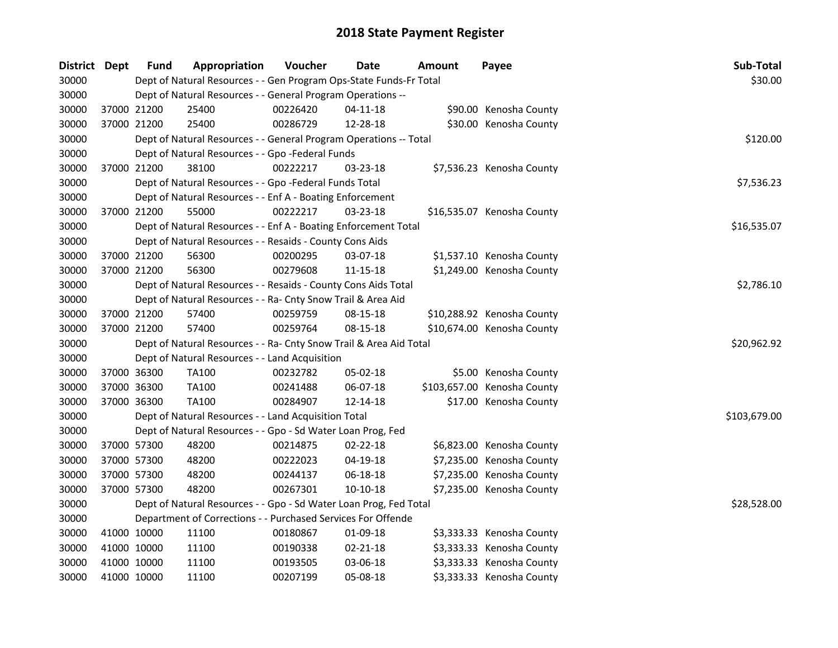| District | Dept        | Fund        | Appropriation                                                      | Voucher  | <b>Date</b>    | Amount | Payee                       | Sub-Total    |
|----------|-------------|-------------|--------------------------------------------------------------------|----------|----------------|--------|-----------------------------|--------------|
| 30000    |             |             | Dept of Natural Resources - - Gen Program Ops-State Funds-Fr Total |          |                |        |                             | \$30.00      |
| 30000    |             |             | Dept of Natural Resources - - General Program Operations --        |          |                |        |                             |              |
| 30000    |             | 37000 21200 | 25400                                                              | 00226420 | 04-11-18       |        | \$90.00 Kenosha County      |              |
| 30000    |             | 37000 21200 | 25400                                                              | 00286729 | 12-28-18       |        | \$30.00 Kenosha County      |              |
| 30000    |             |             | Dept of Natural Resources - - General Program Operations -- Total  |          |                |        |                             | \$120.00     |
| 30000    |             |             | Dept of Natural Resources - - Gpo -Federal Funds                   |          |                |        |                             |              |
| 30000    |             | 37000 21200 | 38100                                                              | 00222217 | 03-23-18       |        | \$7,536.23 Kenosha County   |              |
| 30000    |             |             | Dept of Natural Resources - - Gpo -Federal Funds Total             |          |                |        |                             | \$7,536.23   |
| 30000    |             |             | Dept of Natural Resources - - Enf A - Boating Enforcement          |          |                |        |                             |              |
| 30000    |             | 37000 21200 | 55000                                                              | 00222217 | $03 - 23 - 18$ |        | \$16,535.07 Kenosha County  |              |
| 30000    |             |             | Dept of Natural Resources - - Enf A - Boating Enforcement Total    |          |                |        |                             | \$16,535.07  |
| 30000    |             |             | Dept of Natural Resources - - Resaids - County Cons Aids           |          |                |        |                             |              |
| 30000    |             | 37000 21200 | 56300                                                              | 00200295 | 03-07-18       |        | \$1,537.10 Kenosha County   |              |
| 30000    |             | 37000 21200 | 56300                                                              | 00279608 | 11-15-18       |        | \$1,249.00 Kenosha County   |              |
| 30000    |             |             | Dept of Natural Resources - - Resaids - County Cons Aids Total     |          |                |        |                             | \$2,786.10   |
| 30000    |             |             | Dept of Natural Resources - - Ra- Cnty Snow Trail & Area Aid       |          |                |        |                             |              |
| 30000    | 37000 21200 |             | 57400                                                              | 00259759 | 08-15-18       |        | \$10,288.92 Kenosha County  |              |
| 30000    | 37000 21200 |             | 57400                                                              | 00259764 | 08-15-18       |        | \$10,674.00 Kenosha County  |              |
| 30000    |             |             | Dept of Natural Resources - - Ra- Cnty Snow Trail & Area Aid Total |          |                |        |                             | \$20,962.92  |
| 30000    |             |             | Dept of Natural Resources - - Land Acquisition                     |          |                |        |                             |              |
| 30000    |             | 37000 36300 | <b>TA100</b>                                                       | 00232782 | 05-02-18       |        | \$5.00 Kenosha County       |              |
| 30000    |             | 37000 36300 | TA100                                                              | 00241488 | 06-07-18       |        | \$103,657.00 Kenosha County |              |
| 30000    |             | 37000 36300 | <b>TA100</b>                                                       | 00284907 | 12-14-18       |        | \$17.00 Kenosha County      |              |
| 30000    |             |             | Dept of Natural Resources - - Land Acquisition Total               |          |                |        |                             | \$103,679.00 |
| 30000    |             |             | Dept of Natural Resources - - Gpo - Sd Water Loan Prog, Fed        |          |                |        |                             |              |
| 30000    |             | 37000 57300 | 48200                                                              | 00214875 | $02 - 22 - 18$ |        | \$6,823.00 Kenosha County   |              |
| 30000    |             | 37000 57300 | 48200                                                              | 00222023 | $04-19-18$     |        | \$7,235.00 Kenosha County   |              |
| 30000    |             | 37000 57300 | 48200                                                              | 00244137 | 06-18-18       |        | \$7,235.00 Kenosha County   |              |
| 30000    | 37000 57300 |             | 48200                                                              | 00267301 | 10-10-18       |        | \$7,235.00 Kenosha County   |              |
| 30000    |             |             | Dept of Natural Resources - - Gpo - Sd Water Loan Prog, Fed Total  |          |                |        |                             | \$28,528.00  |
| 30000    |             |             | Department of Corrections - - Purchased Services For Offende       |          |                |        |                             |              |
| 30000    |             | 41000 10000 | 11100                                                              | 00180867 | 01-09-18       |        | \$3,333.33 Kenosha County   |              |
| 30000    |             | 41000 10000 | 11100                                                              | 00190338 | $02 - 21 - 18$ |        | \$3,333.33 Kenosha County   |              |
| 30000    |             | 41000 10000 | 11100                                                              | 00193505 | 03-06-18       |        | \$3,333.33 Kenosha County   |              |
| 30000    |             | 41000 10000 | 11100                                                              | 00207199 | 05-08-18       |        | \$3,333.33 Kenosha County   |              |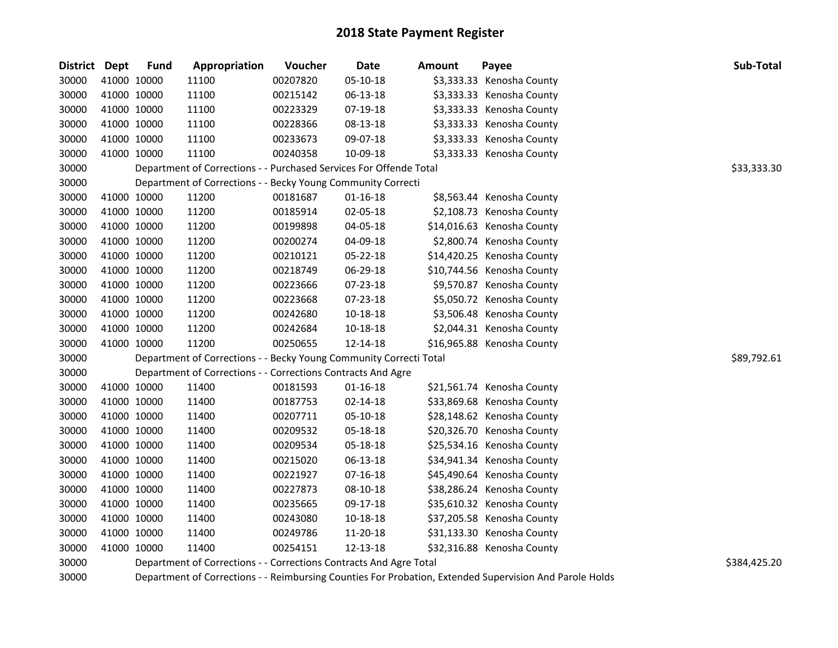| District Dept |             | <b>Fund</b> | Appropriation                                                      | Voucher  | Date           | Amount | Payee                                                                                                   | Sub-Total    |
|---------------|-------------|-------------|--------------------------------------------------------------------|----------|----------------|--------|---------------------------------------------------------------------------------------------------------|--------------|
| 30000         | 41000 10000 |             | 11100                                                              | 00207820 | 05-10-18       |        | \$3,333.33 Kenosha County                                                                               |              |
| 30000         | 41000 10000 |             | 11100                                                              | 00215142 | 06-13-18       |        | \$3,333.33 Kenosha County                                                                               |              |
| 30000         | 41000 10000 |             | 11100                                                              | 00223329 | 07-19-18       |        | \$3,333.33 Kenosha County                                                                               |              |
| 30000         | 41000 10000 |             | 11100                                                              | 00228366 | 08-13-18       |        | \$3,333.33 Kenosha County                                                                               |              |
| 30000         | 41000 10000 |             | 11100                                                              | 00233673 | 09-07-18       |        | \$3,333.33 Kenosha County                                                                               |              |
| 30000         | 41000 10000 |             | 11100                                                              | 00240358 | 10-09-18       |        | \$3,333.33 Kenosha County                                                                               |              |
| 30000         |             |             | Department of Corrections - - Purchased Services For Offende Total |          |                |        |                                                                                                         | \$33,333.30  |
| 30000         |             |             | Department of Corrections - - Becky Young Community Correcti       |          |                |        |                                                                                                         |              |
| 30000         | 41000 10000 |             | 11200                                                              | 00181687 | $01 - 16 - 18$ |        | \$8,563.44 Kenosha County                                                                               |              |
| 30000         | 41000 10000 |             | 11200                                                              | 00185914 | 02-05-18       |        | \$2,108.73 Kenosha County                                                                               |              |
| 30000         | 41000 10000 |             | 11200                                                              | 00199898 | 04-05-18       |        | \$14,016.63 Kenosha County                                                                              |              |
| 30000         | 41000 10000 |             | 11200                                                              | 00200274 | 04-09-18       |        | \$2,800.74 Kenosha County                                                                               |              |
| 30000         | 41000 10000 |             | 11200                                                              | 00210121 | 05-22-18       |        | \$14,420.25 Kenosha County                                                                              |              |
| 30000         | 41000 10000 |             | 11200                                                              | 00218749 | 06-29-18       |        | \$10,744.56 Kenosha County                                                                              |              |
| 30000         | 41000 10000 |             | 11200                                                              | 00223666 | 07-23-18       |        | \$9,570.87 Kenosha County                                                                               |              |
| 30000         | 41000 10000 |             | 11200                                                              | 00223668 | 07-23-18       |        | \$5,050.72 Kenosha County                                                                               |              |
| 30000         | 41000 10000 |             | 11200                                                              | 00242680 | 10-18-18       |        | \$3,506.48 Kenosha County                                                                               |              |
| 30000         | 41000 10000 |             | 11200                                                              | 00242684 | $10 - 18 - 18$ |        | \$2,044.31 Kenosha County                                                                               |              |
| 30000         | 41000 10000 |             | 11200                                                              | 00250655 | 12-14-18       |        | \$16,965.88 Kenosha County                                                                              |              |
| 30000         |             |             | Department of Corrections - - Becky Young Community Correcti Total |          |                |        |                                                                                                         | \$89,792.61  |
| 30000         |             |             | Department of Corrections - - Corrections Contracts And Agre       |          |                |        |                                                                                                         |              |
| 30000         | 41000 10000 |             | 11400                                                              | 00181593 | $01 - 16 - 18$ |        | \$21,561.74 Kenosha County                                                                              |              |
| 30000         | 41000 10000 |             | 11400                                                              | 00187753 | 02-14-18       |        | \$33,869.68 Kenosha County                                                                              |              |
| 30000         | 41000 10000 |             | 11400                                                              | 00207711 | 05-10-18       |        | \$28,148.62 Kenosha County                                                                              |              |
| 30000         | 41000 10000 |             | 11400                                                              | 00209532 | 05-18-18       |        | \$20,326.70 Kenosha County                                                                              |              |
| 30000         | 41000 10000 |             | 11400                                                              | 00209534 | 05-18-18       |        | \$25,534.16 Kenosha County                                                                              |              |
| 30000         | 41000 10000 |             | 11400                                                              | 00215020 | 06-13-18       |        | \$34,941.34 Kenosha County                                                                              |              |
| 30000         | 41000 10000 |             | 11400                                                              | 00221927 | 07-16-18       |        | \$45,490.64 Kenosha County                                                                              |              |
| 30000         | 41000 10000 |             | 11400                                                              | 00227873 | 08-10-18       |        | \$38,286.24 Kenosha County                                                                              |              |
| 30000         | 41000 10000 |             | 11400                                                              | 00235665 | 09-17-18       |        | \$35,610.32 Kenosha County                                                                              |              |
| 30000         | 41000 10000 |             | 11400                                                              | 00243080 | 10-18-18       |        | \$37,205.58 Kenosha County                                                                              |              |
| 30000         | 41000 10000 |             | 11400                                                              | 00249786 | 11-20-18       |        | \$31,133.30 Kenosha County                                                                              |              |
| 30000         | 41000 10000 |             | 11400                                                              | 00254151 | 12-13-18       |        | \$32,316.88 Kenosha County                                                                              |              |
| 30000         |             |             | Department of Corrections - - Corrections Contracts And Agre Total |          |                |        |                                                                                                         | \$384,425.20 |
| 30000         |             |             |                                                                    |          |                |        | Department of Corrections - - Reimbursing Counties For Probation, Extended Supervision And Parole Holds |              |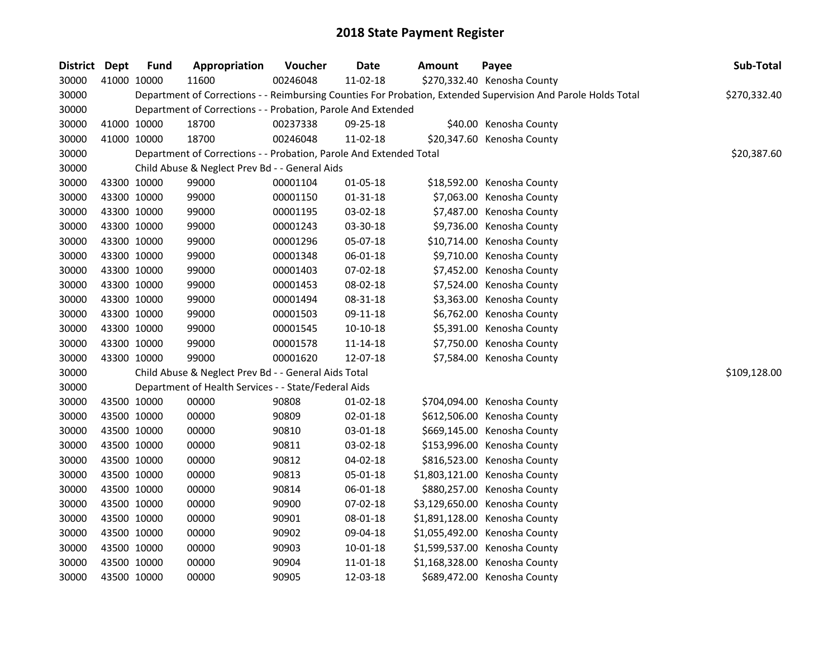| District Dept |             | <b>Fund</b> | Appropriation                                                      | Voucher  | Date           | Amount | Payee                                                                                                         | Sub-Total    |
|---------------|-------------|-------------|--------------------------------------------------------------------|----------|----------------|--------|---------------------------------------------------------------------------------------------------------------|--------------|
| 30000         | 41000 10000 |             | 11600                                                              | 00246048 | 11-02-18       |        | \$270,332.40 Kenosha County                                                                                   |              |
| 30000         |             |             |                                                                    |          |                |        | Department of Corrections - - Reimbursing Counties For Probation, Extended Supervision And Parole Holds Total | \$270,332.40 |
| 30000         |             |             | Department of Corrections - - Probation, Parole And Extended       |          |                |        |                                                                                                               |              |
| 30000         | 41000 10000 |             | 18700                                                              | 00237338 | 09-25-18       |        | \$40.00 Kenosha County                                                                                        |              |
| 30000         | 41000 10000 |             | 18700                                                              | 00246048 | 11-02-18       |        | \$20,347.60 Kenosha County                                                                                    |              |
| 30000         |             |             | Department of Corrections - - Probation, Parole And Extended Total |          |                |        |                                                                                                               | \$20,387.60  |
| 30000         |             |             | Child Abuse & Neglect Prev Bd - - General Aids                     |          |                |        |                                                                                                               |              |
| 30000         | 43300 10000 |             | 99000                                                              | 00001104 | 01-05-18       |        | \$18,592.00 Kenosha County                                                                                    |              |
| 30000         | 43300 10000 |             | 99000                                                              | 00001150 | $01 - 31 - 18$ |        | \$7,063.00 Kenosha County                                                                                     |              |
| 30000         | 43300 10000 |             | 99000                                                              | 00001195 | 03-02-18       |        | \$7,487.00 Kenosha County                                                                                     |              |
| 30000         | 43300 10000 |             | 99000                                                              | 00001243 | 03-30-18       |        | \$9,736.00 Kenosha County                                                                                     |              |
| 30000         | 43300 10000 |             | 99000                                                              | 00001296 | 05-07-18       |        | \$10,714.00 Kenosha County                                                                                    |              |
| 30000         | 43300 10000 |             | 99000                                                              | 00001348 | 06-01-18       |        | \$9,710.00 Kenosha County                                                                                     |              |
| 30000         | 43300 10000 |             | 99000                                                              | 00001403 | 07-02-18       |        | \$7,452.00 Kenosha County                                                                                     |              |
| 30000         | 43300 10000 |             | 99000                                                              | 00001453 | 08-02-18       |        | \$7,524.00 Kenosha County                                                                                     |              |
| 30000         | 43300 10000 |             | 99000                                                              | 00001494 | 08-31-18       |        | \$3,363.00 Kenosha County                                                                                     |              |
| 30000         | 43300 10000 |             | 99000                                                              | 00001503 | 09-11-18       |        | \$6,762.00 Kenosha County                                                                                     |              |
| 30000         | 43300 10000 |             | 99000                                                              | 00001545 | 10-10-18       |        | \$5,391.00 Kenosha County                                                                                     |              |
| 30000         | 43300 10000 |             | 99000                                                              | 00001578 | 11-14-18       |        | \$7,750.00 Kenosha County                                                                                     |              |
| 30000         | 43300 10000 |             | 99000                                                              | 00001620 | 12-07-18       |        | \$7,584.00 Kenosha County                                                                                     |              |
| 30000         |             |             | Child Abuse & Neglect Prev Bd - - General Aids Total               |          |                |        |                                                                                                               | \$109,128.00 |
| 30000         |             |             | Department of Health Services - - State/Federal Aids               |          |                |        |                                                                                                               |              |
| 30000         | 43500 10000 |             | 00000                                                              | 90808    | $01-02-18$     |        | \$704,094.00 Kenosha County                                                                                   |              |
| 30000         | 43500 10000 |             | 00000                                                              | 90809    | 02-01-18       |        | \$612,506.00 Kenosha County                                                                                   |              |
| 30000         | 43500 10000 |             | 00000                                                              | 90810    | 03-01-18       |        | \$669,145.00 Kenosha County                                                                                   |              |
| 30000         | 43500 10000 |             | 00000                                                              | 90811    | 03-02-18       |        | \$153,996.00 Kenosha County                                                                                   |              |
| 30000         | 43500 10000 |             | 00000                                                              | 90812    | 04-02-18       |        | \$816,523.00 Kenosha County                                                                                   |              |
| 30000         | 43500 10000 |             | 00000                                                              | 90813    | 05-01-18       |        | \$1,803,121.00 Kenosha County                                                                                 |              |
| 30000         | 43500 10000 |             | 00000                                                              | 90814    | 06-01-18       |        | \$880,257.00 Kenosha County                                                                                   |              |
| 30000         | 43500 10000 |             | 00000                                                              | 90900    | 07-02-18       |        | \$3,129,650.00 Kenosha County                                                                                 |              |
| 30000         | 43500 10000 |             | 00000                                                              | 90901    | 08-01-18       |        | \$1,891,128.00 Kenosha County                                                                                 |              |
| 30000         | 43500 10000 |             | 00000                                                              | 90902    | 09-04-18       |        | \$1,055,492.00 Kenosha County                                                                                 |              |
| 30000         | 43500 10000 |             | 00000                                                              | 90903    | 10-01-18       |        | \$1,599,537.00 Kenosha County                                                                                 |              |
| 30000         | 43500 10000 |             | 00000                                                              | 90904    | 11-01-18       |        | \$1,168,328.00 Kenosha County                                                                                 |              |
| 30000         | 43500 10000 |             | 00000                                                              | 90905    | 12-03-18       |        | \$689,472.00 Kenosha County                                                                                   |              |
|               |             |             |                                                                    |          |                |        |                                                                                                               |              |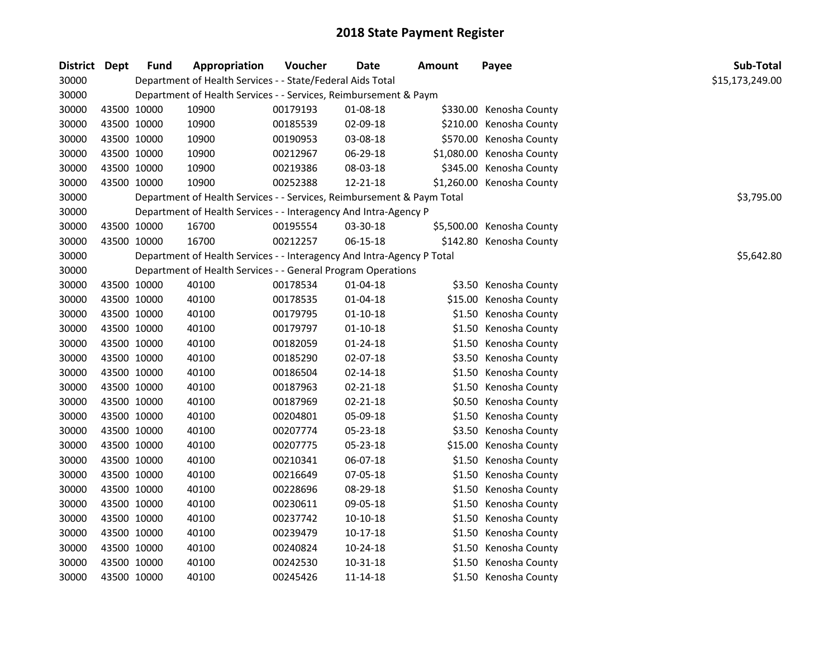| District Dept |             | Fund | Appropriation                                                          | Voucher  | <b>Date</b>    | <b>Amount</b> | Payee                     | Sub-Total       |
|---------------|-------------|------|------------------------------------------------------------------------|----------|----------------|---------------|---------------------------|-----------------|
| 30000         |             |      | Department of Health Services - - State/Federal Aids Total             |          |                |               |                           | \$15,173,249.00 |
| 30000         |             |      | Department of Health Services - - Services, Reimbursement & Paym       |          |                |               |                           |                 |
| 30000         | 43500 10000 |      | 10900                                                                  | 00179193 | 01-08-18       |               | \$330.00 Kenosha County   |                 |
| 30000         | 43500 10000 |      | 10900                                                                  | 00185539 | 02-09-18       |               | \$210.00 Kenosha County   |                 |
| 30000         | 43500 10000 |      | 10900                                                                  | 00190953 | 03-08-18       |               | \$570.00 Kenosha County   |                 |
| 30000         | 43500 10000 |      | 10900                                                                  | 00212967 | 06-29-18       |               | \$1,080.00 Kenosha County |                 |
| 30000         | 43500 10000 |      | 10900                                                                  | 00219386 | 08-03-18       |               | \$345.00 Kenosha County   |                 |
| 30000         | 43500 10000 |      | 10900                                                                  | 00252388 | 12-21-18       |               | \$1,260.00 Kenosha County |                 |
| 30000         |             |      | Department of Health Services - - Services, Reimbursement & Paym Total |          |                |               |                           | \$3,795.00      |
| 30000         |             |      | Department of Health Services - - Interagency And Intra-Agency P       |          |                |               |                           |                 |
| 30000         | 43500 10000 |      | 16700                                                                  | 00195554 | 03-30-18       |               | \$5,500.00 Kenosha County |                 |
| 30000         | 43500 10000 |      | 16700                                                                  | 00212257 | 06-15-18       |               | \$142.80 Kenosha County   |                 |
| 30000         |             |      | Department of Health Services - - Interagency And Intra-Agency P Total |          |                |               |                           | \$5,642.80      |
| 30000         |             |      | Department of Health Services - - General Program Operations           |          |                |               |                           |                 |
| 30000         | 43500 10000 |      | 40100                                                                  | 00178534 | 01-04-18       |               | \$3.50 Kenosha County     |                 |
| 30000         | 43500 10000 |      | 40100                                                                  | 00178535 | 01-04-18       |               | \$15.00 Kenosha County    |                 |
| 30000         | 43500 10000 |      | 40100                                                                  | 00179795 | $01 - 10 - 18$ |               | \$1.50 Kenosha County     |                 |
| 30000         | 43500 10000 |      | 40100                                                                  | 00179797 | $01-10-18$     |               | \$1.50 Kenosha County     |                 |
| 30000         | 43500 10000 |      | 40100                                                                  | 00182059 | 01-24-18       |               | \$1.50 Kenosha County     |                 |
| 30000         | 43500 10000 |      | 40100                                                                  | 00185290 | 02-07-18       |               | \$3.50 Kenosha County     |                 |
| 30000         | 43500 10000 |      | 40100                                                                  | 00186504 | $02 - 14 - 18$ |               | \$1.50 Kenosha County     |                 |
| 30000         | 43500 10000 |      | 40100                                                                  | 00187963 | 02-21-18       |               | \$1.50 Kenosha County     |                 |
| 30000         | 43500 10000 |      | 40100                                                                  | 00187969 | $02 - 21 - 18$ |               | \$0.50 Kenosha County     |                 |
| 30000         | 43500 10000 |      | 40100                                                                  | 00204801 | 05-09-18       |               | \$1.50 Kenosha County     |                 |
| 30000         | 43500 10000 |      | 40100                                                                  | 00207774 | 05-23-18       |               | \$3.50 Kenosha County     |                 |
| 30000         | 43500 10000 |      | 40100                                                                  | 00207775 | 05-23-18       |               | \$15.00 Kenosha County    |                 |
| 30000         | 43500 10000 |      | 40100                                                                  | 00210341 | 06-07-18       |               | \$1.50 Kenosha County     |                 |
| 30000         | 43500 10000 |      | 40100                                                                  | 00216649 | 07-05-18       |               | \$1.50 Kenosha County     |                 |
| 30000         | 43500 10000 |      | 40100                                                                  | 00228696 | 08-29-18       |               | \$1.50 Kenosha County     |                 |
| 30000         | 43500 10000 |      | 40100                                                                  | 00230611 | 09-05-18       |               | \$1.50 Kenosha County     |                 |
| 30000         | 43500 10000 |      | 40100                                                                  | 00237742 | 10-10-18       |               | \$1.50 Kenosha County     |                 |
| 30000         | 43500 10000 |      | 40100                                                                  | 00239479 | $10-17-18$     |               | \$1.50 Kenosha County     |                 |
| 30000         | 43500 10000 |      | 40100                                                                  | 00240824 | 10-24-18       |               | \$1.50 Kenosha County     |                 |
| 30000         | 43500 10000 |      | 40100                                                                  | 00242530 | 10-31-18       |               | \$1.50 Kenosha County     |                 |
| 30000         | 43500 10000 |      | 40100                                                                  | 00245426 | 11-14-18       |               | \$1.50 Kenosha County     |                 |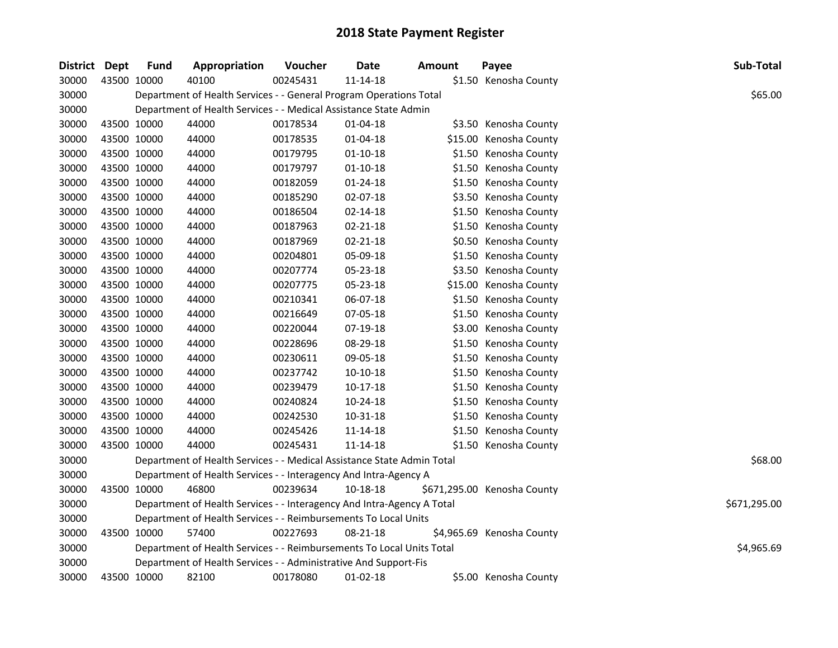| District Dept |             | <b>Fund</b> | Appropriation                                                          | <b>Voucher</b> | Date           | <b>Amount</b> | Payee                       | Sub-Total    |
|---------------|-------------|-------------|------------------------------------------------------------------------|----------------|----------------|---------------|-----------------------------|--------------|
| 30000         | 43500 10000 |             | 40100                                                                  | 00245431       | 11-14-18       |               | \$1.50 Kenosha County       |              |
| 30000         |             |             | Department of Health Services - - General Program Operations Total     |                |                |               |                             | \$65.00      |
| 30000         |             |             | Department of Health Services - - Medical Assistance State Admin       |                |                |               |                             |              |
| 30000         | 43500 10000 |             | 44000                                                                  | 00178534       | 01-04-18       |               | \$3.50 Kenosha County       |              |
| 30000         | 43500 10000 |             | 44000                                                                  | 00178535       | 01-04-18       |               | \$15.00 Kenosha County      |              |
| 30000         | 43500 10000 |             | 44000                                                                  | 00179795       | $01-10-18$     |               | \$1.50 Kenosha County       |              |
| 30000         | 43500 10000 |             | 44000                                                                  | 00179797       | $01 - 10 - 18$ |               | \$1.50 Kenosha County       |              |
| 30000         | 43500 10000 |             | 44000                                                                  | 00182059       | 01-24-18       |               | \$1.50 Kenosha County       |              |
| 30000         | 43500 10000 |             | 44000                                                                  | 00185290       | 02-07-18       |               | \$3.50 Kenosha County       |              |
| 30000         | 43500 10000 |             | 44000                                                                  | 00186504       | 02-14-18       |               | \$1.50 Kenosha County       |              |
| 30000         | 43500 10000 |             | 44000                                                                  | 00187963       | 02-21-18       |               | \$1.50 Kenosha County       |              |
| 30000         | 43500 10000 |             | 44000                                                                  | 00187969       | 02-21-18       |               | \$0.50 Kenosha County       |              |
| 30000         | 43500 10000 |             | 44000                                                                  | 00204801       | 05-09-18       |               | \$1.50 Kenosha County       |              |
| 30000         | 43500 10000 |             | 44000                                                                  | 00207774       | 05-23-18       |               | \$3.50 Kenosha County       |              |
| 30000         | 43500 10000 |             | 44000                                                                  | 00207775       | 05-23-18       |               | \$15.00 Kenosha County      |              |
| 30000         | 43500 10000 |             | 44000                                                                  | 00210341       | 06-07-18       |               | \$1.50 Kenosha County       |              |
| 30000         | 43500 10000 |             | 44000                                                                  | 00216649       | 07-05-18       |               | \$1.50 Kenosha County       |              |
| 30000         | 43500 10000 |             | 44000                                                                  | 00220044       | 07-19-18       |               | \$3.00 Kenosha County       |              |
| 30000         | 43500 10000 |             | 44000                                                                  | 00228696       | 08-29-18       |               | \$1.50 Kenosha County       |              |
| 30000         | 43500 10000 |             | 44000                                                                  | 00230611       | 09-05-18       |               | \$1.50 Kenosha County       |              |
| 30000         | 43500 10000 |             | 44000                                                                  | 00237742       | $10-10-18$     |               | \$1.50 Kenosha County       |              |
| 30000         | 43500 10000 |             | 44000                                                                  | 00239479       | 10-17-18       |               | \$1.50 Kenosha County       |              |
| 30000         | 43500 10000 |             | 44000                                                                  | 00240824       | 10-24-18       |               | \$1.50 Kenosha County       |              |
| 30000         | 43500 10000 |             | 44000                                                                  | 00242530       | 10-31-18       |               | \$1.50 Kenosha County       |              |
| 30000         | 43500 10000 |             | 44000                                                                  | 00245426       | 11-14-18       |               | \$1.50 Kenosha County       |              |
| 30000         | 43500 10000 |             | 44000                                                                  | 00245431       | 11-14-18       |               | \$1.50 Kenosha County       |              |
| 30000         |             |             | Department of Health Services - - Medical Assistance State Admin Total |                |                |               |                             | \$68.00      |
| 30000         |             |             | Department of Health Services - - Interagency And Intra-Agency A       |                |                |               |                             |              |
| 30000         |             | 43500 10000 | 46800                                                                  | 00239634       | 10-18-18       |               | \$671,295.00 Kenosha County |              |
| 30000         |             |             | Department of Health Services - - Interagency And Intra-Agency A Total |                |                |               |                             | \$671,295.00 |
| 30000         |             |             | Department of Health Services - - Reimbursements To Local Units        |                |                |               |                             |              |
| 30000         | 43500 10000 |             | 57400                                                                  | 00227693       | 08-21-18       |               | \$4,965.69 Kenosha County   |              |
| 30000         |             |             | Department of Health Services - - Reimbursements To Local Units Total  |                |                |               |                             | \$4,965.69   |
| 30000         |             |             | Department of Health Services - - Administrative And Support-Fis       |                |                |               |                             |              |
| 30000         |             | 43500 10000 | 82100                                                                  | 00178080       | 01-02-18       |               | \$5.00 Kenosha County       |              |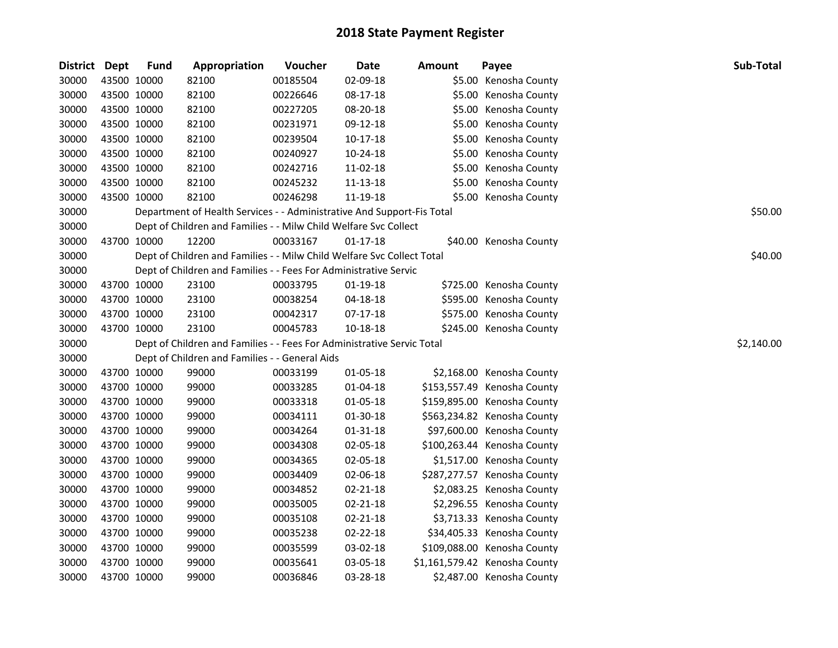| District Dept |             | <b>Fund</b> | Appropriation                                                          | Voucher  | <b>Date</b>    | <b>Amount</b> | Payee                         | Sub-Total  |
|---------------|-------------|-------------|------------------------------------------------------------------------|----------|----------------|---------------|-------------------------------|------------|
| 30000         | 43500 10000 |             | 82100                                                                  | 00185504 | 02-09-18       |               | \$5.00 Kenosha County         |            |
| 30000         | 43500 10000 |             | 82100                                                                  | 00226646 | 08-17-18       |               | \$5.00 Kenosha County         |            |
| 30000         | 43500 10000 |             | 82100                                                                  | 00227205 | 08-20-18       |               | \$5.00 Kenosha County         |            |
| 30000         | 43500 10000 |             | 82100                                                                  | 00231971 | 09-12-18       |               | \$5.00 Kenosha County         |            |
| 30000         | 43500 10000 |             | 82100                                                                  | 00239504 | 10-17-18       |               | \$5.00 Kenosha County         |            |
| 30000         | 43500 10000 |             | 82100                                                                  | 00240927 | 10-24-18       |               | \$5.00 Kenosha County         |            |
| 30000         | 43500 10000 |             | 82100                                                                  | 00242716 | 11-02-18       |               | \$5.00 Kenosha County         |            |
| 30000         | 43500 10000 |             | 82100                                                                  | 00245232 | 11-13-18       |               | \$5.00 Kenosha County         |            |
| 30000         | 43500 10000 |             | 82100                                                                  | 00246298 | 11-19-18       |               | \$5.00 Kenosha County         |            |
| 30000         |             |             | Department of Health Services - - Administrative And Support-Fis Total |          |                |               |                               | \$50.00    |
| 30000         |             |             | Dept of Children and Families - - Milw Child Welfare Svc Collect       |          |                |               |                               |            |
| 30000         | 43700 10000 |             | 12200                                                                  | 00033167 | $01 - 17 - 18$ |               | \$40.00 Kenosha County        |            |
| 30000         |             |             | Dept of Children and Families - - Milw Child Welfare Svc Collect Total |          |                |               |                               | \$40.00    |
| 30000         |             |             | Dept of Children and Families - - Fees For Administrative Servic       |          |                |               |                               |            |
| 30000         | 43700 10000 |             | 23100                                                                  | 00033795 | 01-19-18       |               | \$725.00 Kenosha County       |            |
| 30000         | 43700 10000 |             | 23100                                                                  | 00038254 | 04-18-18       |               | \$595.00 Kenosha County       |            |
| 30000         | 43700 10000 |             | 23100                                                                  | 00042317 | $07-17-18$     |               | \$575.00 Kenosha County       |            |
| 30000         | 43700 10000 |             | 23100                                                                  | 00045783 | 10-18-18       |               | \$245.00 Kenosha County       |            |
| 30000         |             |             | Dept of Children and Families - - Fees For Administrative Servic Total |          |                |               |                               | \$2,140.00 |
| 30000         |             |             | Dept of Children and Families - - General Aids                         |          |                |               |                               |            |
| 30000         | 43700 10000 |             | 99000                                                                  | 00033199 | 01-05-18       |               | \$2,168.00 Kenosha County     |            |
| 30000         | 43700 10000 |             | 99000                                                                  | 00033285 | $01 - 04 - 18$ |               | \$153,557.49 Kenosha County   |            |
| 30000         | 43700 10000 |             | 99000                                                                  | 00033318 | 01-05-18       |               | \$159,895.00 Kenosha County   |            |
| 30000         | 43700 10000 |             | 99000                                                                  | 00034111 | 01-30-18       |               | \$563,234.82 Kenosha County   |            |
| 30000         | 43700 10000 |             | 99000                                                                  | 00034264 | 01-31-18       |               | \$97,600.00 Kenosha County    |            |
| 30000         | 43700 10000 |             | 99000                                                                  | 00034308 | 02-05-18       |               | \$100,263.44 Kenosha County   |            |
| 30000         | 43700 10000 |             | 99000                                                                  | 00034365 | 02-05-18       |               | \$1,517.00 Kenosha County     |            |
| 30000         | 43700 10000 |             | 99000                                                                  | 00034409 | 02-06-18       |               | \$287,277.57 Kenosha County   |            |
| 30000         | 43700 10000 |             | 99000                                                                  | 00034852 | 02-21-18       |               | \$2,083.25 Kenosha County     |            |
| 30000         | 43700 10000 |             | 99000                                                                  | 00035005 | 02-21-18       |               | \$2,296.55 Kenosha County     |            |
| 30000         | 43700 10000 |             | 99000                                                                  | 00035108 | 02-21-18       |               | \$3,713.33 Kenosha County     |            |
| 30000         | 43700 10000 |             | 99000                                                                  | 00035238 | 02-22-18       |               | \$34,405.33 Kenosha County    |            |
| 30000         | 43700 10000 |             | 99000                                                                  | 00035599 | 03-02-18       |               | \$109,088.00 Kenosha County   |            |
| 30000         | 43700 10000 |             | 99000                                                                  | 00035641 | 03-05-18       |               | \$1,161,579.42 Kenosha County |            |
| 30000         | 43700 10000 |             | 99000                                                                  | 00036846 | 03-28-18       |               | \$2,487.00 Kenosha County     |            |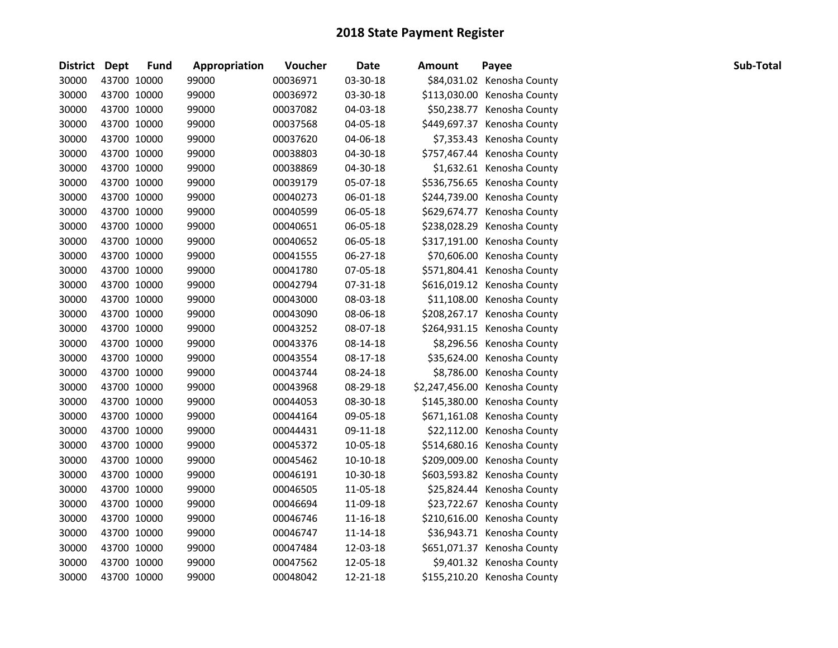| <b>District</b> | Dept        | <b>Fund</b> | Appropriation | Voucher  | <b>Date</b> | <b>Amount</b> | Payee                         | Sub-Total |
|-----------------|-------------|-------------|---------------|----------|-------------|---------------|-------------------------------|-----------|
| 30000           | 43700 10000 |             | 99000         | 00036971 | 03-30-18    |               | \$84,031.02 Kenosha County    |           |
| 30000           | 43700 10000 |             | 99000         | 00036972 | 03-30-18    |               | \$113,030.00 Kenosha County   |           |
| 30000           | 43700 10000 |             | 99000         | 00037082 | 04-03-18    |               | \$50,238.77 Kenosha County    |           |
| 30000           | 43700 10000 |             | 99000         | 00037568 | 04-05-18    |               | \$449,697.37 Kenosha County   |           |
| 30000           | 43700 10000 |             | 99000         | 00037620 | 04-06-18    |               | \$7,353.43 Kenosha County     |           |
| 30000           | 43700 10000 |             | 99000         | 00038803 | 04-30-18    |               | \$757,467.44 Kenosha County   |           |
| 30000           | 43700 10000 |             | 99000         | 00038869 | 04-30-18    |               | \$1,632.61 Kenosha County     |           |
| 30000           | 43700 10000 |             | 99000         | 00039179 | 05-07-18    |               | \$536,756.65 Kenosha County   |           |
| 30000           | 43700 10000 |             | 99000         | 00040273 | 06-01-18    |               | \$244,739.00 Kenosha County   |           |
| 30000           | 43700 10000 |             | 99000         | 00040599 | 06-05-18    |               | \$629,674.77 Kenosha County   |           |
| 30000           | 43700 10000 |             | 99000         | 00040651 | 06-05-18    |               | \$238,028.29 Kenosha County   |           |
| 30000           | 43700 10000 |             | 99000         | 00040652 | 06-05-18    |               | \$317,191.00 Kenosha County   |           |
| 30000           | 43700 10000 |             | 99000         | 00041555 | 06-27-18    |               | \$70,606.00 Kenosha County    |           |
| 30000           | 43700 10000 |             | 99000         | 00041780 | 07-05-18    |               | \$571,804.41 Kenosha County   |           |
| 30000           | 43700 10000 |             | 99000         | 00042794 | 07-31-18    |               | \$616,019.12 Kenosha County   |           |
| 30000           | 43700 10000 |             | 99000         | 00043000 | 08-03-18    |               | \$11,108.00 Kenosha County    |           |
| 30000           | 43700 10000 |             | 99000         | 00043090 | 08-06-18    |               | \$208,267.17 Kenosha County   |           |
| 30000           | 43700 10000 |             | 99000         | 00043252 | 08-07-18    |               | \$264,931.15 Kenosha County   |           |
| 30000           | 43700 10000 |             | 99000         | 00043376 | 08-14-18    |               | \$8,296.56 Kenosha County     |           |
| 30000           | 43700 10000 |             | 99000         | 00043554 | 08-17-18    |               | \$35,624.00 Kenosha County    |           |
| 30000           | 43700 10000 |             | 99000         | 00043744 | 08-24-18    |               | \$8,786.00 Kenosha County     |           |
| 30000           | 43700 10000 |             | 99000         | 00043968 | 08-29-18    |               | \$2,247,456.00 Kenosha County |           |
| 30000           | 43700 10000 |             | 99000         | 00044053 | 08-30-18    |               | \$145,380.00 Kenosha County   |           |
| 30000           | 43700 10000 |             | 99000         | 00044164 | 09-05-18    |               | \$671,161.08 Kenosha County   |           |
| 30000           | 43700 10000 |             | 99000         | 00044431 | 09-11-18    |               | \$22,112.00 Kenosha County    |           |
| 30000           | 43700 10000 |             | 99000         | 00045372 | 10-05-18    |               | \$514,680.16 Kenosha County   |           |
| 30000           | 43700 10000 |             | 99000         | 00045462 | 10-10-18    |               | \$209,009.00 Kenosha County   |           |
| 30000           | 43700 10000 |             | 99000         | 00046191 | 10-30-18    |               | \$603,593.82 Kenosha County   |           |
| 30000           | 43700 10000 |             | 99000         | 00046505 | 11-05-18    |               | \$25,824.44 Kenosha County    |           |
| 30000           | 43700 10000 |             | 99000         | 00046694 | 11-09-18    |               | \$23,722.67 Kenosha County    |           |
| 30000           | 43700 10000 |             | 99000         | 00046746 | 11-16-18    |               | \$210,616.00 Kenosha County   |           |
| 30000           | 43700 10000 |             | 99000         | 00046747 | 11-14-18    |               | \$36,943.71 Kenosha County    |           |
| 30000           | 43700 10000 |             | 99000         | 00047484 | 12-03-18    |               | \$651,071.37 Kenosha County   |           |
| 30000           | 43700 10000 |             | 99000         | 00047562 | 12-05-18    |               | \$9,401.32 Kenosha County     |           |
| 30000           | 43700 10000 |             | 99000         | 00048042 | 12-21-18    |               | \$155,210.20 Kenosha County   |           |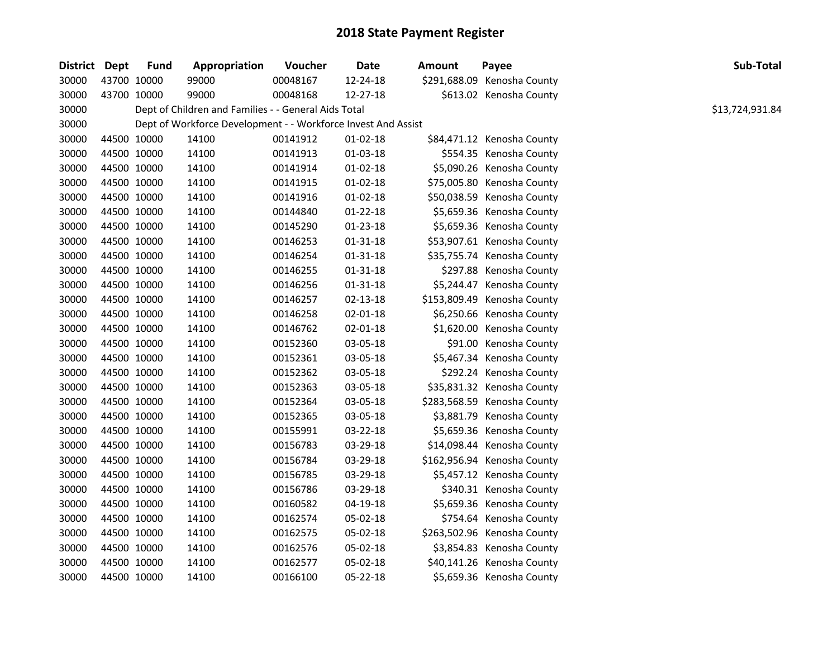| District Dept |             | <b>Fund</b> | Appropriation                                                 | Voucher  | Date           | <b>Amount</b> | Payee                       | Sub-Total       |
|---------------|-------------|-------------|---------------------------------------------------------------|----------|----------------|---------------|-----------------------------|-----------------|
| 30000         | 43700 10000 |             | 99000                                                         | 00048167 | 12-24-18       |               | \$291,688.09 Kenosha County |                 |
| 30000         | 43700 10000 |             | 99000                                                         | 00048168 | 12-27-18       |               | \$613.02 Kenosha County     |                 |
| 30000         |             |             | Dept of Children and Families - - General Aids Total          |          |                |               |                             | \$13,724,931.84 |
| 30000         |             |             | Dept of Workforce Development - - Workforce Invest And Assist |          |                |               |                             |                 |
| 30000         | 44500 10000 |             | 14100                                                         | 00141912 | 01-02-18       |               | \$84,471.12 Kenosha County  |                 |
| 30000         | 44500 10000 |             | 14100                                                         | 00141913 | $01-03-18$     |               | \$554.35 Kenosha County     |                 |
| 30000         | 44500 10000 |             | 14100                                                         | 00141914 | 01-02-18       |               | \$5,090.26 Kenosha County   |                 |
| 30000         | 44500 10000 |             | 14100                                                         | 00141915 | 01-02-18       |               | \$75,005.80 Kenosha County  |                 |
| 30000         | 44500 10000 |             | 14100                                                         | 00141916 | 01-02-18       |               | \$50,038.59 Kenosha County  |                 |
| 30000         | 44500 10000 |             | 14100                                                         | 00144840 | 01-22-18       |               | \$5,659.36 Kenosha County   |                 |
| 30000         | 44500 10000 |             | 14100                                                         | 00145290 | 01-23-18       |               | \$5,659.36 Kenosha County   |                 |
| 30000         | 44500 10000 |             | 14100                                                         | 00146253 | 01-31-18       |               | \$53,907.61 Kenosha County  |                 |
| 30000         | 44500 10000 |             | 14100                                                         | 00146254 | 01-31-18       |               | \$35,755.74 Kenosha County  |                 |
| 30000         | 44500 10000 |             | 14100                                                         | 00146255 | $01 - 31 - 18$ |               | \$297.88 Kenosha County     |                 |
| 30000         | 44500 10000 |             | 14100                                                         | 00146256 | 01-31-18       |               | \$5,244.47 Kenosha County   |                 |
| 30000         | 44500 10000 |             | 14100                                                         | 00146257 | 02-13-18       |               | \$153,809.49 Kenosha County |                 |
| 30000         | 44500 10000 |             | 14100                                                         | 00146258 | 02-01-18       |               | \$6,250.66 Kenosha County   |                 |
| 30000         | 44500 10000 |             | 14100                                                         | 00146762 | 02-01-18       |               | \$1,620.00 Kenosha County   |                 |
| 30000         | 44500 10000 |             | 14100                                                         | 00152360 | 03-05-18       |               | \$91.00 Kenosha County      |                 |
| 30000         | 44500 10000 |             | 14100                                                         | 00152361 | 03-05-18       |               | \$5,467.34 Kenosha County   |                 |
| 30000         | 44500 10000 |             | 14100                                                         | 00152362 | 03-05-18       |               | \$292.24 Kenosha County     |                 |
| 30000         | 44500 10000 |             | 14100                                                         | 00152363 | 03-05-18       |               | \$35,831.32 Kenosha County  |                 |
| 30000         | 44500 10000 |             | 14100                                                         | 00152364 | 03-05-18       |               | \$283,568.59 Kenosha County |                 |
| 30000         | 44500 10000 |             | 14100                                                         | 00152365 | 03-05-18       |               | \$3,881.79 Kenosha County   |                 |
| 30000         | 44500 10000 |             | 14100                                                         | 00155991 | 03-22-18       |               | \$5,659.36 Kenosha County   |                 |
| 30000         | 44500 10000 |             | 14100                                                         | 00156783 | 03-29-18       |               | \$14,098.44 Kenosha County  |                 |
| 30000         | 44500 10000 |             | 14100                                                         | 00156784 | 03-29-18       |               | \$162,956.94 Kenosha County |                 |
| 30000         | 44500 10000 |             | 14100                                                         | 00156785 | 03-29-18       |               | \$5,457.12 Kenosha County   |                 |
| 30000         | 44500 10000 |             | 14100                                                         | 00156786 | 03-29-18       |               | \$340.31 Kenosha County     |                 |
| 30000         | 44500 10000 |             | 14100                                                         | 00160582 | 04-19-18       |               | \$5,659.36 Kenosha County   |                 |
| 30000         | 44500 10000 |             | 14100                                                         | 00162574 | 05-02-18       |               | \$754.64 Kenosha County     |                 |
| 30000         | 44500 10000 |             | 14100                                                         | 00162575 | 05-02-18       |               | \$263,502.96 Kenosha County |                 |
| 30000         | 44500 10000 |             | 14100                                                         | 00162576 | 05-02-18       |               | \$3,854.83 Kenosha County   |                 |
| 30000         | 44500 10000 |             | 14100                                                         | 00162577 | 05-02-18       |               | \$40,141.26 Kenosha County  |                 |
| 30000         | 44500 10000 |             | 14100                                                         | 00166100 | 05-22-18       |               | \$5,659.36 Kenosha County   |                 |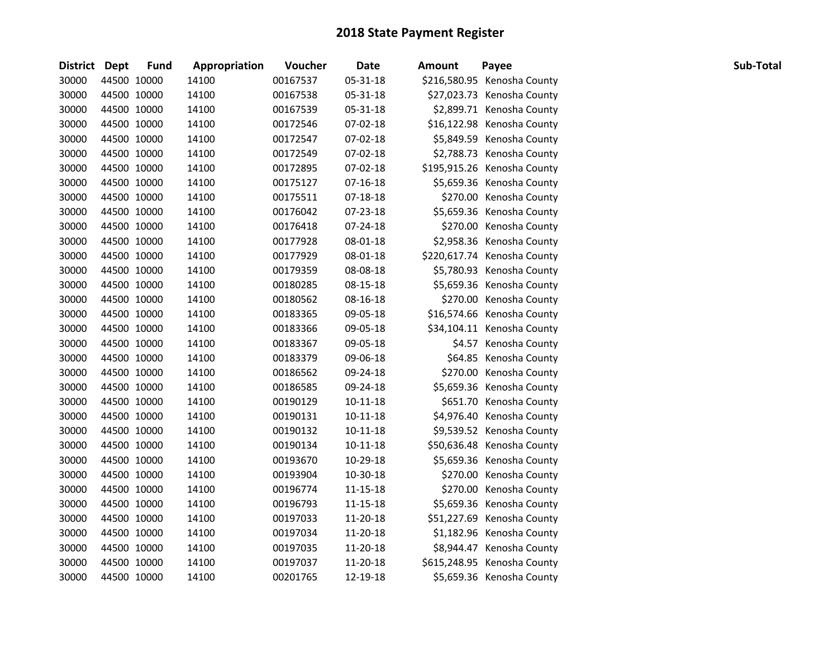| District Dept |             | <b>Fund</b> | Appropriation | Voucher  | <b>Date</b>    | <b>Amount</b> | Payee                       | Sub-Total |
|---------------|-------------|-------------|---------------|----------|----------------|---------------|-----------------------------|-----------|
| 30000         | 44500 10000 |             | 14100         | 00167537 | 05-31-18       |               | \$216,580.95 Kenosha County |           |
| 30000         | 44500 10000 |             | 14100         | 00167538 | 05-31-18       |               | \$27,023.73 Kenosha County  |           |
| 30000         | 44500 10000 |             | 14100         | 00167539 | 05-31-18       |               | \$2,899.71 Kenosha County   |           |
| 30000         | 44500 10000 |             | 14100         | 00172546 | 07-02-18       |               | \$16,122.98 Kenosha County  |           |
| 30000         | 44500 10000 |             | 14100         | 00172547 | 07-02-18       |               | \$5,849.59 Kenosha County   |           |
| 30000         | 44500 10000 |             | 14100         | 00172549 | 07-02-18       |               | \$2,788.73 Kenosha County   |           |
| 30000         | 44500 10000 |             | 14100         | 00172895 | 07-02-18       |               | \$195,915.26 Kenosha County |           |
| 30000         | 44500 10000 |             | 14100         | 00175127 | $07-16-18$     |               | \$5,659.36 Kenosha County   |           |
| 30000         | 44500 10000 |             | 14100         | 00175511 | 07-18-18       |               | \$270.00 Kenosha County     |           |
| 30000         | 44500 10000 |             | 14100         | 00176042 | 07-23-18       |               | \$5,659.36 Kenosha County   |           |
| 30000         | 44500 10000 |             | 14100         | 00176418 | 07-24-18       |               | \$270.00 Kenosha County     |           |
| 30000         | 44500 10000 |             | 14100         | 00177928 | 08-01-18       |               | \$2,958.36 Kenosha County   |           |
| 30000         | 44500 10000 |             | 14100         | 00177929 | 08-01-18       |               | \$220,617.74 Kenosha County |           |
| 30000         | 44500 10000 |             | 14100         | 00179359 | 08-08-18       |               | \$5,780.93 Kenosha County   |           |
| 30000         | 44500 10000 |             | 14100         | 00180285 | 08-15-18       |               | \$5,659.36 Kenosha County   |           |
| 30000         | 44500 10000 |             | 14100         | 00180562 | 08-16-18       |               | \$270.00 Kenosha County     |           |
| 30000         | 44500 10000 |             | 14100         | 00183365 | 09-05-18       |               | \$16,574.66 Kenosha County  |           |
| 30000         | 44500 10000 |             | 14100         | 00183366 | 09-05-18       |               | \$34,104.11 Kenosha County  |           |
| 30000         | 44500 10000 |             | 14100         | 00183367 | 09-05-18       |               | \$4.57 Kenosha County       |           |
| 30000         | 44500 10000 |             | 14100         | 00183379 | 09-06-18       |               | \$64.85 Kenosha County      |           |
| 30000         | 44500 10000 |             | 14100         | 00186562 | 09-24-18       |               | \$270.00 Kenosha County     |           |
| 30000         | 44500 10000 |             | 14100         | 00186585 | 09-24-18       |               | \$5,659.36 Kenosha County   |           |
| 30000         | 44500 10000 |             | 14100         | 00190129 | $10 - 11 - 18$ |               | \$651.70 Kenosha County     |           |
| 30000         | 44500 10000 |             | 14100         | 00190131 | 10-11-18       |               | \$4,976.40 Kenosha County   |           |
| 30000         | 44500 10000 |             | 14100         | 00190132 | 10-11-18       |               | \$9,539.52 Kenosha County   |           |
| 30000         | 44500 10000 |             | 14100         | 00190134 | 10-11-18       |               | \$50,636.48 Kenosha County  |           |
| 30000         | 44500 10000 |             | 14100         | 00193670 | 10-29-18       |               | \$5,659.36 Kenosha County   |           |
| 30000         | 44500 10000 |             | 14100         | 00193904 | 10-30-18       |               | \$270.00 Kenosha County     |           |
| 30000         | 44500 10000 |             | 14100         | 00196774 | $11 - 15 - 18$ |               | \$270.00 Kenosha County     |           |
| 30000         | 44500 10000 |             | 14100         | 00196793 | 11-15-18       |               | \$5,659.36 Kenosha County   |           |
| 30000         | 44500 10000 |             | 14100         | 00197033 | 11-20-18       |               | \$51,227.69 Kenosha County  |           |
| 30000         | 44500 10000 |             | 14100         | 00197034 | 11-20-18       |               | \$1,182.96 Kenosha County   |           |
| 30000         | 44500 10000 |             | 14100         | 00197035 | 11-20-18       |               | \$8,944.47 Kenosha County   |           |
| 30000         | 44500 10000 |             | 14100         | 00197037 | 11-20-18       |               | \$615,248.95 Kenosha County |           |
| 30000         | 44500 10000 |             | 14100         | 00201765 | 12-19-18       |               | \$5,659.36 Kenosha County   |           |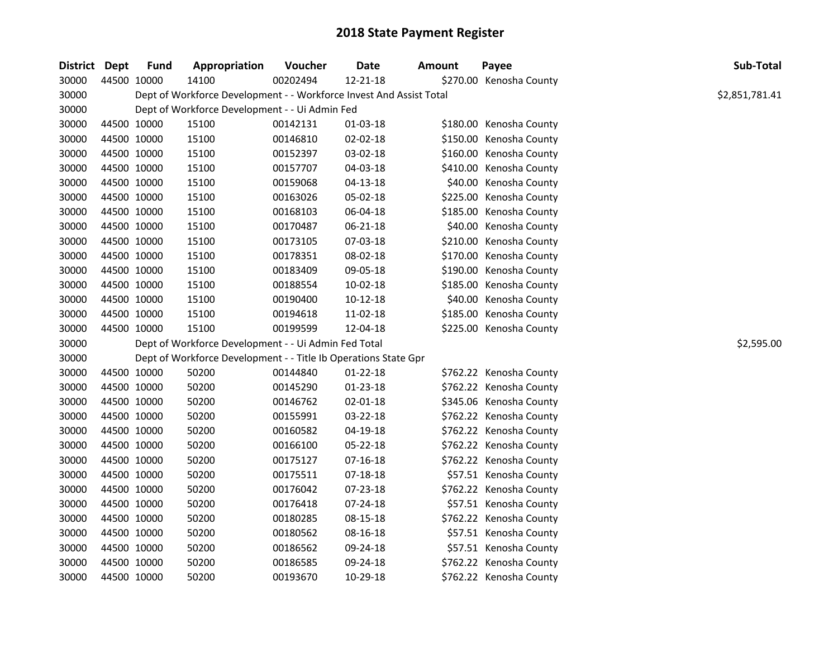| District Dept |             | <b>Fund</b> | Appropriation                                                       | Voucher  | <b>Date</b>    | <b>Amount</b> | Payee                   | Sub-Total      |
|---------------|-------------|-------------|---------------------------------------------------------------------|----------|----------------|---------------|-------------------------|----------------|
| 30000         | 44500 10000 |             | 14100                                                               | 00202494 | 12-21-18       |               | \$270.00 Kenosha County |                |
| 30000         |             |             | Dept of Workforce Development - - Workforce Invest And Assist Total |          |                |               |                         | \$2,851,781.41 |
| 30000         |             |             | Dept of Workforce Development - - Ui Admin Fed                      |          |                |               |                         |                |
| 30000         | 44500 10000 |             | 15100                                                               | 00142131 | 01-03-18       |               | \$180.00 Kenosha County |                |
| 30000         | 44500 10000 |             | 15100                                                               | 00146810 | 02-02-18       |               | \$150.00 Kenosha County |                |
| 30000         | 44500 10000 |             | 15100                                                               | 00152397 | 03-02-18       |               | \$160.00 Kenosha County |                |
| 30000         | 44500 10000 |             | 15100                                                               | 00157707 | 04-03-18       |               | \$410.00 Kenosha County |                |
| 30000         | 44500 10000 |             | 15100                                                               | 00159068 | 04-13-18       |               | \$40.00 Kenosha County  |                |
| 30000         | 44500 10000 |             | 15100                                                               | 00163026 | 05-02-18       |               | \$225.00 Kenosha County |                |
| 30000         | 44500 10000 |             | 15100                                                               | 00168103 | 06-04-18       |               | \$185.00 Kenosha County |                |
| 30000         | 44500 10000 |             | 15100                                                               | 00170487 | 06-21-18       |               | \$40.00 Kenosha County  |                |
| 30000         | 44500 10000 |             | 15100                                                               | 00173105 | 07-03-18       |               | \$210.00 Kenosha County |                |
| 30000         | 44500 10000 |             | 15100                                                               | 00178351 | 08-02-18       |               | \$170.00 Kenosha County |                |
| 30000         | 44500 10000 |             | 15100                                                               | 00183409 | 09-05-18       |               | \$190.00 Kenosha County |                |
| 30000         | 44500 10000 |             | 15100                                                               | 00188554 | 10-02-18       |               | \$185.00 Kenosha County |                |
| 30000         | 44500 10000 |             | 15100                                                               | 00190400 | $10-12-18$     |               | \$40.00 Kenosha County  |                |
| 30000         | 44500 10000 |             | 15100                                                               | 00194618 | 11-02-18       |               | \$185.00 Kenosha County |                |
| 30000         | 44500 10000 |             | 15100                                                               | 00199599 | 12-04-18       |               | \$225.00 Kenosha County |                |
| 30000         |             |             | Dept of Workforce Development - - Ui Admin Fed Total                |          |                |               |                         | \$2,595.00     |
| 30000         |             |             | Dept of Workforce Development - - Title Ib Operations State Gpr     |          |                |               |                         |                |
| 30000         | 44500 10000 |             | 50200                                                               | 00144840 | $01 - 22 - 18$ |               | \$762.22 Kenosha County |                |
| 30000         | 44500 10000 |             | 50200                                                               | 00145290 | 01-23-18       |               | \$762.22 Kenosha County |                |
| 30000         | 44500 10000 |             | 50200                                                               | 00146762 | $02 - 01 - 18$ |               | \$345.06 Kenosha County |                |
| 30000         | 44500 10000 |             | 50200                                                               | 00155991 | 03-22-18       |               | \$762.22 Kenosha County |                |
| 30000         | 44500 10000 |             | 50200                                                               | 00160582 | 04-19-18       |               | \$762.22 Kenosha County |                |
| 30000         | 44500 10000 |             | 50200                                                               | 00166100 | 05-22-18       |               | \$762.22 Kenosha County |                |
| 30000         | 44500 10000 |             | 50200                                                               | 00175127 | $07-16-18$     |               | \$762.22 Kenosha County |                |
| 30000         | 44500 10000 |             | 50200                                                               | 00175511 | 07-18-18       |               | \$57.51 Kenosha County  |                |
| 30000         | 44500 10000 |             | 50200                                                               | 00176042 | 07-23-18       |               | \$762.22 Kenosha County |                |
| 30000         | 44500 10000 |             | 50200                                                               | 00176418 | 07-24-18       |               | \$57.51 Kenosha County  |                |
| 30000         | 44500 10000 |             | 50200                                                               | 00180285 | 08-15-18       |               | \$762.22 Kenosha County |                |
| 30000         | 44500 10000 |             | 50200                                                               | 00180562 | 08-16-18       |               | \$57.51 Kenosha County  |                |
| 30000         | 44500 10000 |             | 50200                                                               | 00186562 | 09-24-18       |               | \$57.51 Kenosha County  |                |
| 30000         | 44500 10000 |             | 50200                                                               | 00186585 | 09-24-18       |               | \$762.22 Kenosha County |                |
| 30000         | 44500 10000 |             | 50200                                                               | 00193670 | 10-29-18       |               | \$762.22 Kenosha County |                |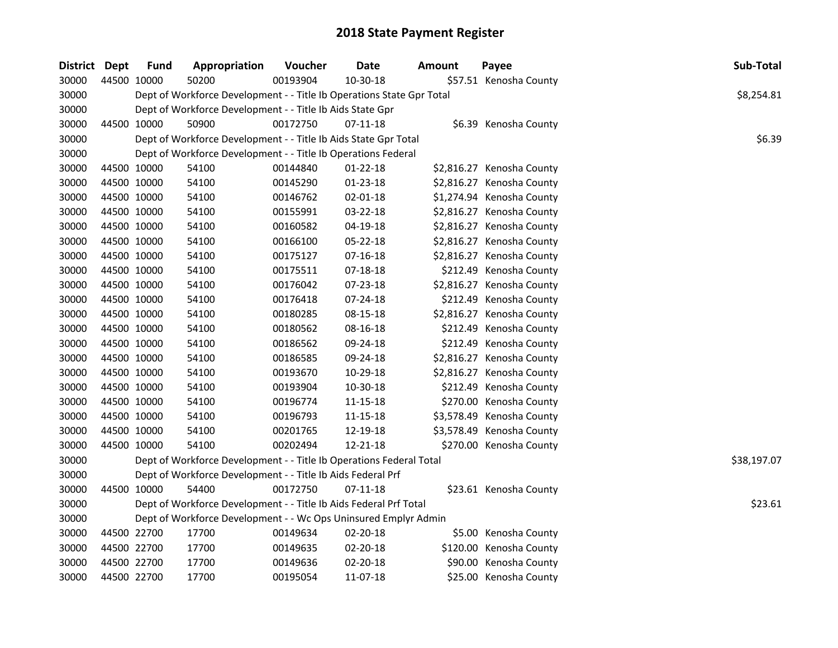| District Dept |             | <b>Fund</b> | Appropriation                                                         | Voucher  | <b>Date</b>    | <b>Amount</b> | Payee                     | Sub-Total   |
|---------------|-------------|-------------|-----------------------------------------------------------------------|----------|----------------|---------------|---------------------------|-------------|
| 30000         | 44500 10000 |             | 50200                                                                 | 00193904 | 10-30-18       |               | \$57.51 Kenosha County    |             |
| 30000         |             |             | Dept of Workforce Development - - Title Ib Operations State Gpr Total |          |                |               |                           | \$8,254.81  |
| 30000         |             |             | Dept of Workforce Development - - Title Ib Aids State Gpr             |          |                |               |                           |             |
| 30000         | 44500 10000 |             | 50900                                                                 | 00172750 | $07 - 11 - 18$ |               | \$6.39 Kenosha County     |             |
| 30000         |             |             | Dept of Workforce Development - - Title Ib Aids State Gpr Total       |          |                |               |                           | \$6.39      |
| 30000         |             |             | Dept of Workforce Development - - Title Ib Operations Federal         |          |                |               |                           |             |
| 30000         | 44500 10000 |             | 54100                                                                 | 00144840 | 01-22-18       |               | \$2,816.27 Kenosha County |             |
| 30000         | 44500 10000 |             | 54100                                                                 | 00145290 | 01-23-18       |               | \$2,816.27 Kenosha County |             |
| 30000         | 44500 10000 |             | 54100                                                                 | 00146762 | 02-01-18       |               | \$1,274.94 Kenosha County |             |
| 30000         | 44500 10000 |             | 54100                                                                 | 00155991 | 03-22-18       |               | \$2,816.27 Kenosha County |             |
| 30000         | 44500 10000 |             | 54100                                                                 | 00160582 | 04-19-18       |               | \$2,816.27 Kenosha County |             |
| 30000         | 44500 10000 |             | 54100                                                                 | 00166100 | 05-22-18       |               | \$2,816.27 Kenosha County |             |
| 30000         | 44500 10000 |             | 54100                                                                 | 00175127 | $07-16-18$     |               | \$2,816.27 Kenosha County |             |
| 30000         | 44500 10000 |             | 54100                                                                 | 00175511 | 07-18-18       |               | \$212.49 Kenosha County   |             |
| 30000         | 44500 10000 |             | 54100                                                                 | 00176042 | 07-23-18       |               | \$2,816.27 Kenosha County |             |
| 30000         | 44500 10000 |             | 54100                                                                 | 00176418 | 07-24-18       |               | \$212.49 Kenosha County   |             |
| 30000         | 44500 10000 |             | 54100                                                                 | 00180285 | 08-15-18       |               | \$2,816.27 Kenosha County |             |
| 30000         | 44500 10000 |             | 54100                                                                 | 00180562 | 08-16-18       |               | \$212.49 Kenosha County   |             |
| 30000         | 44500 10000 |             | 54100                                                                 | 00186562 | 09-24-18       |               | \$212.49 Kenosha County   |             |
| 30000         | 44500 10000 |             | 54100                                                                 | 00186585 | 09-24-18       |               | \$2,816.27 Kenosha County |             |
| 30000         | 44500 10000 |             | 54100                                                                 | 00193670 | 10-29-18       |               | \$2,816.27 Kenosha County |             |
| 30000         | 44500 10000 |             | 54100                                                                 | 00193904 | 10-30-18       |               | \$212.49 Kenosha County   |             |
| 30000         | 44500 10000 |             | 54100                                                                 | 00196774 | 11-15-18       |               | \$270.00 Kenosha County   |             |
| 30000         | 44500 10000 |             | 54100                                                                 | 00196793 | 11-15-18       |               | \$3,578.49 Kenosha County |             |
| 30000         | 44500 10000 |             | 54100                                                                 | 00201765 | 12-19-18       |               | \$3,578.49 Kenosha County |             |
| 30000         | 44500 10000 |             | 54100                                                                 | 00202494 | 12-21-18       |               | \$270.00 Kenosha County   |             |
| 30000         |             |             | Dept of Workforce Development - - Title Ib Operations Federal Total   |          |                |               |                           | \$38,197.07 |
| 30000         |             |             | Dept of Workforce Development - - Title Ib Aids Federal Prf           |          |                |               |                           |             |
| 30000         | 44500 10000 |             | 54400                                                                 | 00172750 | $07-11-18$     |               | \$23.61 Kenosha County    |             |
| 30000         |             |             | Dept of Workforce Development - - Title Ib Aids Federal Prf Total     |          |                |               |                           | \$23.61     |
| 30000         |             |             | Dept of Workforce Development - - Wc Ops Uninsured Emplyr Admin       |          |                |               |                           |             |
| 30000         | 44500 22700 |             | 17700                                                                 | 00149634 | 02-20-18       |               | \$5.00 Kenosha County     |             |
| 30000         | 44500 22700 |             | 17700                                                                 | 00149635 | 02-20-18       |               | \$120.00 Kenosha County   |             |
| 30000         | 44500 22700 |             | 17700                                                                 | 00149636 | 02-20-18       |               | \$90.00 Kenosha County    |             |
| 30000         | 44500 22700 |             | 17700                                                                 | 00195054 | 11-07-18       |               | \$25.00 Kenosha County    |             |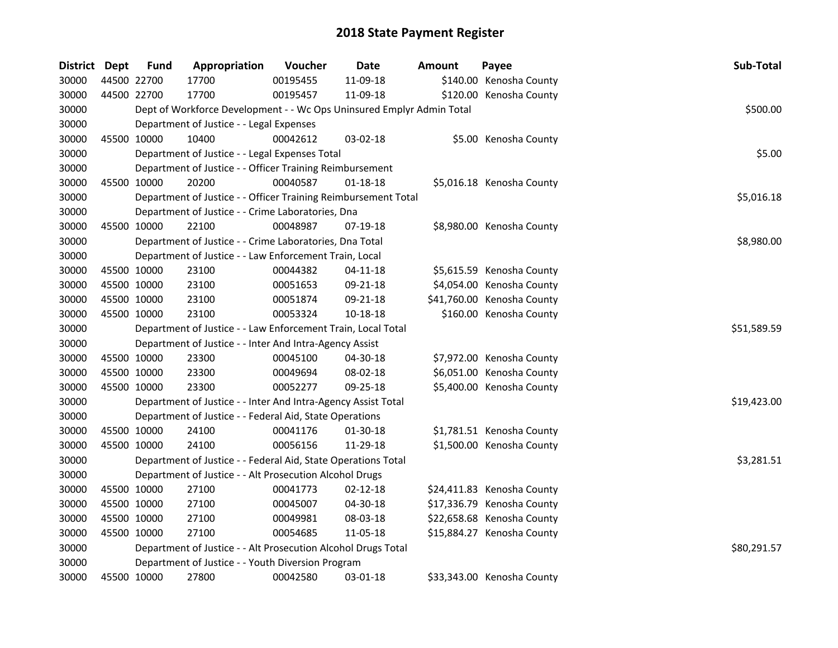| District Dept |             | <b>Fund</b> | Appropriation                                                         | Voucher  | Date           | Amount | Payee                      | Sub-Total   |
|---------------|-------------|-------------|-----------------------------------------------------------------------|----------|----------------|--------|----------------------------|-------------|
| 30000         |             | 44500 22700 | 17700                                                                 | 00195455 | 11-09-18       |        | \$140.00 Kenosha County    |             |
| 30000         |             | 44500 22700 | 17700                                                                 | 00195457 | 11-09-18       |        | \$120.00 Kenosha County    |             |
| 30000         |             |             | Dept of Workforce Development - - Wc Ops Uninsured Emplyr Admin Total |          |                |        |                            | \$500.00    |
| 30000         |             |             | Department of Justice - - Legal Expenses                              |          |                |        |                            |             |
| 30000         |             | 45500 10000 | 10400                                                                 | 00042612 | 03-02-18       |        | \$5.00 Kenosha County      |             |
| 30000         |             |             | Department of Justice - - Legal Expenses Total                        |          |                |        |                            | \$5.00      |
| 30000         |             |             | Department of Justice - - Officer Training Reimbursement              |          |                |        |                            |             |
| 30000         | 45500 10000 |             | 20200                                                                 | 00040587 | $01 - 18 - 18$ |        | \$5,016.18 Kenosha County  |             |
| 30000         |             |             | Department of Justice - - Officer Training Reimbursement Total        |          |                |        |                            | \$5,016.18  |
| 30000         |             |             | Department of Justice - - Crime Laboratories, Dna                     |          |                |        |                            |             |
| 30000         |             | 45500 10000 | 22100                                                                 | 00048987 | 07-19-18       |        | \$8,980.00 Kenosha County  |             |
| 30000         |             |             | Department of Justice - - Crime Laboratories, Dna Total               |          |                |        |                            | \$8,980.00  |
| 30000         |             |             | Department of Justice - - Law Enforcement Train, Local                |          |                |        |                            |             |
| 30000         | 45500 10000 |             | 23100                                                                 | 00044382 | 04-11-18       |        | \$5,615.59 Kenosha County  |             |
| 30000         | 45500 10000 |             | 23100                                                                 | 00051653 | 09-21-18       |        | \$4,054.00 Kenosha County  |             |
| 30000         | 45500 10000 |             | 23100                                                                 | 00051874 | 09-21-18       |        | \$41,760.00 Kenosha County |             |
| 30000         |             | 45500 10000 | 23100                                                                 | 00053324 | 10-18-18       |        | \$160.00 Kenosha County    |             |
| 30000         |             |             | Department of Justice - - Law Enforcement Train, Local Total          |          |                |        |                            | \$51,589.59 |
| 30000         |             |             | Department of Justice - - Inter And Intra-Agency Assist               |          |                |        |                            |             |
| 30000         | 45500 10000 |             | 23300                                                                 | 00045100 | 04-30-18       |        | \$7,972.00 Kenosha County  |             |
| 30000         | 45500 10000 |             | 23300                                                                 | 00049694 | 08-02-18       |        | \$6,051.00 Kenosha County  |             |
| 30000         | 45500 10000 |             | 23300                                                                 | 00052277 | 09-25-18       |        | \$5,400.00 Kenosha County  |             |
| 30000         |             |             | Department of Justice - - Inter And Intra-Agency Assist Total         |          |                |        |                            | \$19,423.00 |
| 30000         |             |             | Department of Justice - - Federal Aid, State Operations               |          |                |        |                            |             |
| 30000         |             | 45500 10000 | 24100                                                                 | 00041176 | 01-30-18       |        | \$1,781.51 Kenosha County  |             |
| 30000         |             | 45500 10000 | 24100                                                                 | 00056156 | 11-29-18       |        | \$1,500.00 Kenosha County  |             |
| 30000         |             |             | Department of Justice - - Federal Aid, State Operations Total         |          |                |        |                            | \$3,281.51  |
| 30000         |             |             | Department of Justice - - Alt Prosecution Alcohol Drugs               |          |                |        |                            |             |
| 30000         |             | 45500 10000 | 27100                                                                 | 00041773 | $02 - 12 - 18$ |        | \$24,411.83 Kenosha County |             |
| 30000         | 45500 10000 |             | 27100                                                                 | 00045007 | 04-30-18       |        | \$17,336.79 Kenosha County |             |
| 30000         | 45500 10000 |             | 27100                                                                 | 00049981 | 08-03-18       |        | \$22,658.68 Kenosha County |             |
| 30000         |             | 45500 10000 | 27100                                                                 | 00054685 | 11-05-18       |        | \$15,884.27 Kenosha County |             |
| 30000         |             |             | Department of Justice - - Alt Prosecution Alcohol Drugs Total         |          |                |        |                            | \$80,291.57 |
| 30000         |             |             | Department of Justice - - Youth Diversion Program                     |          |                |        |                            |             |
| 30000         |             | 45500 10000 | 27800                                                                 | 00042580 | 03-01-18       |        | \$33,343.00 Kenosha County |             |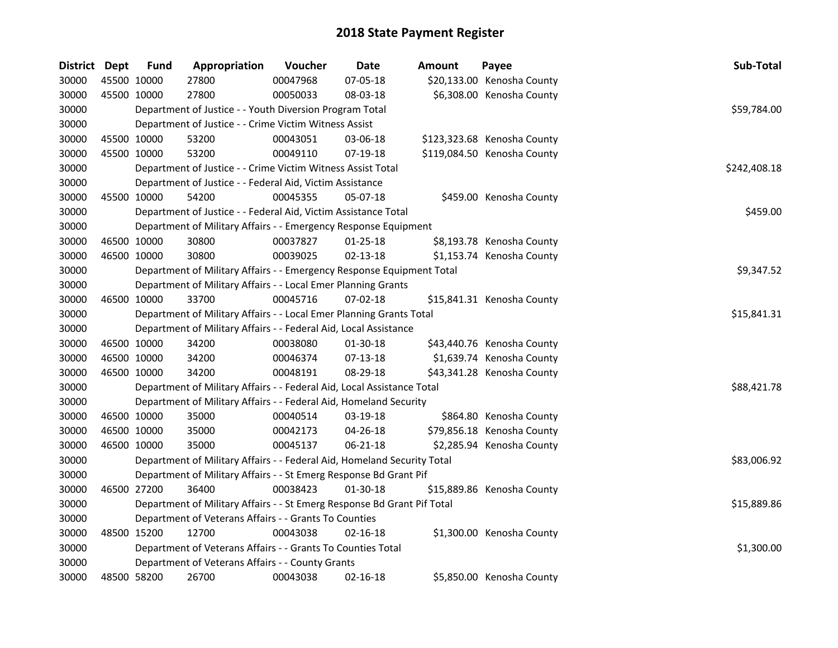| District Dept | <b>Fund</b> | Appropriation                                                           | Voucher  | <b>Date</b>    | Amount | Payee                       | Sub-Total    |
|---------------|-------------|-------------------------------------------------------------------------|----------|----------------|--------|-----------------------------|--------------|
| 30000         | 45500 10000 | 27800                                                                   | 00047968 | 07-05-18       |        | \$20,133.00 Kenosha County  |              |
| 30000         | 45500 10000 | 27800                                                                   | 00050033 | 08-03-18       |        | \$6,308.00 Kenosha County   |              |
| 30000         |             | Department of Justice - - Youth Diversion Program Total                 |          |                |        |                             | \$59,784.00  |
| 30000         |             | Department of Justice - - Crime Victim Witness Assist                   |          |                |        |                             |              |
| 30000         | 45500 10000 | 53200                                                                   | 00043051 | 03-06-18       |        | \$123,323.68 Kenosha County |              |
| 30000         | 45500 10000 | 53200                                                                   | 00049110 | 07-19-18       |        | \$119,084.50 Kenosha County |              |
| 30000         |             | Department of Justice - - Crime Victim Witness Assist Total             |          |                |        |                             | \$242,408.18 |
| 30000         |             | Department of Justice - - Federal Aid, Victim Assistance                |          |                |        |                             |              |
| 30000         | 45500 10000 | 54200                                                                   | 00045355 | 05-07-18       |        | \$459.00 Kenosha County     |              |
| 30000         |             | Department of Justice - - Federal Aid, Victim Assistance Total          |          |                |        |                             | \$459.00     |
| 30000         |             | Department of Military Affairs - - Emergency Response Equipment         |          |                |        |                             |              |
| 30000         | 46500 10000 | 30800                                                                   | 00037827 | $01 - 25 - 18$ |        | \$8,193.78 Kenosha County   |              |
| 30000         | 46500 10000 | 30800                                                                   | 00039025 | $02 - 13 - 18$ |        | \$1,153.74 Kenosha County   |              |
| 30000         |             | Department of Military Affairs - - Emergency Response Equipment Total   |          |                |        |                             | \$9,347.52   |
| 30000         |             | Department of Military Affairs - - Local Emer Planning Grants           |          |                |        |                             |              |
| 30000         | 46500 10000 | 33700                                                                   | 00045716 | 07-02-18       |        | \$15,841.31 Kenosha County  |              |
| 30000         |             | Department of Military Affairs - - Local Emer Planning Grants Total     |          |                |        |                             | \$15,841.31  |
| 30000         |             | Department of Military Affairs - - Federal Aid, Local Assistance        |          |                |        |                             |              |
| 30000         | 46500 10000 | 34200                                                                   | 00038080 | 01-30-18       |        | \$43,440.76 Kenosha County  |              |
| 30000         | 46500 10000 | 34200                                                                   | 00046374 | 07-13-18       |        | \$1,639.74 Kenosha County   |              |
| 30000         | 46500 10000 | 34200                                                                   | 00048191 | 08-29-18       |        | \$43,341.28 Kenosha County  |              |
| 30000         |             | Department of Military Affairs - - Federal Aid, Local Assistance Total  |          |                |        |                             | \$88,421.78  |
| 30000         |             | Department of Military Affairs - - Federal Aid, Homeland Security       |          |                |        |                             |              |
| 30000         | 46500 10000 | 35000                                                                   | 00040514 | 03-19-18       |        | \$864.80 Kenosha County     |              |
| 30000         | 46500 10000 | 35000                                                                   | 00042173 | 04-26-18       |        | \$79,856.18 Kenosha County  |              |
| 30000         | 46500 10000 | 35000                                                                   | 00045137 | $06 - 21 - 18$ |        | \$2,285.94 Kenosha County   |              |
| 30000         |             | Department of Military Affairs - - Federal Aid, Homeland Security Total |          |                |        |                             | \$83,006.92  |
| 30000         |             | Department of Military Affairs - - St Emerg Response Bd Grant Pif       |          |                |        |                             |              |
| 30000         | 46500 27200 | 36400                                                                   | 00038423 | $01 - 30 - 18$ |        | \$15,889.86 Kenosha County  |              |
| 30000         |             | Department of Military Affairs - - St Emerg Response Bd Grant Pif Total |          |                |        |                             | \$15,889.86  |
| 30000         |             | Department of Veterans Affairs - - Grants To Counties                   |          |                |        |                             |              |
| 30000         | 48500 15200 | 12700                                                                   | 00043038 | $02 - 16 - 18$ |        | \$1,300.00 Kenosha County   |              |
| 30000         |             | Department of Veterans Affairs - - Grants To Counties Total             |          |                |        |                             | \$1,300.00   |
| 30000         |             | Department of Veterans Affairs - - County Grants                        |          |                |        |                             |              |
| 30000         | 48500 58200 | 26700                                                                   | 00043038 | 02-16-18       |        | \$5,850.00 Kenosha County   |              |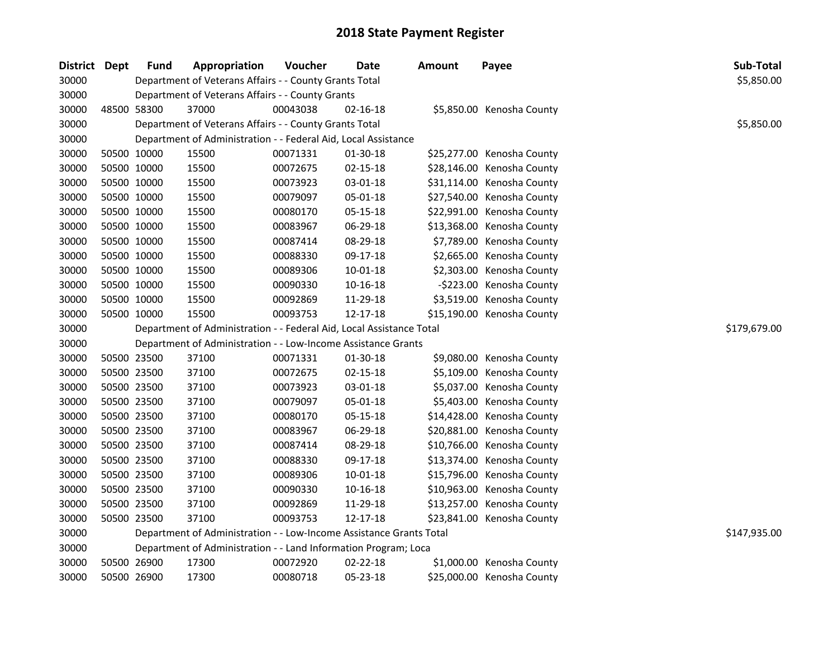| District Dept |             | Fund        | Appropriation                                                        | Voucher  | <b>Date</b>    | <b>Amount</b> | Payee                      | Sub-Total    |
|---------------|-------------|-------------|----------------------------------------------------------------------|----------|----------------|---------------|----------------------------|--------------|
| 30000         |             |             | Department of Veterans Affairs - - County Grants Total               |          |                |               |                            | \$5,850.00   |
| 30000         |             |             | Department of Veterans Affairs - - County Grants                     |          |                |               |                            |              |
| 30000         |             | 48500 58300 | 37000                                                                | 00043038 | 02-16-18       |               | \$5,850.00 Kenosha County  |              |
| 30000         |             |             | Department of Veterans Affairs - - County Grants Total               |          |                |               |                            | \$5,850.00   |
| 30000         |             |             | Department of Administration - - Federal Aid, Local Assistance       |          |                |               |                            |              |
| 30000         |             | 50500 10000 | 15500                                                                | 00071331 | 01-30-18       |               | \$25,277.00 Kenosha County |              |
| 30000         |             | 50500 10000 | 15500                                                                | 00072675 | $02 - 15 - 18$ |               | \$28,146.00 Kenosha County |              |
| 30000         |             | 50500 10000 | 15500                                                                | 00073923 | 03-01-18       |               | \$31,114.00 Kenosha County |              |
| 30000         |             | 50500 10000 | 15500                                                                | 00079097 | 05-01-18       |               | \$27,540.00 Kenosha County |              |
| 30000         |             | 50500 10000 | 15500                                                                | 00080170 | 05-15-18       |               | \$22,991.00 Kenosha County |              |
| 30000         |             | 50500 10000 | 15500                                                                | 00083967 | 06-29-18       |               | \$13,368.00 Kenosha County |              |
| 30000         |             | 50500 10000 | 15500                                                                | 00087414 | 08-29-18       |               | \$7,789.00 Kenosha County  |              |
| 30000         |             | 50500 10000 | 15500                                                                | 00088330 | 09-17-18       |               | \$2,665.00 Kenosha County  |              |
| 30000         |             | 50500 10000 | 15500                                                                | 00089306 | $10 - 01 - 18$ |               | \$2,303.00 Kenosha County  |              |
| 30000         |             | 50500 10000 | 15500                                                                | 00090330 | 10-16-18       |               | -\$223.00 Kenosha County   |              |
| 30000         |             | 50500 10000 | 15500                                                                | 00092869 | 11-29-18       |               | \$3,519.00 Kenosha County  |              |
| 30000         |             | 50500 10000 | 15500                                                                | 00093753 | 12-17-18       |               | \$15,190.00 Kenosha County |              |
| 30000         |             |             | Department of Administration - - Federal Aid, Local Assistance Total |          |                |               |                            | \$179,679.00 |
| 30000         |             |             | Department of Administration - - Low-Income Assistance Grants        |          |                |               |                            |              |
| 30000         |             | 50500 23500 | 37100                                                                | 00071331 | 01-30-18       |               | \$9,080.00 Kenosha County  |              |
| 30000         |             | 50500 23500 | 37100                                                                | 00072675 | 02-15-18       |               | \$5,109.00 Kenosha County  |              |
| 30000         |             | 50500 23500 | 37100                                                                | 00073923 | 03-01-18       |               | \$5,037.00 Kenosha County  |              |
| 30000         |             | 50500 23500 | 37100                                                                | 00079097 | 05-01-18       |               | \$5,403.00 Kenosha County  |              |
| 30000         |             | 50500 23500 | 37100                                                                | 00080170 | 05-15-18       |               | \$14,428.00 Kenosha County |              |
| 30000         |             | 50500 23500 | 37100                                                                | 00083967 | 06-29-18       |               | \$20,881.00 Kenosha County |              |
| 30000         |             | 50500 23500 | 37100                                                                | 00087414 | 08-29-18       |               | \$10,766.00 Kenosha County |              |
| 30000         |             | 50500 23500 | 37100                                                                | 00088330 | 09-17-18       |               | \$13,374.00 Kenosha County |              |
| 30000         |             | 50500 23500 | 37100                                                                | 00089306 | 10-01-18       |               | \$15,796.00 Kenosha County |              |
| 30000         |             | 50500 23500 | 37100                                                                | 00090330 | 10-16-18       |               | \$10,963.00 Kenosha County |              |
| 30000         |             | 50500 23500 | 37100                                                                | 00092869 | 11-29-18       |               | \$13,257.00 Kenosha County |              |
| 30000         |             | 50500 23500 | 37100                                                                | 00093753 | 12-17-18       |               | \$23,841.00 Kenosha County |              |
| 30000         |             |             | Department of Administration - - Low-Income Assistance Grants Total  |          |                |               |                            | \$147,935.00 |
| 30000         |             |             | Department of Administration - - Land Information Program; Loca      |          |                |               |                            |              |
| 30000         |             | 50500 26900 | 17300                                                                | 00072920 | 02-22-18       |               | \$1,000.00 Kenosha County  |              |
| 30000         | 50500 26900 |             | 17300                                                                | 00080718 | 05-23-18       |               | \$25,000.00 Kenosha County |              |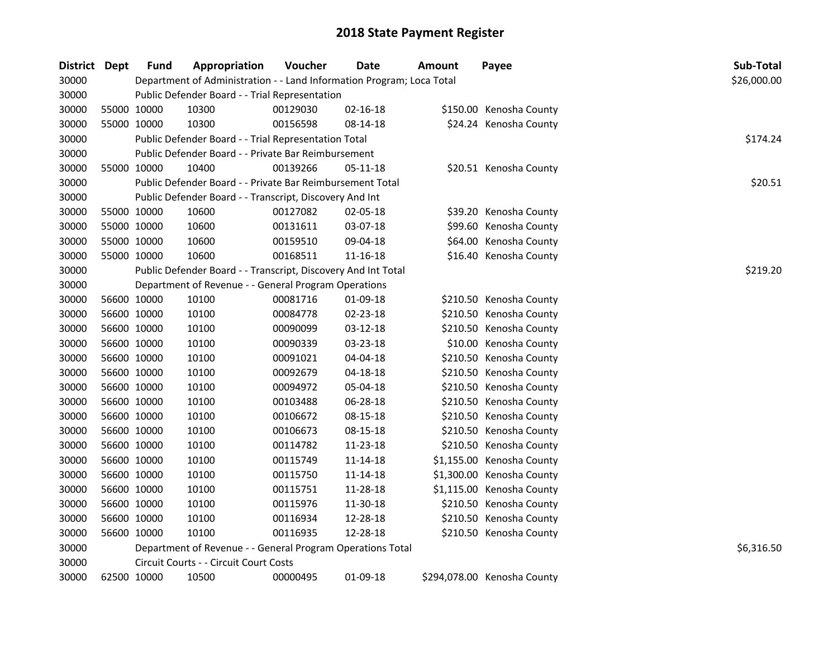| District Dept |             | <b>Fund</b> | Appropriation                                                         | Voucher  | Date           | Amount | Payee                       | Sub-Total   |  |  |  |
|---------------|-------------|-------------|-----------------------------------------------------------------------|----------|----------------|--------|-----------------------------|-------------|--|--|--|
| 30000         |             |             | Department of Administration - - Land Information Program; Loca Total |          |                |        |                             | \$26,000.00 |  |  |  |
| 30000         |             |             | Public Defender Board - - Trial Representation                        |          |                |        |                             |             |  |  |  |
| 30000         | 55000 10000 |             | 10300                                                                 | 00129030 | 02-16-18       |        | \$150.00 Kenosha County     |             |  |  |  |
| 30000         |             | 55000 10000 | 10300                                                                 | 00156598 | 08-14-18       |        | \$24.24 Kenosha County      |             |  |  |  |
| 30000         |             |             | Public Defender Board - - Trial Representation Total                  |          |                |        |                             | \$174.24    |  |  |  |
| 30000         |             |             | Public Defender Board - - Private Bar Reimbursement                   |          |                |        |                             |             |  |  |  |
| 30000         |             | 55000 10000 | 10400                                                                 | 00139266 | 05-11-18       |        | \$20.51 Kenosha County      |             |  |  |  |
| 30000         |             |             | Public Defender Board - - Private Bar Reimbursement Total             |          |                |        |                             | \$20.51     |  |  |  |
| 30000         |             |             | Public Defender Board - - Transcript, Discovery And Int               |          |                |        |                             |             |  |  |  |
| 30000         | 55000 10000 |             | 10600                                                                 | 00127082 | 02-05-18       |        | \$39.20 Kenosha County      |             |  |  |  |
| 30000         |             | 55000 10000 | 10600                                                                 | 00131611 | 03-07-18       |        | \$99.60 Kenosha County      |             |  |  |  |
| 30000         |             | 55000 10000 | 10600                                                                 | 00159510 | 09-04-18       |        | \$64.00 Kenosha County      |             |  |  |  |
| 30000         | 55000 10000 |             | 10600                                                                 | 00168511 | 11-16-18       |        | \$16.40 Kenosha County      |             |  |  |  |
| 30000         |             |             | Public Defender Board - - Transcript, Discovery And Int Total         |          |                |        |                             | \$219.20    |  |  |  |
| 30000         |             |             | Department of Revenue - - General Program Operations                  |          |                |        |                             |             |  |  |  |
| 30000         |             | 56600 10000 | 10100                                                                 | 00081716 | 01-09-18       |        | \$210.50 Kenosha County     |             |  |  |  |
| 30000         |             | 56600 10000 | 10100                                                                 | 00084778 | 02-23-18       |        | \$210.50 Kenosha County     |             |  |  |  |
| 30000         |             | 56600 10000 | 10100                                                                 | 00090099 | 03-12-18       |        | \$210.50 Kenosha County     |             |  |  |  |
| 30000         |             | 56600 10000 | 10100                                                                 | 00090339 | 03-23-18       |        | \$10.00 Kenosha County      |             |  |  |  |
| 30000         | 56600 10000 |             | 10100                                                                 | 00091021 | 04-04-18       |        | \$210.50 Kenosha County     |             |  |  |  |
| 30000         | 56600 10000 |             | 10100                                                                 | 00092679 | 04-18-18       |        | \$210.50 Kenosha County     |             |  |  |  |
| 30000         | 56600 10000 |             | 10100                                                                 | 00094972 | 05-04-18       |        | \$210.50 Kenosha County     |             |  |  |  |
| 30000         |             | 56600 10000 | 10100                                                                 | 00103488 | 06-28-18       |        | \$210.50 Kenosha County     |             |  |  |  |
| 30000         |             | 56600 10000 | 10100                                                                 | 00106672 | 08-15-18       |        | \$210.50 Kenosha County     |             |  |  |  |
| 30000         |             | 56600 10000 | 10100                                                                 | 00106673 | 08-15-18       |        | \$210.50 Kenosha County     |             |  |  |  |
| 30000         |             | 56600 10000 | 10100                                                                 | 00114782 | 11-23-18       |        | \$210.50 Kenosha County     |             |  |  |  |
| 30000         |             | 56600 10000 | 10100                                                                 | 00115749 | $11 - 14 - 18$ |        | \$1,155.00 Kenosha County   |             |  |  |  |
| 30000         |             | 56600 10000 | 10100                                                                 | 00115750 | 11-14-18       |        | \$1,300.00 Kenosha County   |             |  |  |  |
| 30000         |             | 56600 10000 | 10100                                                                 | 00115751 | 11-28-18       |        | \$1,115.00 Kenosha County   |             |  |  |  |
| 30000         |             | 56600 10000 | 10100                                                                 | 00115976 | 11-30-18       |        | \$210.50 Kenosha County     |             |  |  |  |
| 30000         | 56600 10000 |             | 10100                                                                 | 00116934 | 12-28-18       |        | \$210.50 Kenosha County     |             |  |  |  |
| 30000         | 56600 10000 |             | 10100                                                                 | 00116935 | 12-28-18       |        | \$210.50 Kenosha County     |             |  |  |  |
| 30000         |             |             | Department of Revenue - - General Program Operations Total            |          |                |        |                             | \$6,316.50  |  |  |  |
| 30000         |             |             | Circuit Courts - - Circuit Court Costs                                |          |                |        |                             |             |  |  |  |
| 30000         | 62500 10000 |             | 10500                                                                 | 00000495 | 01-09-18       |        | \$294,078.00 Kenosha County |             |  |  |  |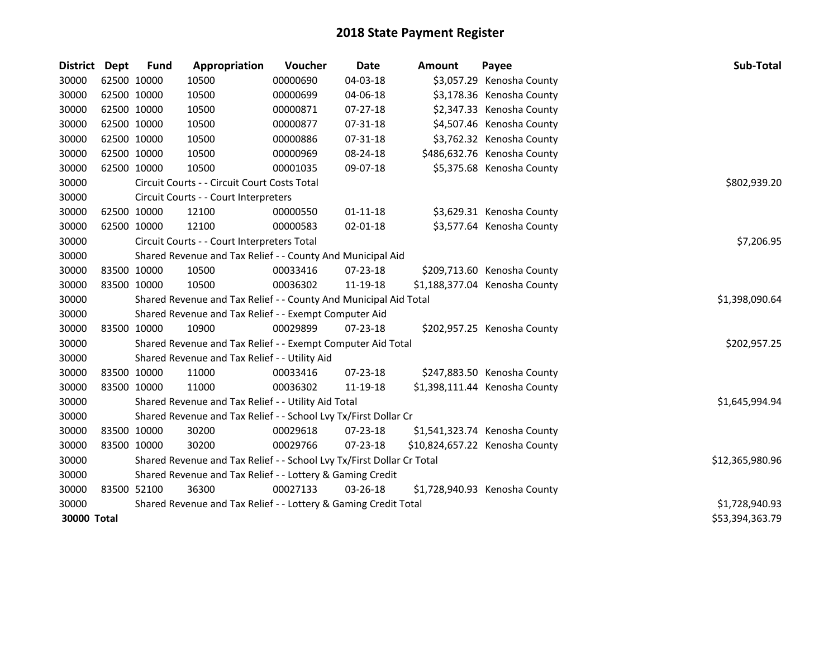| <b>District</b> | Dept        | <b>Fund</b> | Appropriation                                                         | Voucher        | <b>Date</b>    | <b>Amount</b> | Payee                          | Sub-Total       |
|-----------------|-------------|-------------|-----------------------------------------------------------------------|----------------|----------------|---------------|--------------------------------|-----------------|
| 30000           | 62500 10000 |             | 10500                                                                 | 00000690       | 04-03-18       |               | \$3,057.29 Kenosha County      |                 |
| 30000           | 62500 10000 |             | 10500                                                                 | 00000699       | 04-06-18       |               | \$3,178.36 Kenosha County      |                 |
| 30000           | 62500 10000 |             | 10500                                                                 | 00000871       | 07-27-18       |               | \$2,347.33 Kenosha County      |                 |
| 30000           | 62500 10000 |             | 10500                                                                 | 00000877       | 07-31-18       |               | \$4,507.46 Kenosha County      |                 |
| 30000           | 62500 10000 |             | 10500                                                                 | 00000886       | 07-31-18       |               | \$3,762.32 Kenosha County      |                 |
| 30000           | 62500 10000 |             | 10500                                                                 | 00000969       | 08-24-18       |               | \$486,632.76 Kenosha County    |                 |
| 30000           | 62500 10000 |             | 10500                                                                 | 00001035       | 09-07-18       |               | \$5,375.68 Kenosha County      |                 |
| 30000           |             |             | Circuit Courts - - Circuit Court Costs Total                          |                |                |               |                                | \$802,939.20    |
| 30000           |             |             | Circuit Courts - - Court Interpreters                                 |                |                |               |                                |                 |
| 30000           | 62500 10000 |             | 12100                                                                 | 00000550       | $01 - 11 - 18$ |               | \$3,629.31 Kenosha County      |                 |
| 30000           | 62500 10000 |             | 12100                                                                 | 00000583       | 02-01-18       |               | \$3,577.64 Kenosha County      |                 |
| 30000           |             |             | Circuit Courts - - Court Interpreters Total                           |                |                |               |                                | \$7,206.95      |
| 30000           |             |             | Shared Revenue and Tax Relief - - County And Municipal Aid            |                |                |               |                                |                 |
| 30000           |             | 83500 10000 | 10500                                                                 | 00033416       | 07-23-18       |               | \$209,713.60 Kenosha County    |                 |
| 30000           | 83500 10000 |             | 10500                                                                 | 00036302       | 11-19-18       |               | \$1,188,377.04 Kenosha County  |                 |
| 30000           |             |             | Shared Revenue and Tax Relief - - County And Municipal Aid Total      | \$1,398,090.64 |                |               |                                |                 |
| 30000           |             |             | Shared Revenue and Tax Relief - - Exempt Computer Aid                 |                |                |               |                                |                 |
| 30000           | 83500 10000 |             | 10900                                                                 | 00029899       | $07 - 23 - 18$ |               | \$202,957.25 Kenosha County    |                 |
| 30000           |             |             | Shared Revenue and Tax Relief - - Exempt Computer Aid Total           |                |                |               |                                | \$202,957.25    |
| 30000           |             |             | Shared Revenue and Tax Relief - - Utility Aid                         |                |                |               |                                |                 |
| 30000           | 83500 10000 |             | 11000                                                                 | 00033416       | 07-23-18       |               | \$247,883.50 Kenosha County    |                 |
| 30000           | 83500 10000 |             | 11000                                                                 | 00036302       | 11-19-18       |               | \$1,398,111.44 Kenosha County  |                 |
| 30000           |             |             | Shared Revenue and Tax Relief - - Utility Aid Total                   |                |                |               |                                | \$1,645,994.94  |
| 30000           |             |             | Shared Revenue and Tax Relief - - School Lvy Tx/First Dollar Cr       |                |                |               |                                |                 |
| 30000           | 83500 10000 |             | 30200                                                                 | 00029618       | $07 - 23 - 18$ |               | \$1,541,323.74 Kenosha County  |                 |
| 30000           | 83500 10000 |             | 30200                                                                 | 00029766       | 07-23-18       |               | \$10,824,657.22 Kenosha County |                 |
| 30000           |             |             | Shared Revenue and Tax Relief - - School Lvy Tx/First Dollar Cr Total |                |                |               |                                | \$12,365,980.96 |
| 30000           |             |             | Shared Revenue and Tax Relief - - Lottery & Gaming Credit             |                |                |               |                                |                 |
| 30000           | 83500 52100 |             | 36300                                                                 | 00027133       | 03-26-18       |               | \$1,728,940.93 Kenosha County  |                 |
| 30000           |             |             | Shared Revenue and Tax Relief - - Lottery & Gaming Credit Total       |                |                |               |                                | \$1,728,940.93  |
| 30000 Total     |             |             |                                                                       |                |                |               |                                | \$53,394,363.79 |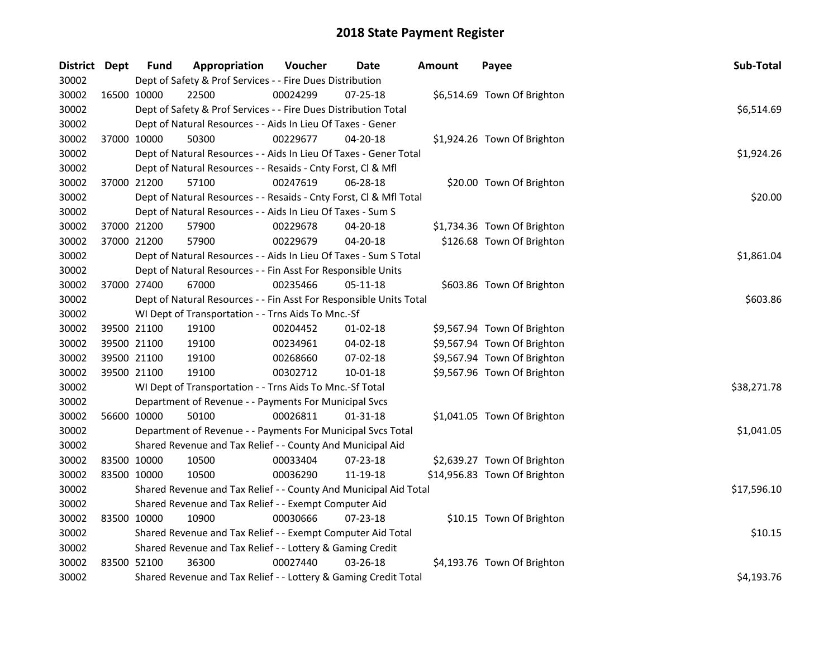| District Dept |             | <b>Fund</b> | Appropriation                                                      | Voucher  | Date           | <b>Amount</b> | Payee                        | Sub-Total   |
|---------------|-------------|-------------|--------------------------------------------------------------------|----------|----------------|---------------|------------------------------|-------------|
| 30002         |             |             | Dept of Safety & Prof Services - - Fire Dues Distribution          |          |                |               |                              |             |
| 30002         | 16500 10000 |             | 22500                                                              | 00024299 | 07-25-18       |               | \$6,514.69 Town Of Brighton  |             |
| 30002         |             |             | Dept of Safety & Prof Services - - Fire Dues Distribution Total    |          |                |               |                              | \$6,514.69  |
| 30002         |             |             | Dept of Natural Resources - - Aids In Lieu Of Taxes - Gener        |          |                |               |                              |             |
| 30002         | 37000 10000 |             | 50300                                                              | 00229677 | $04 - 20 - 18$ |               | \$1,924.26 Town Of Brighton  |             |
| 30002         |             |             | Dept of Natural Resources - - Aids In Lieu Of Taxes - Gener Total  |          |                |               |                              | \$1,924.26  |
| 30002         |             |             | Dept of Natural Resources - - Resaids - Cnty Forst, Cl & Mfl       |          |                |               |                              |             |
| 30002         |             | 37000 21200 | 57100                                                              | 00247619 | 06-28-18       |               | \$20.00 Town Of Brighton     |             |
| 30002         |             |             | Dept of Natural Resources - - Resaids - Cnty Forst, Cl & Mfl Total |          |                |               |                              | \$20.00     |
| 30002         |             |             | Dept of Natural Resources - - Aids In Lieu Of Taxes - Sum S        |          |                |               |                              |             |
| 30002         | 37000 21200 |             | 57900                                                              | 00229678 | 04-20-18       |               | \$1,734.36 Town Of Brighton  |             |
| 30002         | 37000 21200 |             | 57900                                                              | 00229679 | 04-20-18       |               | \$126.68 Town Of Brighton    |             |
| 30002         |             |             | Dept of Natural Resources - - Aids In Lieu Of Taxes - Sum S Total  |          |                |               |                              | \$1,861.04  |
| 30002         |             |             | Dept of Natural Resources - - Fin Asst For Responsible Units       |          |                |               |                              |             |
| 30002         | 37000 27400 |             | 67000                                                              | 00235466 | $05 - 11 - 18$ |               | \$603.86 Town Of Brighton    |             |
| 30002         |             |             | Dept of Natural Resources - - Fin Asst For Responsible Units Total | \$603.86 |                |               |                              |             |
| 30002         |             |             | WI Dept of Transportation - - Trns Aids To Mnc.-Sf                 |          |                |               |                              |             |
| 30002         | 39500 21100 |             | 19100                                                              | 00204452 | $01 - 02 - 18$ |               | \$9,567.94 Town Of Brighton  |             |
| 30002         | 39500 21100 |             | 19100                                                              | 00234961 | 04-02-18       |               | \$9,567.94 Town Of Brighton  |             |
| 30002         | 39500 21100 |             | 19100                                                              | 00268660 | 07-02-18       |               | \$9,567.94 Town Of Brighton  |             |
| 30002         | 39500 21100 |             | 19100                                                              | 00302712 | $10 - 01 - 18$ |               | \$9,567.96 Town Of Brighton  |             |
| 30002         |             |             | WI Dept of Transportation - - Trns Aids To Mnc.-Sf Total           |          |                |               |                              | \$38,271.78 |
| 30002         |             |             | Department of Revenue - - Payments For Municipal Svcs              |          |                |               |                              |             |
| 30002         | 56600 10000 |             | 50100                                                              | 00026811 | $01 - 31 - 18$ |               | \$1,041.05 Town Of Brighton  |             |
| 30002         |             |             | Department of Revenue - - Payments For Municipal Svcs Total        |          |                |               |                              | \$1,041.05  |
| 30002         |             |             | Shared Revenue and Tax Relief - - County And Municipal Aid         |          |                |               |                              |             |
| 30002         | 83500 10000 |             | 10500                                                              | 00033404 | 07-23-18       |               | \$2,639.27 Town Of Brighton  |             |
| 30002         | 83500 10000 |             | 10500                                                              | 00036290 | 11-19-18       |               | \$14,956.83 Town Of Brighton |             |
| 30002         |             |             | Shared Revenue and Tax Relief - - County And Municipal Aid Total   |          |                |               |                              | \$17,596.10 |
| 30002         |             |             | Shared Revenue and Tax Relief - - Exempt Computer Aid              |          |                |               |                              |             |
| 30002         | 83500 10000 |             | 10900                                                              | 00030666 | 07-23-18       |               | \$10.15 Town Of Brighton     |             |
| 30002         |             |             | Shared Revenue and Tax Relief - - Exempt Computer Aid Total        |          |                |               |                              | \$10.15     |
| 30002         |             |             | Shared Revenue and Tax Relief - - Lottery & Gaming Credit          |          |                |               |                              |             |
| 30002         | 83500 52100 |             | 36300                                                              | 00027440 | 03-26-18       |               | \$4,193.76 Town Of Brighton  |             |
| 30002         |             |             | Shared Revenue and Tax Relief - - Lottery & Gaming Credit Total    |          |                |               |                              | \$4,193.76  |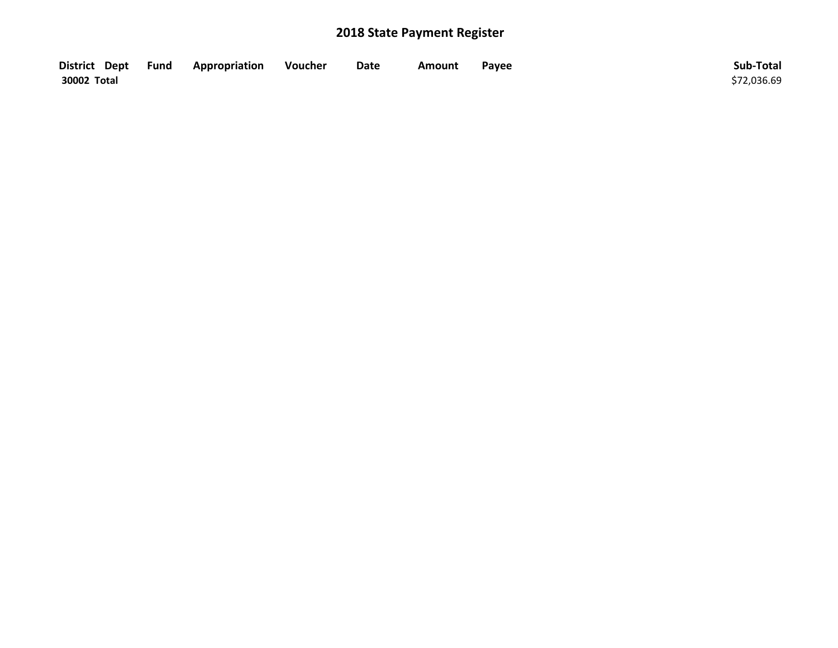| District Dept Fund | Appropriation | Voucher | Date | Amount | Payee | Sub-Total   |
|--------------------|---------------|---------|------|--------|-------|-------------|
| 30002 Total        |               |         |      |        |       | \$72,036.69 |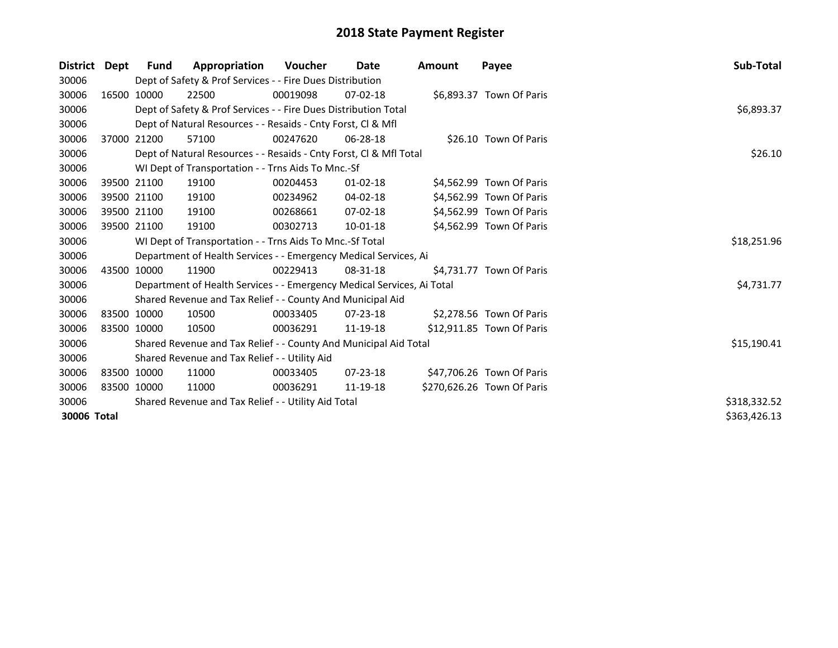| <b>District</b> | Dept        | Fund        | Appropriation                                                          | Voucher  | Date           | <b>Amount</b> | Payee                      | Sub-Total    |
|-----------------|-------------|-------------|------------------------------------------------------------------------|----------|----------------|---------------|----------------------------|--------------|
| 30006           |             |             | Dept of Safety & Prof Services - - Fire Dues Distribution              |          |                |               |                            |              |
| 30006           |             | 16500 10000 | 22500                                                                  | 00019098 | $07 - 02 - 18$ |               | \$6,893.37 Town Of Paris   |              |
| 30006           |             |             | Dept of Safety & Prof Services - - Fire Dues Distribution Total        |          |                |               |                            | \$6,893.37   |
| 30006           |             |             | Dept of Natural Resources - - Resaids - Cnty Forst, CI & Mfl           |          |                |               |                            |              |
| 30006           | 37000 21200 |             | 57100                                                                  | 00247620 | 06-28-18       |               | \$26.10 Town Of Paris      |              |
| 30006           |             |             | Dept of Natural Resources - - Resaids - Cnty Forst, CI & Mfl Total     |          |                |               |                            | \$26.10      |
| 30006           |             |             | WI Dept of Transportation - - Trns Aids To Mnc.-Sf                     |          |                |               |                            |              |
| 30006           |             | 39500 21100 | 19100                                                                  | 00204453 | 01-02-18       |               | \$4,562.99 Town Of Paris   |              |
| 30006           | 39500 21100 |             | 19100                                                                  | 00234962 | 04-02-18       |               | \$4,562.99 Town Of Paris   |              |
| 30006           | 39500 21100 |             | 19100                                                                  | 00268661 | 07-02-18       |               | \$4,562.99 Town Of Paris   |              |
| 30006           | 39500 21100 |             | 19100                                                                  | 00302713 | 10-01-18       |               | \$4,562.99 Town Of Paris   |              |
| 30006           |             |             | WI Dept of Transportation - - Trns Aids To Mnc.-Sf Total               |          |                |               |                            | \$18,251.96  |
| 30006           |             |             | Department of Health Services - - Emergency Medical Services, Ai       |          |                |               |                            |              |
| 30006           |             | 43500 10000 | 11900                                                                  | 00229413 | 08-31-18       |               | \$4,731.77 Town Of Paris   |              |
| 30006           |             |             | Department of Health Services - - Emergency Medical Services, Ai Total |          |                |               |                            | \$4,731.77   |
| 30006           |             |             | Shared Revenue and Tax Relief - - County And Municipal Aid             |          |                |               |                            |              |
| 30006           | 83500 10000 |             | 10500                                                                  | 00033405 | 07-23-18       |               | \$2,278.56 Town Of Paris   |              |
| 30006           | 83500 10000 |             | 10500                                                                  | 00036291 | 11-19-18       |               | \$12,911.85 Town Of Paris  |              |
| 30006           |             |             | Shared Revenue and Tax Relief - - County And Municipal Aid Total       |          |                |               |                            | \$15,190.41  |
| 30006           |             |             | Shared Revenue and Tax Relief - - Utility Aid                          |          |                |               |                            |              |
| 30006           | 83500 10000 |             | 11000                                                                  | 00033405 | 07-23-18       |               | \$47,706.26 Town Of Paris  |              |
| 30006           | 83500 10000 |             | 11000                                                                  | 00036291 | 11-19-18       |               | \$270,626.26 Town Of Paris |              |
| 30006           |             |             | Shared Revenue and Tax Relief - - Utility Aid Total                    |          |                |               |                            | \$318,332.52 |
| 30006 Total     |             |             |                                                                        |          |                |               |                            | \$363,426.13 |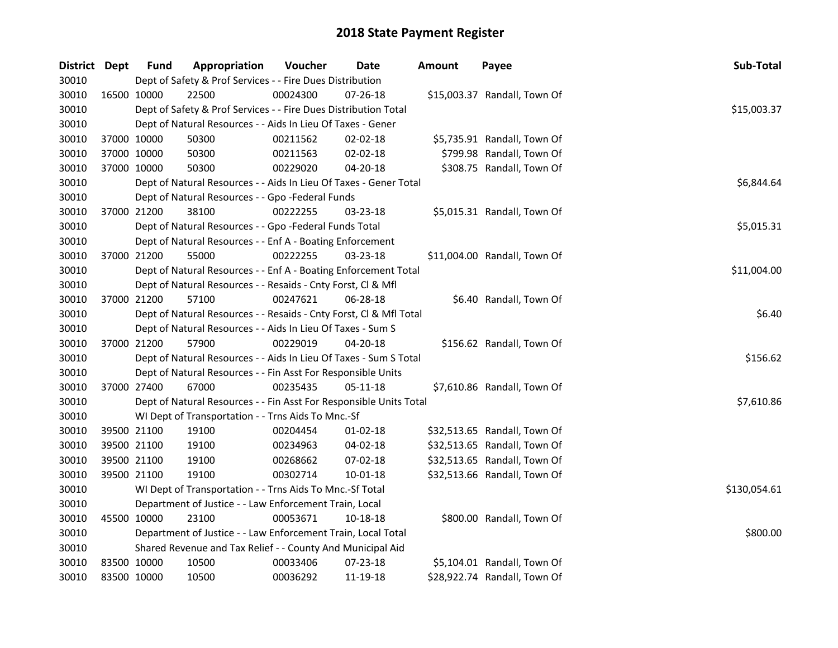| District Dept |             | <b>Fund</b>                                              | Appropriation                                                      | Voucher  | Date           | <b>Amount</b> | Payee                        | Sub-Total   |
|---------------|-------------|----------------------------------------------------------|--------------------------------------------------------------------|----------|----------------|---------------|------------------------------|-------------|
| 30010         |             |                                                          | Dept of Safety & Prof Services - - Fire Dues Distribution          |          |                |               |                              |             |
| 30010         | 16500 10000 |                                                          | 22500                                                              | 00024300 | 07-26-18       |               | \$15,003.37 Randall, Town Of |             |
| 30010         |             |                                                          | Dept of Safety & Prof Services - - Fire Dues Distribution Total    |          |                |               |                              | \$15,003.37 |
| 30010         |             |                                                          | Dept of Natural Resources - - Aids In Lieu Of Taxes - Gener        |          |                |               |                              |             |
| 30010         | 37000 10000 |                                                          | 50300                                                              | 00211562 | 02-02-18       |               | \$5,735.91 Randall, Town Of  |             |
| 30010         | 37000 10000 |                                                          | 50300                                                              | 00211563 | 02-02-18       |               | \$799.98 Randall, Town Of    |             |
| 30010         | 37000 10000 |                                                          | 50300                                                              | 00229020 | $04 - 20 - 18$ |               | \$308.75 Randall, Town Of    |             |
| 30010         |             |                                                          | Dept of Natural Resources - - Aids In Lieu Of Taxes - Gener Total  |          |                |               |                              | \$6,844.64  |
| 30010         |             |                                                          | Dept of Natural Resources - - Gpo -Federal Funds                   |          |                |               |                              |             |
| 30010         | 37000 21200 |                                                          | 38100                                                              | 00222255 | 03-23-18       |               | \$5,015.31 Randall, Town Of  |             |
| 30010         |             |                                                          | Dept of Natural Resources - - Gpo -Federal Funds Total             |          |                |               |                              | \$5,015.31  |
| 30010         |             |                                                          | Dept of Natural Resources - - Enf A - Boating Enforcement          |          |                |               |                              |             |
| 30010         |             | 37000 21200                                              | 55000                                                              | 00222255 | $03 - 23 - 18$ |               | \$11,004.00 Randall, Town Of |             |
| 30010         |             |                                                          | Dept of Natural Resources - - Enf A - Boating Enforcement Total    |          |                |               |                              | \$11,004.00 |
| 30010         |             |                                                          | Dept of Natural Resources - - Resaids - Cnty Forst, Cl & Mfl       |          |                |               |                              |             |
| 30010         | 37000 21200 |                                                          | 57100                                                              | 00247621 | 06-28-18       |               | \$6.40 Randall, Town Of      |             |
| 30010         |             |                                                          | Dept of Natural Resources - - Resaids - Cnty Forst, Cl & Mfl Total |          |                |               |                              | \$6.40      |
| 30010         |             |                                                          | Dept of Natural Resources - - Aids In Lieu Of Taxes - Sum S        |          |                |               |                              |             |
| 30010         | 37000 21200 |                                                          | 57900                                                              | 00229019 | 04-20-18       |               | \$156.62 Randall, Town Of    |             |
| 30010         |             |                                                          | Dept of Natural Resources - - Aids In Lieu Of Taxes - Sum S Total  |          |                |               |                              | \$156.62    |
| 30010         |             |                                                          | Dept of Natural Resources - - Fin Asst For Responsible Units       |          |                |               |                              |             |
| 30010         | 37000 27400 |                                                          | 67000                                                              | 00235435 | 05-11-18       |               | \$7,610.86 Randall, Town Of  |             |
| 30010         |             |                                                          | Dept of Natural Resources - - Fin Asst For Responsible Units Total |          |                |               |                              | \$7,610.86  |
| 30010         |             |                                                          | WI Dept of Transportation - - Trns Aids To Mnc.-Sf                 |          |                |               |                              |             |
| 30010         | 39500 21100 |                                                          | 19100                                                              | 00204454 | $01-02-18$     |               | \$32,513.65 Randall, Town Of |             |
| 30010         | 39500 21100 |                                                          | 19100                                                              | 00234963 | 04-02-18       |               | \$32,513.65 Randall, Town Of |             |
| 30010         | 39500 21100 |                                                          | 19100                                                              | 00268662 | 07-02-18       |               | \$32,513.65 Randall, Town Of |             |
| 30010         |             | 39500 21100                                              | 19100                                                              | 00302714 | 10-01-18       |               | \$32,513.66 Randall, Town Of |             |
| 30010         |             | WI Dept of Transportation - - Trns Aids To Mnc.-Sf Total | \$130,054.61                                                       |          |                |               |                              |             |
| 30010         |             |                                                          | Department of Justice - - Law Enforcement Train, Local             |          |                |               |                              |             |
| 30010         | 45500 10000 |                                                          | 23100                                                              | 00053671 | 10-18-18       |               | \$800.00 Randall, Town Of    |             |
| 30010         |             |                                                          | Department of Justice - - Law Enforcement Train, Local Total       |          |                |               |                              | \$800.00    |
| 30010         |             |                                                          | Shared Revenue and Tax Relief - - County And Municipal Aid         |          |                |               |                              |             |
| 30010         | 83500 10000 |                                                          | 10500                                                              | 00033406 | 07-23-18       |               | \$5,104.01 Randall, Town Of  |             |
| 30010         | 83500 10000 |                                                          | 10500                                                              | 00036292 | 11-19-18       |               | \$28,922.74 Randall, Town Of |             |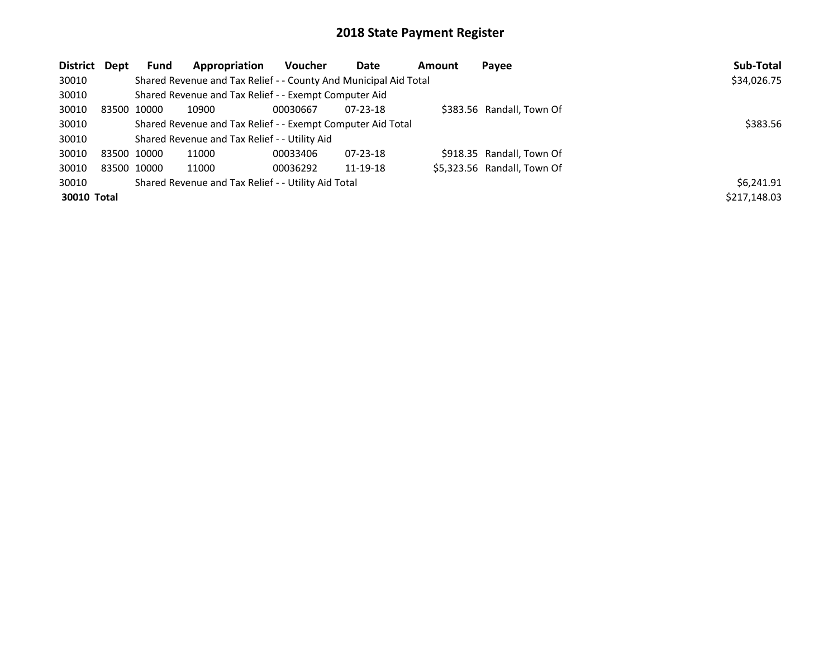| District Dept | Fund        | Appropriation                                                    | <b>Voucher</b> | Date           | Amount | Payee                       | Sub-Total    |
|---------------|-------------|------------------------------------------------------------------|----------------|----------------|--------|-----------------------------|--------------|
| 30010         |             | Shared Revenue and Tax Relief - - County And Municipal Aid Total |                |                |        |                             | \$34,026.75  |
| 30010         |             | Shared Revenue and Tax Relief - - Exempt Computer Aid            |                |                |        |                             |              |
| 30010         | 83500 10000 | 10900                                                            | 00030667       | $07 - 23 - 18$ |        | \$383.56 Randall, Town Of   |              |
| 30010         |             | Shared Revenue and Tax Relief - - Exempt Computer Aid Total      | \$383.56       |                |        |                             |              |
| 30010         |             | Shared Revenue and Tax Relief - - Utility Aid                    |                |                |        |                             |              |
| 30010         | 83500 10000 | 11000                                                            | 00033406       | $07 - 23 - 18$ |        | \$918.35 Randall, Town Of   |              |
| 30010         | 83500 10000 | 11000                                                            | 00036292       | 11-19-18       |        | \$5,323.56 Randall, Town Of |              |
| 30010         |             | Shared Revenue and Tax Relief - - Utility Aid Total              |                |                |        |                             | \$6.241.91   |
| 30010 Total   |             |                                                                  |                |                |        |                             | \$217,148.03 |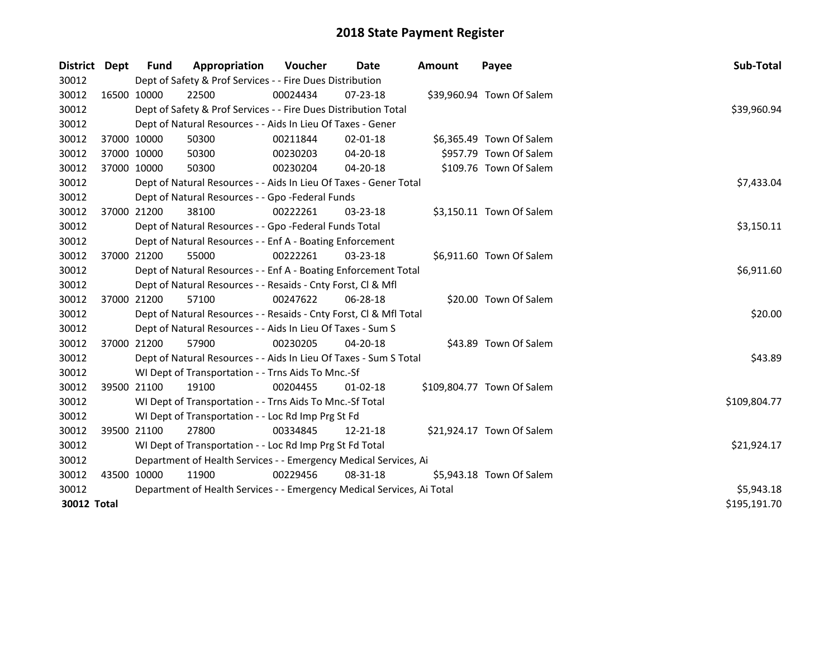| District    | <b>Dept</b> | Fund        | Appropriation                                                                 | <b>Voucher</b> | Date           | <b>Amount</b> | Payee                      | Sub-Total    |  |  |  |
|-------------|-------------|-------------|-------------------------------------------------------------------------------|----------------|----------------|---------------|----------------------------|--------------|--|--|--|
| 30012       |             |             | Dept of Safety & Prof Services - - Fire Dues Distribution                     |                |                |               |                            |              |  |  |  |
| 30012       |             | 16500 10000 | 22500                                                                         | 00024434       | 07-23-18       |               | \$39,960.94 Town Of Salem  |              |  |  |  |
| 30012       |             |             | Dept of Safety & Prof Services - - Fire Dues Distribution Total               |                |                |               |                            | \$39,960.94  |  |  |  |
| 30012       |             |             | Dept of Natural Resources - - Aids In Lieu Of Taxes - Gener                   |                |                |               |                            |              |  |  |  |
| 30012       |             | 37000 10000 | 50300                                                                         | 00211844       | $02 - 01 - 18$ |               | \$6,365.49 Town Of Salem   |              |  |  |  |
| 30012       |             | 37000 10000 | 50300                                                                         | 00230203       | 04-20-18       |               | \$957.79 Town Of Salem     |              |  |  |  |
| 30012       |             | 37000 10000 | 50300                                                                         | 00230204       | 04-20-18       |               | \$109.76 Town Of Salem     |              |  |  |  |
| 30012       |             |             | Dept of Natural Resources - - Aids In Lieu Of Taxes - Gener Total             |                |                |               |                            | \$7,433.04   |  |  |  |
| 30012       |             |             | Dept of Natural Resources - - Gpo -Federal Funds                              |                |                |               |                            |              |  |  |  |
| 30012       |             | 37000 21200 | 38100                                                                         | 00222261       | $03 - 23 - 18$ |               | \$3,150.11 Town Of Salem   |              |  |  |  |
| 30012       |             |             | Dept of Natural Resources - - Gpo -Federal Funds Total                        |                |                |               |                            | \$3,150.11   |  |  |  |
| 30012       |             |             | Dept of Natural Resources - - Enf A - Boating Enforcement                     |                |                |               |                            |              |  |  |  |
| 30012       |             | 37000 21200 | 55000                                                                         | 00222261       | 03-23-18       |               | \$6,911.60 Town Of Salem   |              |  |  |  |
| 30012       |             |             | Dept of Natural Resources - - Enf A - Boating Enforcement Total<br>\$6,911.60 |                |                |               |                            |              |  |  |  |
| 30012       |             |             | Dept of Natural Resources - - Resaids - Cnty Forst, Cl & Mfl                  |                |                |               |                            |              |  |  |  |
| 30012       |             | 37000 21200 | 57100                                                                         | 00247622       | $06 - 28 - 18$ |               | \$20.00 Town Of Salem      |              |  |  |  |
| 30012       |             |             | Dept of Natural Resources - - Resaids - Cnty Forst, Cl & Mfl Total            |                |                |               |                            | \$20.00      |  |  |  |
| 30012       |             |             | Dept of Natural Resources - - Aids In Lieu Of Taxes - Sum S                   |                |                |               |                            |              |  |  |  |
| 30012       |             | 37000 21200 | 57900                                                                         | 00230205       | 04-20-18       |               | \$43.89 Town Of Salem      |              |  |  |  |
| 30012       |             |             | Dept of Natural Resources - - Aids In Lieu Of Taxes - Sum S Total             |                |                |               |                            | \$43.89      |  |  |  |
| 30012       |             |             | WI Dept of Transportation - - Trns Aids To Mnc.-Sf                            |                |                |               |                            |              |  |  |  |
| 30012       |             | 39500 21100 | 19100                                                                         | 00204455       | $01-02-18$     |               | \$109,804.77 Town Of Salem |              |  |  |  |
| 30012       |             |             | WI Dept of Transportation - - Trns Aids To Mnc.-Sf Total                      |                |                |               |                            | \$109,804.77 |  |  |  |
| 30012       |             |             | WI Dept of Transportation - - Loc Rd Imp Prg St Fd                            |                |                |               |                            |              |  |  |  |
| 30012       |             | 39500 21100 | 27800                                                                         | 00334845       | $12 - 21 - 18$ |               | \$21,924.17 Town Of Salem  |              |  |  |  |
| 30012       |             |             | WI Dept of Transportation - - Loc Rd Imp Prg St Fd Total                      |                |                |               |                            | \$21,924.17  |  |  |  |
| 30012       |             |             | Department of Health Services - - Emergency Medical Services, Ai              |                |                |               |                            |              |  |  |  |
| 30012       |             | 43500 10000 | 11900                                                                         | 00229456       | 08-31-18       |               | \$5,943.18 Town Of Salem   |              |  |  |  |
| 30012       |             |             | Department of Health Services - - Emergency Medical Services, Ai Total        |                |                |               |                            | \$5,943.18   |  |  |  |
| 30012 Total |             |             |                                                                               |                |                |               |                            | \$195,191.70 |  |  |  |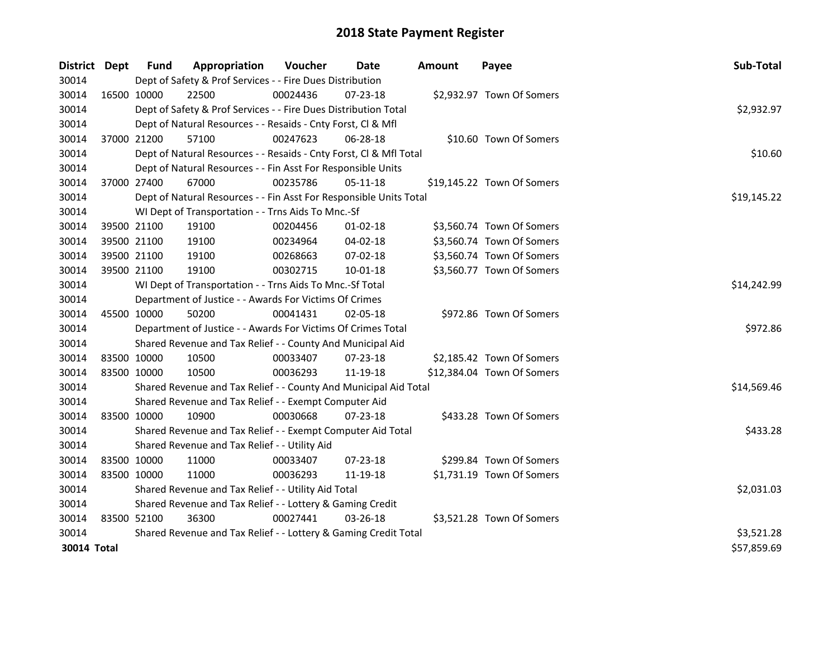| District Dept | <b>Fund</b>                                         | Appropriation                                                      | Voucher     | Date           | <b>Amount</b> | Payee                      | Sub-Total   |
|---------------|-----------------------------------------------------|--------------------------------------------------------------------|-------------|----------------|---------------|----------------------------|-------------|
| 30014         |                                                     | Dept of Safety & Prof Services - - Fire Dues Distribution          |             |                |               |                            |             |
| 30014         | 16500 10000                                         | 22500                                                              | 00024436    | 07-23-18       |               | \$2,932.97 Town Of Somers  |             |
| 30014         |                                                     | Dept of Safety & Prof Services - - Fire Dues Distribution Total    |             |                |               |                            | \$2,932.97  |
| 30014         |                                                     | Dept of Natural Resources - - Resaids - Cnty Forst, Cl & Mfl       |             |                |               |                            |             |
| 30014         | 37000 21200                                         | 57100                                                              | 00247623    | 06-28-18       |               | \$10.60 Town Of Somers     |             |
| 30014         |                                                     | Dept of Natural Resources - - Resaids - Cnty Forst, Cl & Mfl Total |             |                |               |                            | \$10.60     |
| 30014         |                                                     | Dept of Natural Resources - - Fin Asst For Responsible Units       |             |                |               |                            |             |
| 30014         | 37000 27400                                         | 67000                                                              | 00235786    | 05-11-18       |               | \$19,145.22 Town Of Somers |             |
| 30014         |                                                     | Dept of Natural Resources - - Fin Asst For Responsible Units Total |             |                |               |                            | \$19,145.22 |
| 30014         | WI Dept of Transportation - - Trns Aids To Mnc.-Sf  |                                                                    |             |                |               |                            |             |
| 30014         | 39500 21100                                         | 19100                                                              | 00204456    | $01 - 02 - 18$ |               | \$3,560.74 Town Of Somers  |             |
| 30014         | 39500 21100                                         | 19100                                                              | 00234964    | 04-02-18       |               | \$3,560.74 Town Of Somers  |             |
| 30014         | 39500 21100                                         | 19100                                                              | 00268663    | 07-02-18       |               | \$3,560.74 Town Of Somers  |             |
| 30014         | 39500 21100                                         | 19100                                                              | 00302715    | 10-01-18       |               | \$3,560.77 Town Of Somers  |             |
| 30014         |                                                     | WI Dept of Transportation - - Trns Aids To Mnc.-Sf Total           | \$14,242.99 |                |               |                            |             |
| 30014         |                                                     | Department of Justice - - Awards For Victims Of Crimes             |             |                |               |                            |             |
| 30014         | 45500 10000                                         | 50200                                                              | 00041431    | 02-05-18       |               | \$972.86 Town Of Somers    |             |
| 30014         |                                                     | Department of Justice - - Awards For Victims Of Crimes Total       |             |                |               |                            | \$972.86    |
| 30014         |                                                     | Shared Revenue and Tax Relief - - County And Municipal Aid         |             |                |               |                            |             |
| 30014         | 83500 10000                                         | 10500                                                              | 00033407    | 07-23-18       |               | \$2,185.42 Town Of Somers  |             |
| 30014         | 83500 10000                                         | 10500                                                              | 00036293    | 11-19-18       |               | \$12,384.04 Town Of Somers |             |
| 30014         |                                                     | Shared Revenue and Tax Relief - - County And Municipal Aid Total   |             |                |               |                            | \$14,569.46 |
| 30014         |                                                     | Shared Revenue and Tax Relief - - Exempt Computer Aid              |             |                |               |                            |             |
| 30014         | 83500 10000                                         | 10900                                                              | 00030668    | $07 - 23 - 18$ |               | \$433.28 Town Of Somers    |             |
| 30014         |                                                     | Shared Revenue and Tax Relief - - Exempt Computer Aid Total        |             |                |               |                            | \$433.28    |
| 30014         |                                                     | Shared Revenue and Tax Relief - - Utility Aid                      |             |                |               |                            |             |
| 30014         | 83500 10000                                         | 11000                                                              | 00033407    | 07-23-18       |               | \$299.84 Town Of Somers    |             |
| 30014         | 83500 10000                                         | 11000                                                              | 00036293    | 11-19-18       |               | \$1,731.19 Town Of Somers  |             |
| 30014         | Shared Revenue and Tax Relief - - Utility Aid Total |                                                                    |             |                |               |                            |             |
| 30014         |                                                     | Shared Revenue and Tax Relief - - Lottery & Gaming Credit          |             |                |               |                            |             |
| 30014         | 83500 52100                                         | 36300                                                              | 00027441    | $03 - 26 - 18$ |               | \$3,521.28 Town Of Somers  |             |
| 30014         |                                                     | Shared Revenue and Tax Relief - - Lottery & Gaming Credit Total    |             |                |               |                            | \$3,521.28  |
| 30014 Total   |                                                     |                                                                    |             |                |               |                            | \$57,859.69 |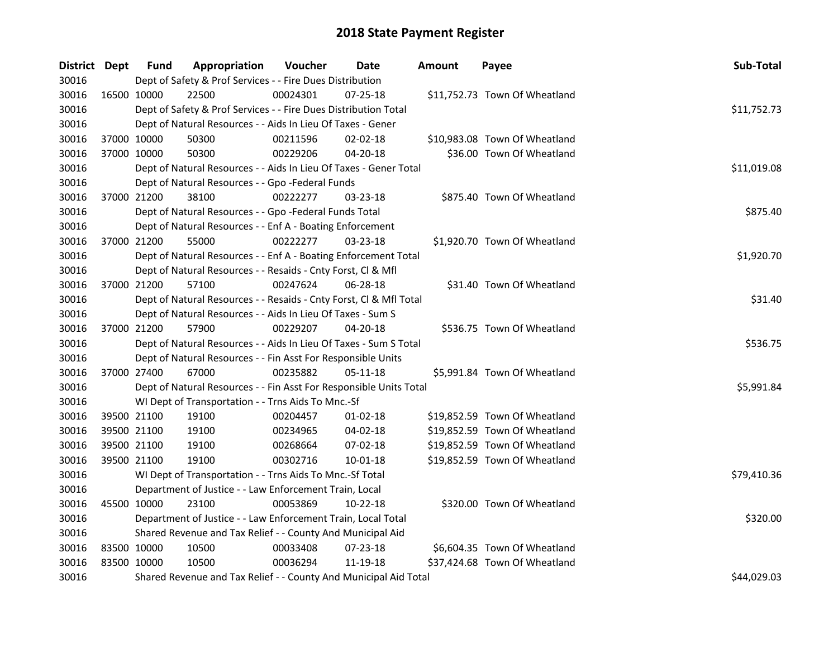| District Dept |             | <b>Fund</b>                                            | Appropriation                                                      | Voucher  | Date           | <b>Amount</b> | Payee                         | Sub-Total   |  |  |  |
|---------------|-------------|--------------------------------------------------------|--------------------------------------------------------------------|----------|----------------|---------------|-------------------------------|-------------|--|--|--|
| 30016         |             |                                                        | Dept of Safety & Prof Services - - Fire Dues Distribution          |          |                |               |                               |             |  |  |  |
| 30016         | 16500 10000 |                                                        | 22500                                                              | 00024301 | $07 - 25 - 18$ |               | \$11,752.73 Town Of Wheatland |             |  |  |  |
| 30016         |             |                                                        | Dept of Safety & Prof Services - - Fire Dues Distribution Total    |          |                |               |                               | \$11,752.73 |  |  |  |
| 30016         |             |                                                        | Dept of Natural Resources - - Aids In Lieu Of Taxes - Gener        |          |                |               |                               |             |  |  |  |
| 30016         |             | 37000 10000                                            | 50300                                                              | 00211596 | 02-02-18       |               | \$10,983.08 Town Of Wheatland |             |  |  |  |
| 30016         |             | 37000 10000                                            | 50300                                                              | 00229206 | 04-20-18       |               | \$36.00 Town Of Wheatland     |             |  |  |  |
| 30016         |             |                                                        | Dept of Natural Resources - - Aids In Lieu Of Taxes - Gener Total  |          |                |               |                               | \$11,019.08 |  |  |  |
| 30016         |             |                                                        | Dept of Natural Resources - - Gpo -Federal Funds                   |          |                |               |                               |             |  |  |  |
| 30016         |             | 37000 21200                                            | 38100                                                              | 00222277 | 03-23-18       |               | \$875.40 Town Of Wheatland    |             |  |  |  |
| 30016         |             |                                                        | Dept of Natural Resources - - Gpo -Federal Funds Total             |          |                |               |                               | \$875.40    |  |  |  |
| 30016         |             |                                                        | Dept of Natural Resources - - Enf A - Boating Enforcement          |          |                |               |                               |             |  |  |  |
| 30016         |             | 37000 21200                                            | 55000                                                              | 00222277 | 03-23-18       |               | \$1,920.70 Town Of Wheatland  |             |  |  |  |
| 30016         |             |                                                        | Dept of Natural Resources - - Enf A - Boating Enforcement Total    |          |                |               |                               | \$1,920.70  |  |  |  |
| 30016         |             |                                                        | Dept of Natural Resources - - Resaids - Cnty Forst, Cl & Mfl       |          |                |               |                               |             |  |  |  |
| 30016         |             | 37000 21200                                            | 57100                                                              | 00247624 | $06 - 28 - 18$ |               | \$31.40 Town Of Wheatland     |             |  |  |  |
| 30016         |             |                                                        | Dept of Natural Resources - - Resaids - Cnty Forst, CI & Mfl Total |          |                |               |                               | \$31.40     |  |  |  |
| 30016         |             |                                                        | Dept of Natural Resources - - Aids In Lieu Of Taxes - Sum S        |          |                |               |                               |             |  |  |  |
| 30016         |             | 37000 21200                                            | 57900                                                              | 00229207 | $04 - 20 - 18$ |               | \$536.75 Town Of Wheatland    |             |  |  |  |
| 30016         |             |                                                        | Dept of Natural Resources - - Aids In Lieu Of Taxes - Sum S Total  |          |                |               |                               | \$536.75    |  |  |  |
| 30016         |             |                                                        | Dept of Natural Resources - - Fin Asst For Responsible Units       |          |                |               |                               |             |  |  |  |
| 30016         |             | 37000 27400                                            | 67000                                                              | 00235882 | $05 - 11 - 18$ |               | \$5,991.84 Town Of Wheatland  |             |  |  |  |
| 30016         |             |                                                        | Dept of Natural Resources - - Fin Asst For Responsible Units Total |          |                |               |                               | \$5,991.84  |  |  |  |
| 30016         |             |                                                        | WI Dept of Transportation - - Trns Aids To Mnc.-Sf                 |          |                |               |                               |             |  |  |  |
| 30016         |             | 39500 21100                                            | 19100                                                              | 00204457 | 01-02-18       |               | \$19,852.59 Town Of Wheatland |             |  |  |  |
| 30016         |             | 39500 21100                                            | 19100                                                              | 00234965 | 04-02-18       |               | \$19,852.59 Town Of Wheatland |             |  |  |  |
| 30016         |             | 39500 21100                                            | 19100                                                              | 00268664 | 07-02-18       |               | \$19,852.59 Town Of Wheatland |             |  |  |  |
| 30016         |             | 39500 21100                                            | 19100                                                              | 00302716 | $10 - 01 - 18$ |               | \$19,852.59 Town Of Wheatland |             |  |  |  |
| 30016         |             |                                                        | WI Dept of Transportation - - Trns Aids To Mnc.-Sf Total           |          |                |               |                               | \$79,410.36 |  |  |  |
| 30016         |             | Department of Justice - - Law Enforcement Train, Local |                                                                    |          |                |               |                               |             |  |  |  |
| 30016         | 45500 10000 |                                                        | 23100                                                              | 00053869 | 10-22-18       |               | \$320.00 Town Of Wheatland    |             |  |  |  |
| 30016         |             |                                                        | Department of Justice - - Law Enforcement Train, Local Total       |          |                |               |                               | \$320.00    |  |  |  |
| 30016         |             |                                                        | Shared Revenue and Tax Relief - - County And Municipal Aid         |          |                |               |                               |             |  |  |  |
| 30016         |             | 83500 10000                                            | 10500                                                              | 00033408 | 07-23-18       |               | \$6,604.35 Town Of Wheatland  |             |  |  |  |
| 30016         |             | 83500 10000                                            | 10500                                                              | 00036294 | 11-19-18       |               | \$37,424.68 Town Of Wheatland |             |  |  |  |
| 30016         |             |                                                        | Shared Revenue and Tax Relief - - County And Municipal Aid Total   |          |                |               |                               | \$44,029.03 |  |  |  |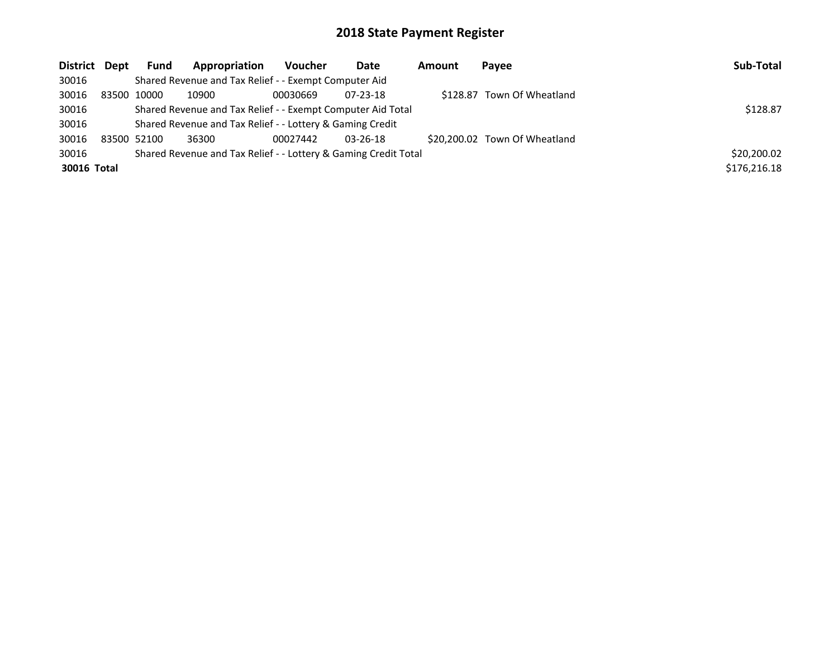| District Dept | <b>Fund</b> | Appropriation                                                   | Voucher  | Date           | Amount | Payee                         | Sub-Total    |
|---------------|-------------|-----------------------------------------------------------------|----------|----------------|--------|-------------------------------|--------------|
| 30016         |             | Shared Revenue and Tax Relief - - Exempt Computer Aid           |          |                |        |                               |              |
| 30016         | 83500 10000 | 10900                                                           | 00030669 | $07 - 23 - 18$ |        | \$128.87 Town Of Wheatland    |              |
| 30016         |             | Shared Revenue and Tax Relief - - Exempt Computer Aid Total     | \$128.87 |                |        |                               |              |
| 30016         |             | Shared Revenue and Tax Relief - - Lottery & Gaming Credit       |          |                |        |                               |              |
| 30016         | 83500 52100 | 36300                                                           | 00027442 | $03 - 26 - 18$ |        | \$20,200.02 Town Of Wheatland |              |
| 30016         |             | Shared Revenue and Tax Relief - - Lottery & Gaming Credit Total |          |                |        |                               | \$20,200.02  |
| 30016 Total   |             |                                                                 |          |                |        |                               | \$176,216.18 |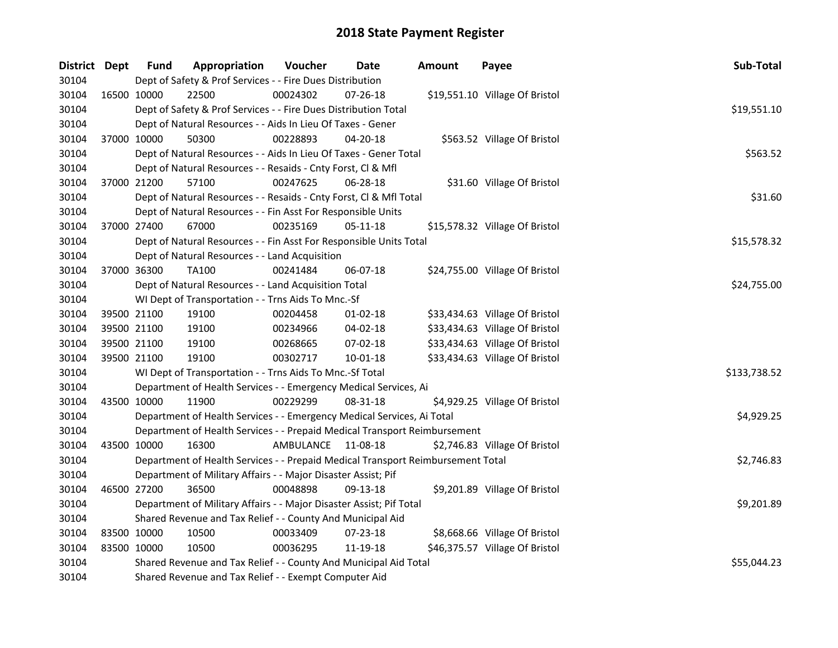| District Dept |             | <b>Fund</b> | Appropriation                                                                   | Voucher            | Date           | <b>Amount</b> | Payee                          | Sub-Total    |
|---------------|-------------|-------------|---------------------------------------------------------------------------------|--------------------|----------------|---------------|--------------------------------|--------------|
| 30104         |             |             | Dept of Safety & Prof Services - - Fire Dues Distribution                       |                    |                |               |                                |              |
| 30104         | 16500 10000 |             | 22500                                                                           | 00024302           | 07-26-18       |               | \$19,551.10 Village Of Bristol |              |
| 30104         |             |             | Dept of Safety & Prof Services - - Fire Dues Distribution Total                 |                    |                |               |                                | \$19,551.10  |
| 30104         |             |             | Dept of Natural Resources - - Aids In Lieu Of Taxes - Gener                     |                    |                |               |                                |              |
| 30104         | 37000 10000 |             | 50300                                                                           | 00228893           | 04-20-18       |               | \$563.52 Village Of Bristol    |              |
| 30104         |             |             | Dept of Natural Resources - - Aids In Lieu Of Taxes - Gener Total               |                    |                |               |                                | \$563.52     |
| 30104         |             |             | Dept of Natural Resources - - Resaids - Cnty Forst, Cl & Mfl                    |                    |                |               |                                |              |
| 30104         |             | 37000 21200 | 57100                                                                           | 00247625           | 06-28-18       |               | \$31.60 Village Of Bristol     |              |
| 30104         |             |             | Dept of Natural Resources - - Resaids - Cnty Forst, Cl & Mfl Total              |                    |                |               |                                | \$31.60      |
| 30104         |             |             | Dept of Natural Resources - - Fin Asst For Responsible Units                    |                    |                |               |                                |              |
| 30104         | 37000 27400 |             | 67000                                                                           | 00235169           | 05-11-18       |               | \$15,578.32 Village Of Bristol |              |
| 30104         |             |             | Dept of Natural Resources - - Fin Asst For Responsible Units Total              |                    |                |               |                                | \$15,578.32  |
| 30104         |             |             | Dept of Natural Resources - - Land Acquisition                                  |                    |                |               |                                |              |
| 30104         | 37000 36300 |             | <b>TA100</b>                                                                    | 00241484           | 06-07-18       |               | \$24,755.00 Village Of Bristol |              |
| 30104         |             |             | Dept of Natural Resources - - Land Acquisition Total                            |                    |                |               |                                | \$24,755.00  |
| 30104         |             |             | WI Dept of Transportation - - Trns Aids To Mnc.-Sf                              |                    |                |               |                                |              |
| 30104         |             | 39500 21100 | 19100                                                                           | 00204458           | $01-02-18$     |               | \$33,434.63 Village Of Bristol |              |
| 30104         | 39500 21100 |             | 19100                                                                           | 00234966           | 04-02-18       |               | \$33,434.63 Village Of Bristol |              |
| 30104         | 39500 21100 |             | 19100                                                                           | 00268665           | 07-02-18       |               | \$33,434.63 Village Of Bristol |              |
| 30104         | 39500 21100 |             | 19100                                                                           | 00302717           | $10 - 01 - 18$ |               | \$33,434.63 Village Of Bristol |              |
| 30104         |             |             | WI Dept of Transportation - - Trns Aids To Mnc.-Sf Total                        |                    |                |               |                                | \$133,738.52 |
| 30104         |             |             | Department of Health Services - - Emergency Medical Services, Ai                |                    |                |               |                                |              |
| 30104         | 43500 10000 |             | 11900                                                                           | 00229299           | 08-31-18       |               | \$4,929.25 Village Of Bristol  |              |
| 30104         |             |             | Department of Health Services - - Emergency Medical Services, Ai Total          |                    |                |               |                                | \$4,929.25   |
| 30104         |             |             | Department of Health Services - - Prepaid Medical Transport Reimbursement       |                    |                |               |                                |              |
| 30104         | 43500 10000 |             | 16300                                                                           | AMBULANCE 11-08-18 |                |               | \$2,746.83 Village Of Bristol  |              |
| 30104         |             |             | Department of Health Services - - Prepaid Medical Transport Reimbursement Total |                    |                |               |                                | \$2,746.83   |
| 30104         |             |             | Department of Military Affairs - - Major Disaster Assist; Pif                   |                    |                |               |                                |              |
| 30104         | 46500 27200 |             | 36500                                                                           | 00048898           | 09-13-18       |               | \$9,201.89 Village Of Bristol  |              |
| 30104         |             |             | Department of Military Affairs - - Major Disaster Assist; Pif Total             |                    |                |               |                                | \$9,201.89   |
| 30104         |             |             | Shared Revenue and Tax Relief - - County And Municipal Aid                      |                    |                |               |                                |              |
| 30104         | 83500 10000 |             | 10500                                                                           | 00033409           | 07-23-18       |               | \$8,668.66 Village Of Bristol  |              |
| 30104         | 83500 10000 |             | 10500                                                                           | 00036295           | 11-19-18       |               | \$46,375.57 Village Of Bristol |              |
| 30104         |             |             | Shared Revenue and Tax Relief - - County And Municipal Aid Total                | \$55,044.23        |                |               |                                |              |
| 30104         |             |             | Shared Revenue and Tax Relief - - Exempt Computer Aid                           |                    |                |               |                                |              |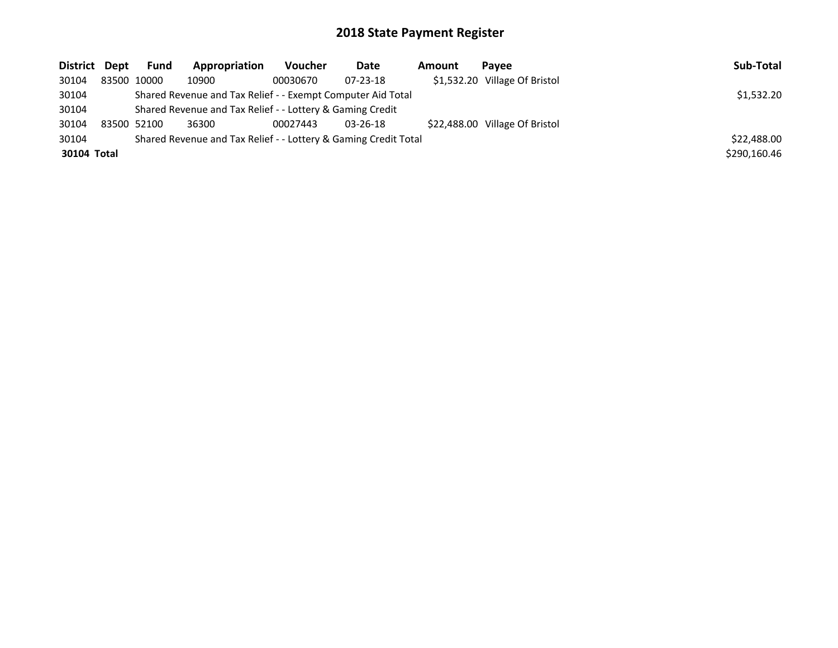| District Dept | Fund        | Appropriation                                                   | Voucher  | Date           | Amount | Pavee                          | Sub-Total    |
|---------------|-------------|-----------------------------------------------------------------|----------|----------------|--------|--------------------------------|--------------|
| 30104         | 83500 10000 | 10900                                                           | 00030670 | $07 - 23 - 18$ |        | \$1,532.20 Village Of Bristol  |              |
| 30104         |             | Shared Revenue and Tax Relief - - Exempt Computer Aid Total     |          |                |        |                                | \$1,532.20   |
| 30104         |             | Shared Revenue and Tax Relief - - Lottery & Gaming Credit       |          |                |        |                                |              |
| 30104         | 83500 52100 | 36300                                                           | 00027443 | $03 - 26 - 18$ |        | \$22,488.00 Village Of Bristol |              |
| 30104         |             | Shared Revenue and Tax Relief - - Lottery & Gaming Credit Total |          |                |        |                                | \$22,488.00  |
| 30104 Total   |             |                                                                 |          |                |        |                                | \$290,160.46 |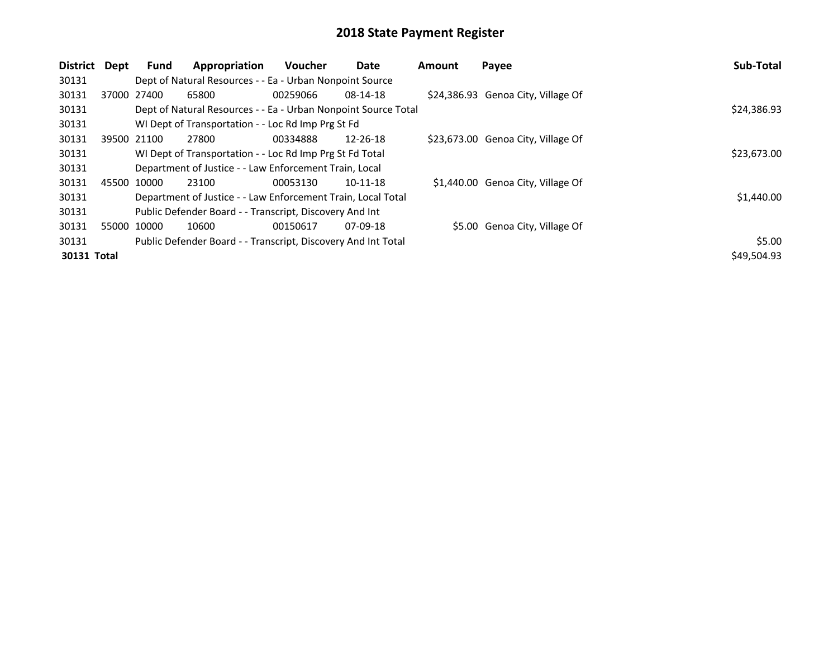| District    | Dept        | Fund        | Appropriation                                                  | <b>Voucher</b> | <b>Date</b>    | <b>Amount</b> | Payee                              | <b>Sub-Total</b> |  |  |
|-------------|-------------|-------------|----------------------------------------------------------------|----------------|----------------|---------------|------------------------------------|------------------|--|--|
| 30131       |             |             | Dept of Natural Resources - - Ea - Urban Nonpoint Source       |                |                |               |                                    |                  |  |  |
| 30131       |             | 37000 27400 | 65800                                                          | 00259066       | 08-14-18       |               | \$24,386.93 Genoa City, Village Of |                  |  |  |
| 30131       |             |             | Dept of Natural Resources - - Ea - Urban Nonpoint Source Total |                |                |               |                                    | \$24,386.93      |  |  |
| 30131       |             |             | WI Dept of Transportation - - Loc Rd Imp Prg St Fd             |                |                |               |                                    |                  |  |  |
| 30131       |             | 39500 21100 | 27800                                                          | 00334888       | $12 - 26 - 18$ |               | \$23,673.00 Genoa City, Village Of |                  |  |  |
| 30131       |             |             | WI Dept of Transportation - - Loc Rd Imp Prg St Fd Total       | \$23,673.00    |                |               |                                    |                  |  |  |
| 30131       |             |             | Department of Justice - - Law Enforcement Train, Local         |                |                |               |                                    |                  |  |  |
| 30131       |             | 45500 10000 | 23100                                                          | 00053130       | 10-11-18       |               | \$1,440.00 Genoa City, Village Of  |                  |  |  |
| 30131       |             |             | Department of Justice - - Law Enforcement Train, Local Total   |                |                |               |                                    | \$1,440.00       |  |  |
| 30131       |             |             | Public Defender Board - - Transcript, Discovery And Int        |                |                |               |                                    |                  |  |  |
| 30131       | 55000 10000 |             | 10600                                                          | 00150617       | $07-09-18$     |               | \$5.00 Genoa City, Village Of      |                  |  |  |
| 30131       |             |             | Public Defender Board - - Transcript, Discovery And Int Total  |                |                |               |                                    | \$5.00           |  |  |
| 30131 Total |             |             |                                                                |                |                |               |                                    | \$49,504.93      |  |  |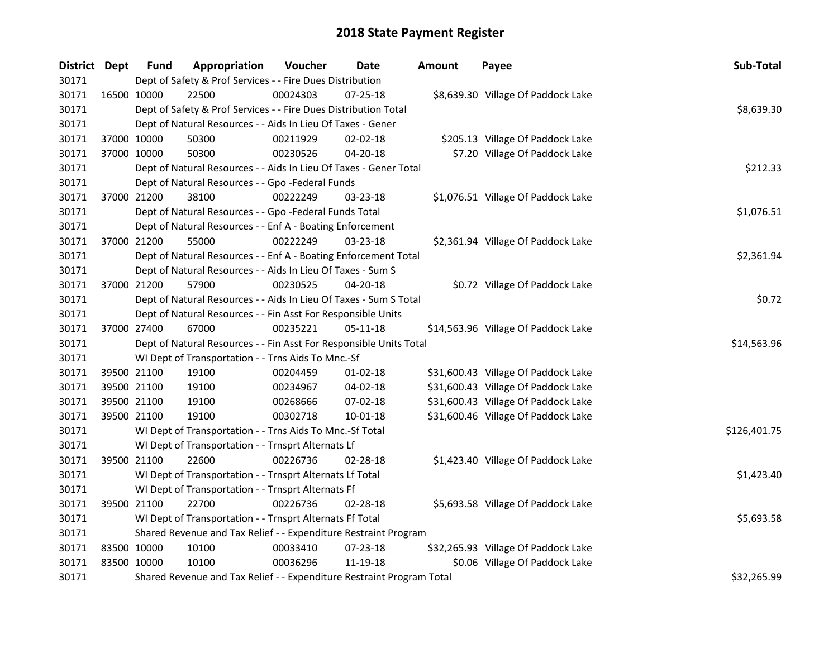| District Dept |             | <b>Fund</b>                                                     | Appropriation                                                         | Voucher  | Date           | <b>Amount</b> | Payee                               | Sub-Total    |  |  |  |
|---------------|-------------|-----------------------------------------------------------------|-----------------------------------------------------------------------|----------|----------------|---------------|-------------------------------------|--------------|--|--|--|
| 30171         |             |                                                                 | Dept of Safety & Prof Services - - Fire Dues Distribution             |          |                |               |                                     |              |  |  |  |
| 30171         | 16500 10000 |                                                                 | 22500                                                                 | 00024303 | $07 - 25 - 18$ |               | \$8,639.30 Village Of Paddock Lake  |              |  |  |  |
| 30171         |             |                                                                 | Dept of Safety & Prof Services - - Fire Dues Distribution Total       |          |                |               |                                     | \$8,639.30   |  |  |  |
| 30171         |             |                                                                 | Dept of Natural Resources - - Aids In Lieu Of Taxes - Gener           |          |                |               |                                     |              |  |  |  |
| 30171         |             | 37000 10000                                                     | 50300                                                                 | 00211929 | $02 - 02 - 18$ |               | \$205.13 Village Of Paddock Lake    |              |  |  |  |
| 30171         |             | 37000 10000                                                     | 50300                                                                 | 00230526 | 04-20-18       |               | \$7.20 Village Of Paddock Lake      |              |  |  |  |
| 30171         |             |                                                                 | Dept of Natural Resources - - Aids In Lieu Of Taxes - Gener Total     |          |                |               |                                     | \$212.33     |  |  |  |
| 30171         |             |                                                                 | Dept of Natural Resources - - Gpo -Federal Funds                      |          |                |               |                                     |              |  |  |  |
| 30171         |             | 37000 21200                                                     | 38100                                                                 | 00222249 | 03-23-18       |               | \$1,076.51 Village Of Paddock Lake  |              |  |  |  |
| 30171         |             |                                                                 | Dept of Natural Resources - - Gpo -Federal Funds Total                |          |                |               |                                     | \$1,076.51   |  |  |  |
| 30171         |             |                                                                 | Dept of Natural Resources - - Enf A - Boating Enforcement             |          |                |               |                                     |              |  |  |  |
| 30171         |             | 37000 21200                                                     | 55000                                                                 | 00222249 | 03-23-18       |               | \$2,361.94 Village Of Paddock Lake  |              |  |  |  |
| 30171         |             |                                                                 | Dept of Natural Resources - - Enf A - Boating Enforcement Total       |          |                |               |                                     | \$2,361.94   |  |  |  |
| 30171         |             |                                                                 | Dept of Natural Resources - - Aids In Lieu Of Taxes - Sum S           |          |                |               |                                     |              |  |  |  |
| 30171         |             | 37000 21200                                                     | 57900                                                                 | 00230525 | 04-20-18       |               | \$0.72 Village Of Paddock Lake      |              |  |  |  |
| 30171         |             |                                                                 | Dept of Natural Resources - - Aids In Lieu Of Taxes - Sum S Total     |          |                |               |                                     |              |  |  |  |
| 30171         |             |                                                                 | Dept of Natural Resources - - Fin Asst For Responsible Units          |          |                |               |                                     |              |  |  |  |
| 30171         |             | 37000 27400                                                     | 67000                                                                 | 00235221 | 05-11-18       |               | \$14,563.96 Village Of Paddock Lake |              |  |  |  |
| 30171         |             |                                                                 | Dept of Natural Resources - - Fin Asst For Responsible Units Total    |          |                |               |                                     | \$14,563.96  |  |  |  |
| 30171         |             |                                                                 | WI Dept of Transportation - - Trns Aids To Mnc.-Sf                    |          |                |               |                                     |              |  |  |  |
| 30171         |             | 39500 21100                                                     | 19100                                                                 | 00204459 | 01-02-18       |               | \$31,600.43 Village Of Paddock Lake |              |  |  |  |
| 30171         | 39500 21100 |                                                                 | 19100                                                                 | 00234967 | 04-02-18       |               | \$31,600.43 Village Of Paddock Lake |              |  |  |  |
| 30171         | 39500 21100 |                                                                 | 19100                                                                 | 00268666 | 07-02-18       |               | \$31,600.43 Village Of Paddock Lake |              |  |  |  |
| 30171         |             | 39500 21100                                                     | 19100                                                                 | 00302718 | 10-01-18       |               | \$31,600.46 Village Of Paddock Lake |              |  |  |  |
| 30171         |             |                                                                 | WI Dept of Transportation - - Trns Aids To Mnc.-Sf Total              |          |                |               |                                     | \$126,401.75 |  |  |  |
| 30171         |             |                                                                 | WI Dept of Transportation - - Trnsprt Alternats Lf                    |          |                |               |                                     |              |  |  |  |
| 30171         |             | 39500 21100                                                     | 22600                                                                 | 00226736 | 02-28-18       |               | \$1,423.40 Village Of Paddock Lake  |              |  |  |  |
| 30171         |             |                                                                 | WI Dept of Transportation - - Trnsprt Alternats Lf Total              |          |                |               |                                     | \$1,423.40   |  |  |  |
| 30171         |             |                                                                 | WI Dept of Transportation - - Trnsprt Alternats Ff                    |          |                |               |                                     |              |  |  |  |
| 30171         |             | 39500 21100                                                     | 22700                                                                 | 00226736 | 02-28-18       |               | \$5,693.58 Village Of Paddock Lake  |              |  |  |  |
| 30171         |             |                                                                 | WI Dept of Transportation - - Trnsprt Alternats Ff Total              |          |                |               |                                     | \$5,693.58   |  |  |  |
| 30171         |             | Shared Revenue and Tax Relief - - Expenditure Restraint Program |                                                                       |          |                |               |                                     |              |  |  |  |
| 30171         | 83500 10000 |                                                                 | 10100                                                                 | 00033410 | 07-23-18       |               | \$32,265.93 Village Of Paddock Lake |              |  |  |  |
| 30171         | 83500 10000 |                                                                 | 10100                                                                 | 00036296 | 11-19-18       |               | \$0.06 Village Of Paddock Lake      |              |  |  |  |
| 30171         |             |                                                                 | Shared Revenue and Tax Relief - - Expenditure Restraint Program Total |          |                |               |                                     | \$32,265.99  |  |  |  |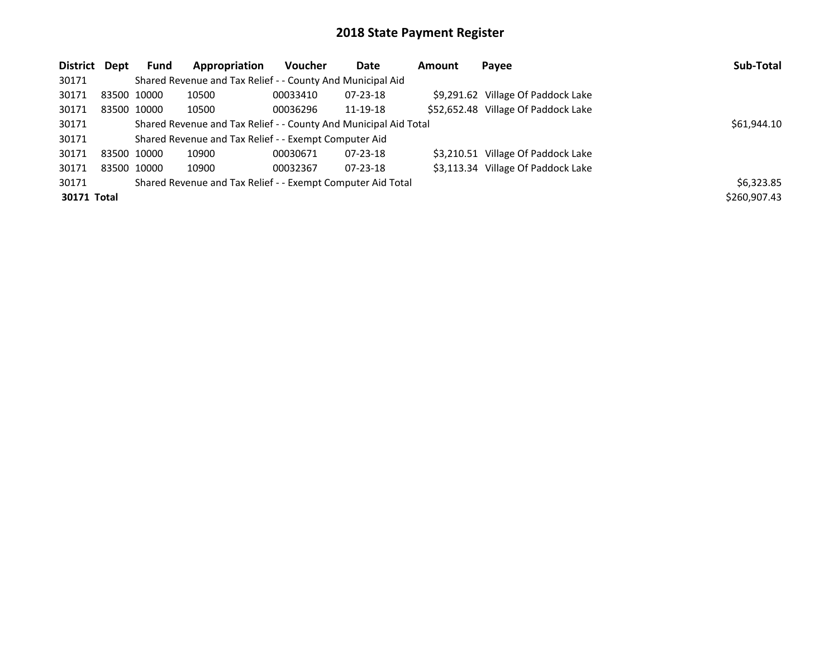| District Dept | <b>Fund</b> | Appropriation                                                    | Voucher  | Date           | <b>Amount</b> | Payee                               | Sub-Total    |
|---------------|-------------|------------------------------------------------------------------|----------|----------------|---------------|-------------------------------------|--------------|
| 30171         |             | Shared Revenue and Tax Relief - - County And Municipal Aid       |          |                |               |                                     |              |
| 30171         | 83500 10000 | 10500                                                            | 00033410 | $07 - 23 - 18$ |               | \$9,291.62 Village Of Paddock Lake  |              |
| 30171         | 83500 10000 | 10500                                                            | 00036296 | 11-19-18       |               | \$52,652.48 Village Of Paddock Lake |              |
| 30171         |             | Shared Revenue and Tax Relief - - County And Municipal Aid Total |          |                |               |                                     | \$61,944.10  |
| 30171         |             | Shared Revenue and Tax Relief - - Exempt Computer Aid            |          |                |               |                                     |              |
| 30171         | 83500 10000 | 10900                                                            | 00030671 | $07 - 23 - 18$ |               | \$3,210.51 Village Of Paddock Lake  |              |
| 30171         | 83500 10000 | 10900                                                            | 00032367 | $07 - 23 - 18$ |               | \$3,113.34 Village Of Paddock Lake  |              |
| 30171         |             | Shared Revenue and Tax Relief - - Exempt Computer Aid Total      |          |                |               |                                     | \$6,323.85   |
| 30171 Total   |             |                                                                  |          |                |               |                                     | \$260,907.43 |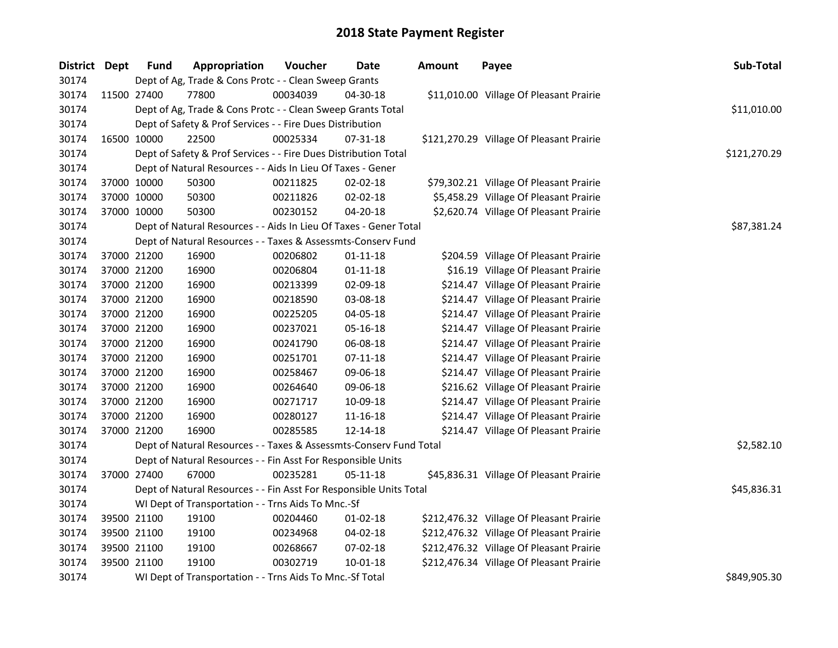| District Dept |             | <b>Fund</b> | Appropriation                                                      | Voucher  | Date           | <b>Amount</b> | Payee                                    | Sub-Total    |
|---------------|-------------|-------------|--------------------------------------------------------------------|----------|----------------|---------------|------------------------------------------|--------------|
| 30174         |             |             | Dept of Ag, Trade & Cons Protc - - Clean Sweep Grants              |          |                |               |                                          |              |
| 30174         | 11500 27400 |             | 77800                                                              | 00034039 | 04-30-18       |               | \$11,010.00 Village Of Pleasant Prairie  |              |
| 30174         |             |             | Dept of Ag, Trade & Cons Protc - - Clean Sweep Grants Total        |          |                |               |                                          | \$11,010.00  |
| 30174         |             |             | Dept of Safety & Prof Services - - Fire Dues Distribution          |          |                |               |                                          |              |
| 30174         |             | 16500 10000 | 22500                                                              | 00025334 | 07-31-18       |               | \$121,270.29 Village Of Pleasant Prairie |              |
| 30174         |             |             | Dept of Safety & Prof Services - - Fire Dues Distribution Total    |          |                |               |                                          | \$121,270.29 |
| 30174         |             |             | Dept of Natural Resources - - Aids In Lieu Of Taxes - Gener        |          |                |               |                                          |              |
| 30174         |             | 37000 10000 | 50300                                                              | 00211825 | 02-02-18       |               | \$79,302.21 Village Of Pleasant Prairie  |              |
| 30174         | 37000 10000 |             | 50300                                                              | 00211826 | 02-02-18       |               | \$5,458.29 Village Of Pleasant Prairie   |              |
| 30174         | 37000 10000 |             | 50300                                                              | 00230152 | 04-20-18       |               | \$2,620.74 Village Of Pleasant Prairie   |              |
| 30174         |             |             | Dept of Natural Resources - - Aids In Lieu Of Taxes - Gener Total  |          | \$87,381.24    |               |                                          |              |
| 30174         |             |             | Dept of Natural Resources - - Taxes & Assessmts-Conserv Fund       |          |                |               |                                          |              |
| 30174         |             | 37000 21200 | 16900                                                              | 00206802 | $01 - 11 - 18$ |               | \$204.59 Village Of Pleasant Prairie     |              |
| 30174         |             | 37000 21200 | 16900                                                              | 00206804 | $01-11-18$     |               | \$16.19 Village Of Pleasant Prairie      |              |
| 30174         |             | 37000 21200 | 16900                                                              | 00213399 | 02-09-18       |               | \$214.47 Village Of Pleasant Prairie     |              |
| 30174         |             | 37000 21200 | 16900                                                              | 00218590 | 03-08-18       |               | \$214.47 Village Of Pleasant Prairie     |              |
| 30174         |             | 37000 21200 | 16900                                                              | 00225205 | 04-05-18       |               | \$214.47 Village Of Pleasant Prairie     |              |
| 30174         |             | 37000 21200 | 16900                                                              | 00237021 | 05-16-18       |               | \$214.47 Village Of Pleasant Prairie     |              |
| 30174         |             | 37000 21200 | 16900                                                              | 00241790 | 06-08-18       |               | \$214.47 Village Of Pleasant Prairie     |              |
| 30174         |             | 37000 21200 | 16900                                                              | 00251701 | $07 - 11 - 18$ |               | \$214.47 Village Of Pleasant Prairie     |              |
| 30174         |             | 37000 21200 | 16900                                                              | 00258467 | 09-06-18       |               | \$214.47 Village Of Pleasant Prairie     |              |
| 30174         |             | 37000 21200 | 16900                                                              | 00264640 | 09-06-18       |               | \$216.62 Village Of Pleasant Prairie     |              |
| 30174         |             | 37000 21200 | 16900                                                              | 00271717 | 10-09-18       |               | \$214.47 Village Of Pleasant Prairie     |              |
| 30174         | 37000 21200 |             | 16900                                                              | 00280127 | 11-16-18       |               | \$214.47 Village Of Pleasant Prairie     |              |
| 30174         | 37000 21200 |             | 16900                                                              | 00285585 | 12-14-18       |               | \$214.47 Village Of Pleasant Prairie     |              |
| 30174         |             |             | Dept of Natural Resources - - Taxes & Assessmts-Conserv Fund Total |          |                |               |                                          | \$2,582.10   |
| 30174         |             |             | Dept of Natural Resources - - Fin Asst For Responsible Units       |          |                |               |                                          |              |
| 30174         |             | 37000 27400 | 67000                                                              | 00235281 | 05-11-18       |               | \$45,836.31 Village Of Pleasant Prairie  |              |
| 30174         |             |             | Dept of Natural Resources - - Fin Asst For Responsible Units Total |          |                |               |                                          | \$45,836.31  |
| 30174         |             |             | WI Dept of Transportation - - Trns Aids To Mnc.-Sf                 |          |                |               |                                          |              |
| 30174         |             | 39500 21100 | 19100                                                              | 00204460 | $01 - 02 - 18$ |               | \$212,476.32 Village Of Pleasant Prairie |              |
| 30174         |             | 39500 21100 | 19100                                                              | 00234968 | 04-02-18       |               | \$212,476.32 Village Of Pleasant Prairie |              |
| 30174         |             | 39500 21100 | 19100                                                              | 00268667 | 07-02-18       |               | \$212,476.32 Village Of Pleasant Prairie |              |
| 30174         | 39500 21100 |             | 19100                                                              | 00302719 | $10 - 01 - 18$ |               | \$212,476.34 Village Of Pleasant Prairie |              |
| 30174         |             |             | WI Dept of Transportation - - Trns Aids To Mnc.-Sf Total           |          |                |               |                                          | \$849,905.30 |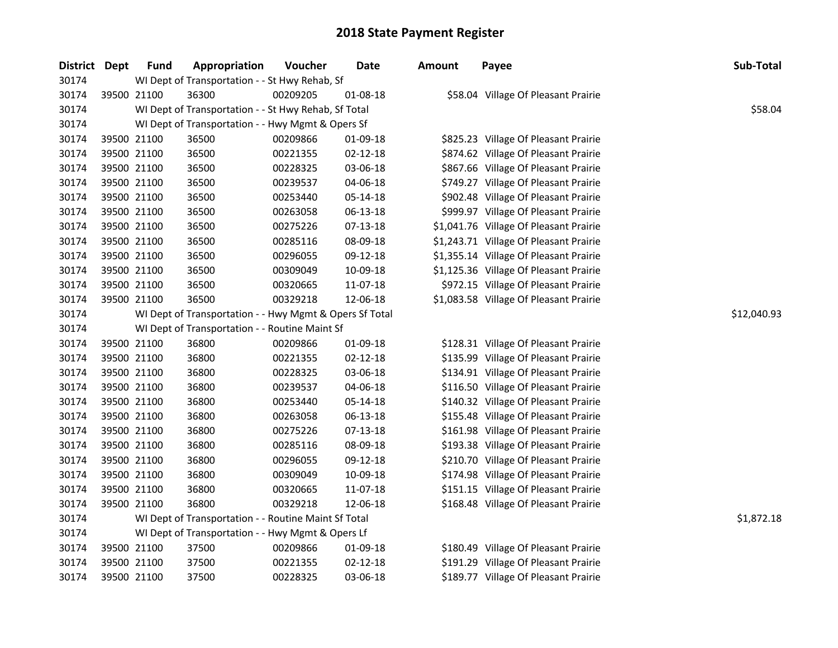| District | <b>Dept</b> | Fund        | Appropriation                                           | Voucher  | Date           | Amount | Payee                                  | Sub-Total   |
|----------|-------------|-------------|---------------------------------------------------------|----------|----------------|--------|----------------------------------------|-------------|
| 30174    |             |             | WI Dept of Transportation - - St Hwy Rehab, Sf          |          |                |        |                                        |             |
| 30174    |             | 39500 21100 | 36300                                                   | 00209205 | 01-08-18       |        | \$58.04 Village Of Pleasant Prairie    |             |
| 30174    |             |             | WI Dept of Transportation - - St Hwy Rehab, Sf Total    |          |                |        |                                        | \$58.04     |
| 30174    |             |             | WI Dept of Transportation - - Hwy Mgmt & Opers Sf       |          |                |        |                                        |             |
| 30174    |             | 39500 21100 | 36500                                                   | 00209866 | 01-09-18       |        | \$825.23 Village Of Pleasant Prairie   |             |
| 30174    |             | 39500 21100 | 36500                                                   | 00221355 | $02 - 12 - 18$ |        | \$874.62 Village Of Pleasant Prairie   |             |
| 30174    |             | 39500 21100 | 36500                                                   | 00228325 | 03-06-18       |        | \$867.66 Village Of Pleasant Prairie   |             |
| 30174    |             | 39500 21100 | 36500                                                   | 00239537 | 04-06-18       |        | \$749.27 Village Of Pleasant Prairie   |             |
| 30174    |             | 39500 21100 | 36500                                                   | 00253440 | 05-14-18       |        | \$902.48 Village Of Pleasant Prairie   |             |
| 30174    |             | 39500 21100 | 36500                                                   | 00263058 | 06-13-18       |        | \$999.97 Village Of Pleasant Prairie   |             |
| 30174    |             | 39500 21100 | 36500                                                   | 00275226 | 07-13-18       |        | \$1,041.76 Village Of Pleasant Prairie |             |
| 30174    |             | 39500 21100 | 36500                                                   | 00285116 | 08-09-18       |        | \$1,243.71 Village Of Pleasant Prairie |             |
| 30174    |             | 39500 21100 | 36500                                                   | 00296055 | 09-12-18       |        | \$1,355.14 Village Of Pleasant Prairie |             |
| 30174    |             | 39500 21100 | 36500                                                   | 00309049 | 10-09-18       |        | \$1,125.36 Village Of Pleasant Prairie |             |
| 30174    |             | 39500 21100 | 36500                                                   | 00320665 | 11-07-18       |        | \$972.15 Village Of Pleasant Prairie   |             |
| 30174    |             | 39500 21100 | 36500                                                   | 00329218 | 12-06-18       |        | \$1,083.58 Village Of Pleasant Prairie |             |
| 30174    |             |             | WI Dept of Transportation - - Hwy Mgmt & Opers Sf Total |          |                |        |                                        | \$12,040.93 |
| 30174    |             |             | WI Dept of Transportation - - Routine Maint Sf          |          |                |        |                                        |             |
| 30174    |             | 39500 21100 | 36800                                                   | 00209866 | 01-09-18       |        | \$128.31 Village Of Pleasant Prairie   |             |
| 30174    |             | 39500 21100 | 36800                                                   | 00221355 | $02 - 12 - 18$ |        | \$135.99 Village Of Pleasant Prairie   |             |
| 30174    |             | 39500 21100 | 36800                                                   | 00228325 | 03-06-18       |        | \$134.91 Village Of Pleasant Prairie   |             |
| 30174    |             | 39500 21100 | 36800                                                   | 00239537 | 04-06-18       |        | \$116.50 Village Of Pleasant Prairie   |             |
| 30174    |             | 39500 21100 | 36800                                                   | 00253440 | 05-14-18       |        | \$140.32 Village Of Pleasant Prairie   |             |
| 30174    |             | 39500 21100 | 36800                                                   | 00263058 | 06-13-18       |        | \$155.48 Village Of Pleasant Prairie   |             |
| 30174    |             | 39500 21100 | 36800                                                   | 00275226 | 07-13-18       |        | \$161.98 Village Of Pleasant Prairie   |             |
| 30174    |             | 39500 21100 | 36800                                                   | 00285116 | 08-09-18       |        | \$193.38 Village Of Pleasant Prairie   |             |
| 30174    |             | 39500 21100 | 36800                                                   | 00296055 | 09-12-18       |        | \$210.70 Village Of Pleasant Prairie   |             |
| 30174    |             | 39500 21100 | 36800                                                   | 00309049 | 10-09-18       |        | \$174.98 Village Of Pleasant Prairie   |             |
| 30174    |             | 39500 21100 | 36800                                                   | 00320665 | 11-07-18       |        | \$151.15 Village Of Pleasant Prairie   |             |
| 30174    |             | 39500 21100 | 36800                                                   | 00329218 | 12-06-18       |        | \$168.48 Village Of Pleasant Prairie   |             |
| 30174    |             |             | WI Dept of Transportation - - Routine Maint Sf Total    |          |                |        |                                        | \$1,872.18  |
| 30174    |             |             | WI Dept of Transportation - - Hwy Mgmt & Opers Lf       |          |                |        |                                        |             |
| 30174    |             | 39500 21100 | 37500                                                   | 00209866 | 01-09-18       |        | \$180.49 Village Of Pleasant Prairie   |             |
| 30174    |             | 39500 21100 | 37500                                                   | 00221355 | $02 - 12 - 18$ |        | \$191.29 Village Of Pleasant Prairie   |             |
| 30174    |             | 39500 21100 | 37500                                                   | 00228325 | 03-06-18       |        | \$189.77 Village Of Pleasant Prairie   |             |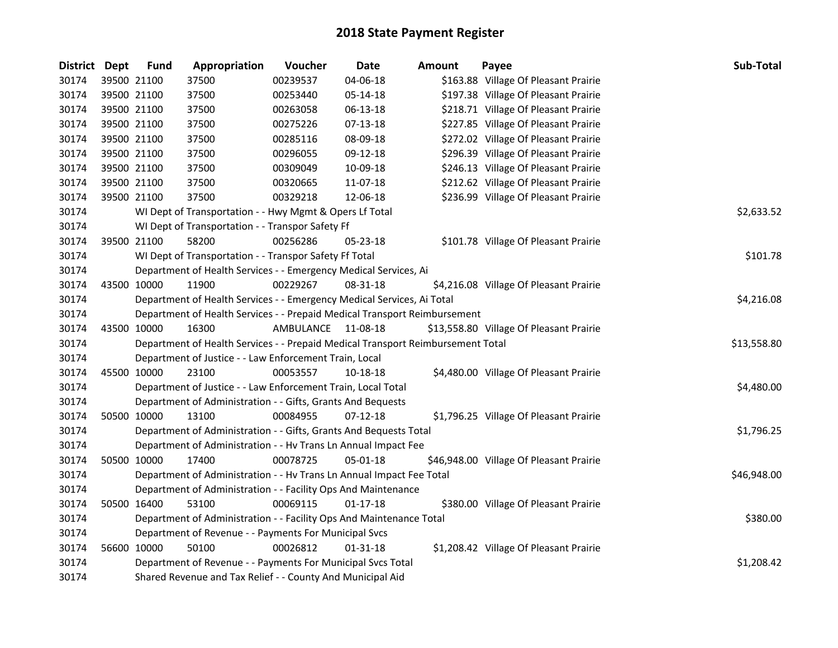| District Dept |             | <b>Fund</b> | Appropriation                                                                   | Voucher   | <b>Date</b>    | <b>Amount</b> | Payee                                   | Sub-Total   |
|---------------|-------------|-------------|---------------------------------------------------------------------------------|-----------|----------------|---------------|-----------------------------------------|-------------|
| 30174         | 39500 21100 |             | 37500                                                                           | 00239537  | 04-06-18       |               | \$163.88 Village Of Pleasant Prairie    |             |
| 30174         | 39500 21100 |             | 37500                                                                           | 00253440  | 05-14-18       |               | \$197.38 Village Of Pleasant Prairie    |             |
| 30174         | 39500 21100 |             | 37500                                                                           | 00263058  | 06-13-18       |               | \$218.71 Village Of Pleasant Prairie    |             |
| 30174         | 39500 21100 |             | 37500                                                                           | 00275226  | 07-13-18       |               | \$227.85 Village Of Pleasant Prairie    |             |
| 30174         | 39500 21100 |             | 37500                                                                           | 00285116  | 08-09-18       |               | \$272.02 Village Of Pleasant Prairie    |             |
| 30174         | 39500 21100 |             | 37500                                                                           | 00296055  | 09-12-18       |               | \$296.39 Village Of Pleasant Prairie    |             |
| 30174         | 39500 21100 |             | 37500                                                                           | 00309049  | 10-09-18       |               | \$246.13 Village Of Pleasant Prairie    |             |
| 30174         | 39500 21100 |             | 37500                                                                           | 00320665  | 11-07-18       |               | \$212.62 Village Of Pleasant Prairie    |             |
| 30174         | 39500 21100 |             | 37500                                                                           | 00329218  | 12-06-18       |               | \$236.99 Village Of Pleasant Prairie    |             |
| 30174         |             |             | WI Dept of Transportation - - Hwy Mgmt & Opers Lf Total                         |           |                |               |                                         | \$2,633.52  |
| 30174         |             |             | WI Dept of Transportation - - Transpor Safety Ff                                |           |                |               |                                         |             |
| 30174         |             | 39500 21100 | 58200                                                                           | 00256286  | 05-23-18       |               | \$101.78 Village Of Pleasant Prairie    |             |
| 30174         |             |             | WI Dept of Transportation - - Transpor Safety Ff Total                          |           |                |               |                                         | \$101.78    |
| 30174         |             |             | Department of Health Services - - Emergency Medical Services, Ai                |           |                |               |                                         |             |
| 30174         | 43500 10000 |             | 11900                                                                           | 00229267  | 08-31-18       |               | \$4,216.08 Village Of Pleasant Prairie  |             |
| 30174         |             |             | Department of Health Services - - Emergency Medical Services, Ai Total          |           |                |               |                                         | \$4,216.08  |
| 30174         |             |             | Department of Health Services - - Prepaid Medical Transport Reimbursement       |           |                |               |                                         |             |
| 30174         | 43500 10000 |             | 16300                                                                           | AMBULANCE | 11-08-18       |               | \$13,558.80 Village Of Pleasant Prairie |             |
| 30174         |             |             | Department of Health Services - - Prepaid Medical Transport Reimbursement Total |           |                |               |                                         | \$13,558.80 |
| 30174         |             |             | Department of Justice - - Law Enforcement Train, Local                          |           |                |               |                                         |             |
| 30174         | 45500 10000 |             | 23100                                                                           | 00053557  | 10-18-18       |               | \$4,480.00 Village Of Pleasant Prairie  |             |
| 30174         |             |             | Department of Justice - - Law Enforcement Train, Local Total                    |           |                |               |                                         | \$4,480.00  |
| 30174         |             |             | Department of Administration - - Gifts, Grants And Bequests                     |           |                |               |                                         |             |
| 30174         |             | 50500 10000 | 13100                                                                           | 00084955  | $07-12-18$     |               | \$1,796.25 Village Of Pleasant Prairie  |             |
| 30174         |             |             | Department of Administration - - Gifts, Grants And Bequests Total               |           |                |               |                                         | \$1,796.25  |
| 30174         |             |             | Department of Administration - - Hv Trans Ln Annual Impact Fee                  |           |                |               |                                         |             |
| 30174         |             | 50500 10000 | 17400                                                                           | 00078725  | $05 - 01 - 18$ |               | \$46,948.00 Village Of Pleasant Prairie |             |
| 30174         |             |             | Department of Administration - - Hv Trans Ln Annual Impact Fee Total            |           |                |               |                                         | \$46,948.00 |
| 30174         |             |             | Department of Administration - - Facility Ops And Maintenance                   |           |                |               |                                         |             |
| 30174         |             | 50500 16400 | 53100                                                                           | 00069115  | $01-17-18$     |               | \$380.00 Village Of Pleasant Prairie    |             |
| 30174         |             |             | Department of Administration - - Facility Ops And Maintenance Total             |           |                |               |                                         | \$380.00    |
| 30174         |             |             | Department of Revenue - - Payments For Municipal Svcs                           |           |                |               |                                         |             |
| 30174         |             | 56600 10000 | 50100                                                                           | 00026812  | $01 - 31 - 18$ |               | \$1,208.42 Village Of Pleasant Prairie  |             |
| 30174         |             |             | Department of Revenue - - Payments For Municipal Svcs Total                     |           |                |               |                                         | \$1,208.42  |
| 30174         |             |             | Shared Revenue and Tax Relief - - County And Municipal Aid                      |           |                |               |                                         |             |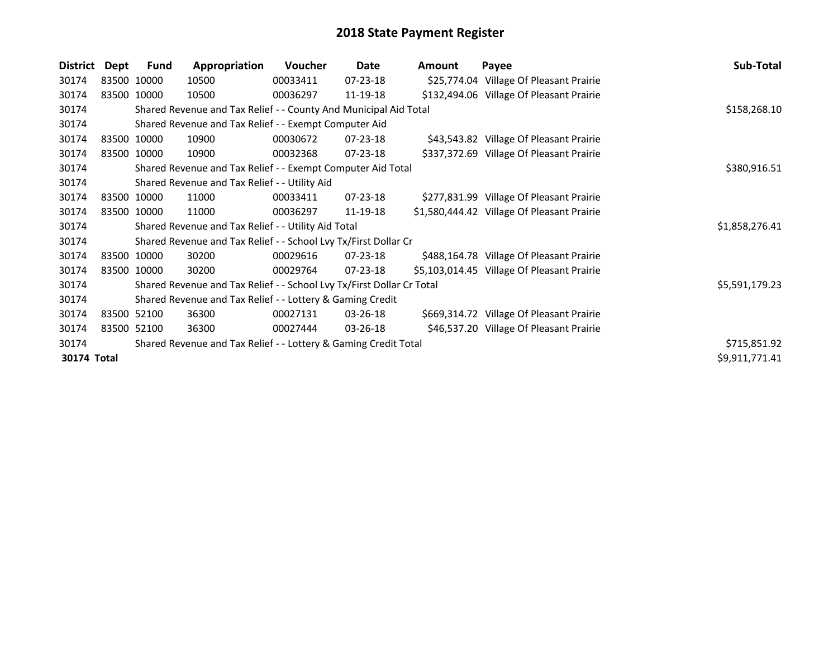| District    | Dept         | Fund        | Appropriation                                                         | Voucher      | Date           | Amount | Payee                                      | Sub-Total      |
|-------------|--------------|-------------|-----------------------------------------------------------------------|--------------|----------------|--------|--------------------------------------------|----------------|
| 30174       |              | 83500 10000 | 10500                                                                 | 00033411     | 07-23-18       |        | \$25,774.04 Village Of Pleasant Prairie    |                |
| 30174       |              | 83500 10000 | 10500                                                                 | 00036297     | 11-19-18       |        | \$132,494.06 Village Of Pleasant Prairie   |                |
| 30174       |              |             | Shared Revenue and Tax Relief - - County And Municipal Aid Total      |              |                |        |                                            | \$158,268.10   |
| 30174       |              |             | Shared Revenue and Tax Relief - - Exempt Computer Aid                 |              |                |        |                                            |                |
| 30174       |              | 83500 10000 | 10900                                                                 | 00030672     | $07 - 23 - 18$ |        | \$43,543.82 Village Of Pleasant Prairie    |                |
| 30174       |              | 83500 10000 | 10900                                                                 | 00032368     | $07 - 23 - 18$ |        | \$337,372.69 Village Of Pleasant Prairie   |                |
| 30174       |              |             | Shared Revenue and Tax Relief - - Exempt Computer Aid Total           | \$380,916.51 |                |        |                                            |                |
| 30174       |              |             | Shared Revenue and Tax Relief - - Utility Aid                         |              |                |        |                                            |                |
| 30174       |              | 83500 10000 | 11000                                                                 | 00033411     | 07-23-18       |        | \$277,831.99 Village Of Pleasant Prairie   |                |
| 30174       |              | 83500 10000 | 11000                                                                 | 00036297     | 11-19-18       |        | \$1,580,444.42 Village Of Pleasant Prairie |                |
| 30174       |              |             | Shared Revenue and Tax Relief - - Utility Aid Total                   |              |                |        |                                            | \$1,858,276.41 |
| 30174       |              |             | Shared Revenue and Tax Relief - - School Lvy Tx/First Dollar Cr       |              |                |        |                                            |                |
| 30174       |              | 83500 10000 | 30200                                                                 | 00029616     | $07 - 23 - 18$ |        | \$488,164.78 Village Of Pleasant Prairie   |                |
| 30174       |              | 83500 10000 | 30200                                                                 | 00029764     | 07-23-18       |        | \$5,103,014.45 Village Of Pleasant Prairie |                |
| 30174       |              |             | Shared Revenue and Tax Relief - - School Lvy Tx/First Dollar Cr Total |              |                |        |                                            | \$5,591,179.23 |
| 30174       |              |             | Shared Revenue and Tax Relief - - Lottery & Gaming Credit             |              |                |        |                                            |                |
| 30174       |              | 83500 52100 | 36300                                                                 | 00027131     | 03-26-18       |        | \$669,314.72 Village Of Pleasant Prairie   |                |
| 30174       |              | 83500 52100 | 36300                                                                 | 00027444     | 03-26-18       |        | \$46,537.20 Village Of Pleasant Prairie    |                |
| 30174       | \$715,851.92 |             |                                                                       |              |                |        |                                            |                |
| 30174 Total |              |             |                                                                       |              |                |        |                                            | \$9,911,771.41 |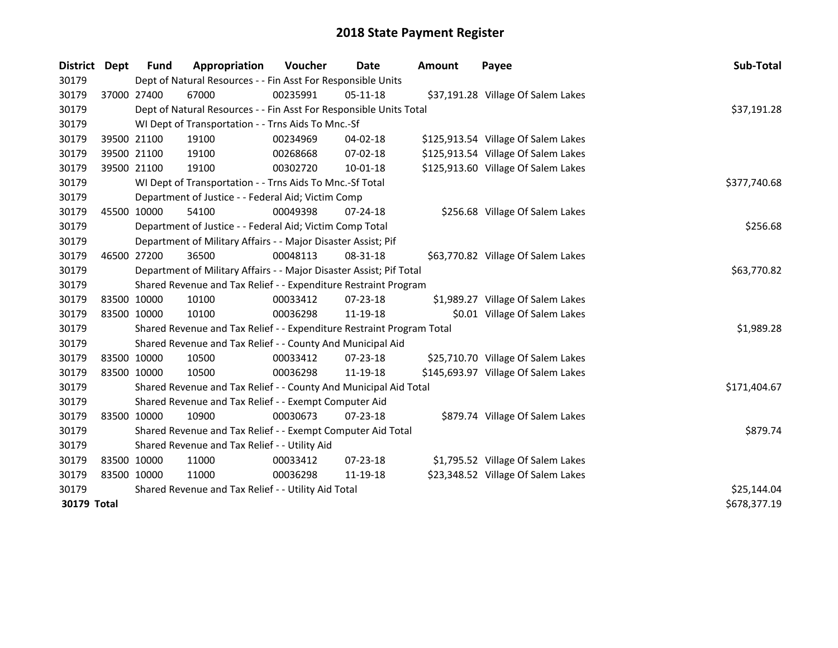| District    | Dept        | <b>Fund</b> | Appropriation                                                         | Voucher  | Date           | <b>Amount</b> | Payee                               | Sub-Total    |
|-------------|-------------|-------------|-----------------------------------------------------------------------|----------|----------------|---------------|-------------------------------------|--------------|
| 30179       |             |             | Dept of Natural Resources - - Fin Asst For Responsible Units          |          |                |               |                                     |              |
| 30179       |             | 37000 27400 | 67000                                                                 | 00235991 | 05-11-18       |               | \$37,191.28 Village Of Salem Lakes  |              |
| 30179       |             |             | Dept of Natural Resources - - Fin Asst For Responsible Units Total    |          |                |               |                                     | \$37,191.28  |
| 30179       |             |             | WI Dept of Transportation - - Trns Aids To Mnc.-Sf                    |          |                |               |                                     |              |
| 30179       |             | 39500 21100 | 19100                                                                 | 00234969 | 04-02-18       |               | \$125,913.54 Village Of Salem Lakes |              |
| 30179       |             | 39500 21100 | 19100                                                                 | 00268668 | 07-02-18       |               | \$125,913.54 Village Of Salem Lakes |              |
| 30179       |             | 39500 21100 | 19100                                                                 | 00302720 | $10 - 01 - 18$ |               | \$125,913.60 Village Of Salem Lakes |              |
| 30179       |             |             | WI Dept of Transportation - - Trns Aids To Mnc.-Sf Total              |          |                |               |                                     | \$377,740.68 |
| 30179       |             |             | Department of Justice - - Federal Aid; Victim Comp                    |          |                |               |                                     |              |
| 30179       |             | 45500 10000 | 54100                                                                 | 00049398 | $07 - 24 - 18$ |               | \$256.68 Village Of Salem Lakes     |              |
| 30179       |             |             | Department of Justice - - Federal Aid; Victim Comp Total              |          |                |               |                                     | \$256.68     |
| 30179       |             |             | Department of Military Affairs - - Major Disaster Assist; Pif         |          |                |               |                                     |              |
| 30179       |             | 46500 27200 | 36500                                                                 | 00048113 | 08-31-18       |               | \$63,770.82 Village Of Salem Lakes  |              |
| 30179       |             |             | Department of Military Affairs - - Major Disaster Assist; Pif Total   |          |                |               |                                     | \$63,770.82  |
| 30179       |             |             | Shared Revenue and Tax Relief - - Expenditure Restraint Program       |          |                |               |                                     |              |
| 30179       |             | 83500 10000 | 10100                                                                 | 00033412 | 07-23-18       |               | \$1,989.27 Village Of Salem Lakes   |              |
| 30179       |             | 83500 10000 | 10100                                                                 | 00036298 | 11-19-18       |               | \$0.01 Village Of Salem Lakes       |              |
| 30179       |             |             | Shared Revenue and Tax Relief - - Expenditure Restraint Program Total |          |                |               |                                     | \$1,989.28   |
| 30179       |             |             | Shared Revenue and Tax Relief - - County And Municipal Aid            |          |                |               |                                     |              |
| 30179       |             | 83500 10000 | 10500                                                                 | 00033412 | $07 - 23 - 18$ |               | \$25,710.70 Village Of Salem Lakes  |              |
| 30179       | 83500 10000 |             | 10500                                                                 | 00036298 | 11-19-18       |               | \$145,693.97 Village Of Salem Lakes |              |
| 30179       |             |             | Shared Revenue and Tax Relief - - County And Municipal Aid Total      |          |                |               |                                     | \$171,404.67 |
| 30179       |             |             | Shared Revenue and Tax Relief - - Exempt Computer Aid                 |          |                |               |                                     |              |
| 30179       |             | 83500 10000 | 10900                                                                 | 00030673 | $07 - 23 - 18$ |               | \$879.74 Village Of Salem Lakes     |              |
| 30179       |             |             | Shared Revenue and Tax Relief - - Exempt Computer Aid Total           |          |                |               |                                     | \$879.74     |
| 30179       |             |             | Shared Revenue and Tax Relief - - Utility Aid                         |          |                |               |                                     |              |
| 30179       |             | 83500 10000 | 11000                                                                 | 00033412 | $07 - 23 - 18$ |               | \$1,795.52 Village Of Salem Lakes   |              |
| 30179       | 83500 10000 |             | 11000                                                                 | 00036298 | 11-19-18       |               | \$23,348.52 Village Of Salem Lakes  |              |
| 30179       |             |             | Shared Revenue and Tax Relief - - Utility Aid Total                   |          | \$25,144.04    |               |                                     |              |
| 30179 Total |             |             |                                                                       |          |                |               |                                     | \$678,377.19 |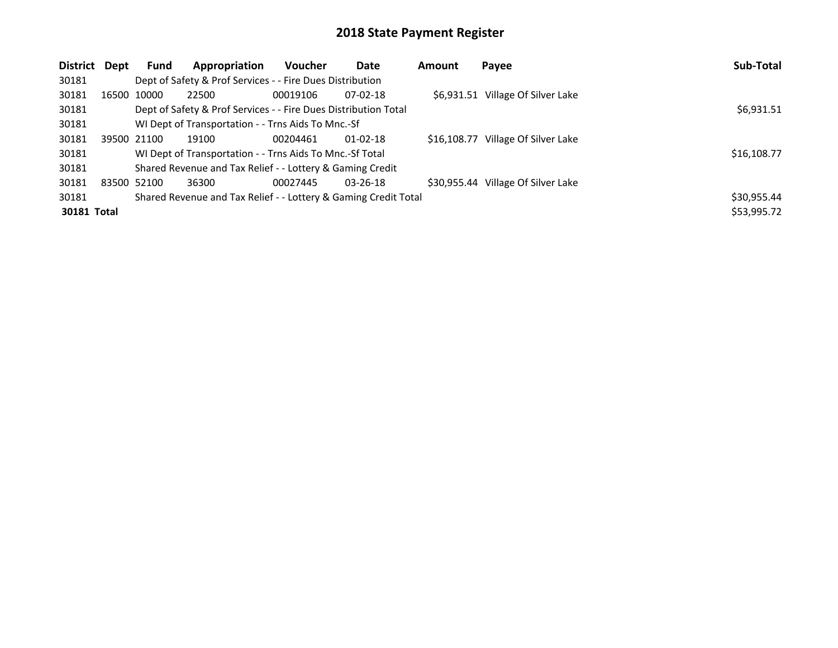| <b>District</b> | Dept  | <b>Fund</b> | Appropriation                                                   | <b>Voucher</b> | Date           | Amount | Payee                              | Sub-Total   |
|-----------------|-------|-------------|-----------------------------------------------------------------|----------------|----------------|--------|------------------------------------|-------------|
| 30181           |       |             | Dept of Safety & Prof Services - - Fire Dues Distribution       |                |                |        |                                    |             |
| 30181           | 16500 | 10000       | 22500                                                           | 00019106       | $07-02-18$     |        | \$6,931.51 Village Of Silver Lake  |             |
| 30181           |       |             | Dept of Safety & Prof Services - - Fire Dues Distribution Total |                |                |        |                                    | \$6,931.51  |
| 30181           |       |             | WI Dept of Transportation - - Trns Aids To Mnc.-Sf              |                |                |        |                                    |             |
| 30181           |       | 39500 21100 | 19100                                                           | 00204461       | $01 - 02 - 18$ |        | \$16,108.77 Village Of Silver Lake |             |
| 30181           |       |             | WI Dept of Transportation - - Trns Aids To Mnc.-Sf Total        |                |                |        |                                    | \$16,108.77 |
| 30181           |       |             | Shared Revenue and Tax Relief - - Lottery & Gaming Credit       |                |                |        |                                    |             |
| 30181           |       | 83500 52100 | 36300                                                           | 00027445       | $03 - 26 - 18$ |        | \$30,955.44 Village Of Silver Lake |             |
| 30181           |       |             | Shared Revenue and Tax Relief - - Lottery & Gaming Credit Total |                |                |        |                                    | \$30,955.44 |
| 30181 Total     |       |             |                                                                 |                |                |        |                                    | \$53,995.72 |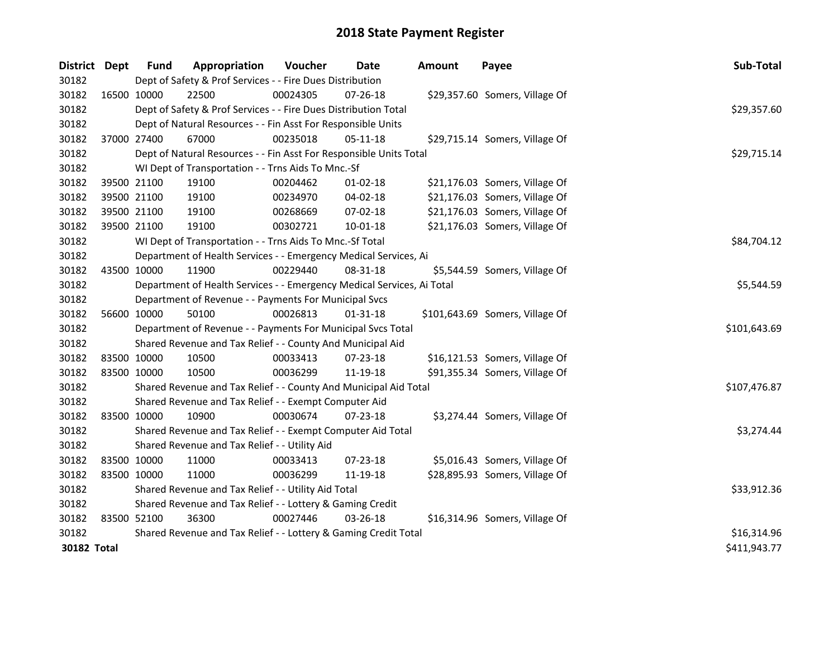| District Dept      | <b>Fund</b>                                                     | Appropriation                                                          | Voucher     | <b>Date</b>    | <b>Amount</b> | Payee                           | Sub-Total    |  |  |
|--------------------|-----------------------------------------------------------------|------------------------------------------------------------------------|-------------|----------------|---------------|---------------------------------|--------------|--|--|
| 30182              |                                                                 | Dept of Safety & Prof Services - - Fire Dues Distribution              |             |                |               |                                 |              |  |  |
| 30182              | 16500 10000                                                     | 22500                                                                  | 00024305    | 07-26-18       |               | \$29,357.60 Somers, Village Of  |              |  |  |
| 30182              |                                                                 | Dept of Safety & Prof Services - - Fire Dues Distribution Total        |             |                |               |                                 | \$29,357.60  |  |  |
| 30182              |                                                                 | Dept of Natural Resources - - Fin Asst For Responsible Units           |             |                |               |                                 |              |  |  |
| 30182              | 37000 27400                                                     | 67000                                                                  | 00235018    | 05-11-18       |               | \$29,715.14 Somers, Village Of  |              |  |  |
| 30182              |                                                                 | Dept of Natural Resources - - Fin Asst For Responsible Units Total     |             |                |               |                                 | \$29,715.14  |  |  |
| 30182              |                                                                 | WI Dept of Transportation - - Trns Aids To Mnc.-Sf                     |             |                |               |                                 |              |  |  |
| 30182              | 39500 21100                                                     | 19100                                                                  | 00204462    | $01-02-18$     |               | \$21,176.03 Somers, Village Of  |              |  |  |
| 30182              | 39500 21100                                                     | 19100                                                                  | 00234970    | 04-02-18       |               | \$21,176.03 Somers, Village Of  |              |  |  |
| 30182              | 39500 21100                                                     | 19100                                                                  | 00268669    | 07-02-18       |               | \$21,176.03 Somers, Village Of  |              |  |  |
| 30182              | 39500 21100                                                     | 19100                                                                  | 00302721    | $10 - 01 - 18$ |               | \$21,176.03 Somers, Village Of  |              |  |  |
| 30182              |                                                                 | WI Dept of Transportation - - Trns Aids To Mnc.-Sf Total               |             |                |               |                                 | \$84,704.12  |  |  |
| 30182              |                                                                 | Department of Health Services - - Emergency Medical Services, Ai       |             |                |               |                                 |              |  |  |
| 30182              | 43500 10000                                                     | 11900                                                                  | 00229440    | 08-31-18       |               | \$5,544.59 Somers, Village Of   |              |  |  |
| 30182              |                                                                 | Department of Health Services - - Emergency Medical Services, Ai Total |             |                |               |                                 |              |  |  |
| 30182              |                                                                 | Department of Revenue - - Payments For Municipal Svcs                  |             |                |               |                                 |              |  |  |
| 30182              | 56600 10000                                                     | 50100                                                                  | 00026813    | $01 - 31 - 18$ |               | \$101,643.69 Somers, Village Of |              |  |  |
| 30182              |                                                                 | Department of Revenue - - Payments For Municipal Svcs Total            |             |                |               |                                 | \$101,643.69 |  |  |
| 30182              |                                                                 | Shared Revenue and Tax Relief - - County And Municipal Aid             |             |                |               |                                 |              |  |  |
| 30182              | 83500 10000                                                     | 10500                                                                  | 00033413    | 07-23-18       |               | \$16,121.53 Somers, Village Of  |              |  |  |
| 30182              | 83500 10000                                                     | 10500                                                                  | 00036299    | 11-19-18       |               | \$91,355.34 Somers, Village Of  |              |  |  |
| 30182              |                                                                 | Shared Revenue and Tax Relief - - County And Municipal Aid Total       |             |                |               |                                 | \$107,476.87 |  |  |
| 30182              |                                                                 | Shared Revenue and Tax Relief - - Exempt Computer Aid                  |             |                |               |                                 |              |  |  |
| 30182              | 83500 10000                                                     | 10900                                                                  | 00030674    | 07-23-18       |               | \$3,274.44 Somers, Village Of   |              |  |  |
| 30182              |                                                                 | Shared Revenue and Tax Relief - - Exempt Computer Aid Total            |             |                |               |                                 | \$3,274.44   |  |  |
| 30182              |                                                                 | Shared Revenue and Tax Relief - - Utility Aid                          |             |                |               |                                 |              |  |  |
| 30182              | 83500 10000                                                     | 11000                                                                  | 00033413    | 07-23-18       |               | \$5,016.43 Somers, Village Of   |              |  |  |
| 30182              | 83500 10000                                                     | 11000                                                                  | 00036299    | 11-19-18       |               | \$28,895.93 Somers, Village Of  |              |  |  |
| 30182              |                                                                 | Shared Revenue and Tax Relief - - Utility Aid Total                    | \$33,912.36 |                |               |                                 |              |  |  |
| 30182              | Shared Revenue and Tax Relief - - Lottery & Gaming Credit       |                                                                        |             |                |               |                                 |              |  |  |
| 30182              | 83500 52100                                                     | 36300                                                                  | 00027446    | 03-26-18       |               | \$16,314.96 Somers, Village Of  |              |  |  |
| 30182              | Shared Revenue and Tax Relief - - Lottery & Gaming Credit Total | \$16,314.96                                                            |             |                |               |                                 |              |  |  |
| <b>30182 Total</b> |                                                                 |                                                                        |             |                |               |                                 | \$411,943.77 |  |  |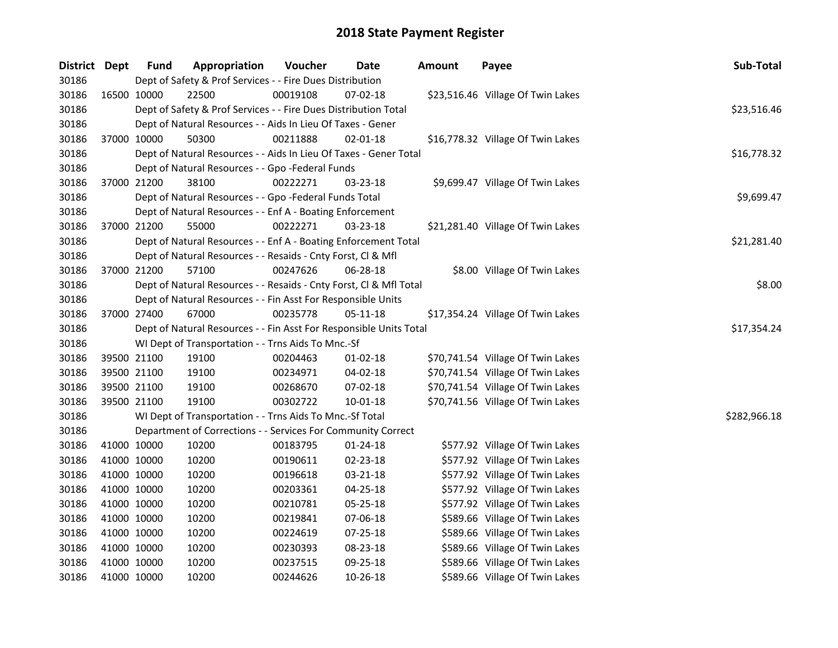| District Dept |             | <b>Fund</b> | Appropriation                                                      | Voucher  | Date           | <b>Amount</b> | Payee                             | Sub-Total    |  |  |  |  |
|---------------|-------------|-------------|--------------------------------------------------------------------|----------|----------------|---------------|-----------------------------------|--------------|--|--|--|--|
| 30186         |             |             | Dept of Safety & Prof Services - - Fire Dues Distribution          |          |                |               |                                   |              |  |  |  |  |
| 30186         | 16500 10000 |             | 22500                                                              | 00019108 | 07-02-18       |               | \$23,516.46 Village Of Twin Lakes |              |  |  |  |  |
| 30186         |             |             | Dept of Safety & Prof Services - - Fire Dues Distribution Total    |          |                |               |                                   | \$23,516.46  |  |  |  |  |
| 30186         |             |             | Dept of Natural Resources - - Aids In Lieu Of Taxes - Gener        |          |                |               |                                   |              |  |  |  |  |
| 30186         |             | 37000 10000 | 50300                                                              | 00211888 | $02 - 01 - 18$ |               | \$16,778.32 Village Of Twin Lakes |              |  |  |  |  |
| 30186         |             |             | Dept of Natural Resources - - Aids In Lieu Of Taxes - Gener Total  |          |                |               |                                   | \$16,778.32  |  |  |  |  |
| 30186         |             |             | Dept of Natural Resources - - Gpo -Federal Funds                   |          |                |               |                                   |              |  |  |  |  |
| 30186         |             | 37000 21200 | 38100                                                              | 00222271 | 03-23-18       |               | \$9,699.47 Village Of Twin Lakes  |              |  |  |  |  |
| 30186         |             |             | Dept of Natural Resources - - Gpo -Federal Funds Total             |          |                |               |                                   | \$9,699.47   |  |  |  |  |
| 30186         |             |             | Dept of Natural Resources - - Enf A - Boating Enforcement          |          |                |               |                                   |              |  |  |  |  |
| 30186         |             | 37000 21200 | 55000                                                              | 00222271 | 03-23-18       |               | \$21,281.40 Village Of Twin Lakes |              |  |  |  |  |
| 30186         |             |             | Dept of Natural Resources - - Enf A - Boating Enforcement Total    |          |                |               |                                   | \$21,281.40  |  |  |  |  |
| 30186         |             |             | Dept of Natural Resources - - Resaids - Cnty Forst, Cl & Mfl       |          |                |               |                                   |              |  |  |  |  |
| 30186         | 37000 21200 |             | 57100                                                              | 00247626 | 06-28-18       |               | \$8.00 Village Of Twin Lakes      |              |  |  |  |  |
| 30186         |             |             | Dept of Natural Resources - - Resaids - Cnty Forst, Cl & Mfl Total |          |                |               |                                   | \$8.00       |  |  |  |  |
| 30186         |             |             | Dept of Natural Resources - - Fin Asst For Responsible Units       |          |                |               |                                   |              |  |  |  |  |
| 30186         |             | 37000 27400 | 67000                                                              | 00235778 | 05-11-18       |               | \$17,354.24 Village Of Twin Lakes |              |  |  |  |  |
| 30186         |             |             | Dept of Natural Resources - - Fin Asst For Responsible Units Total |          |                |               |                                   | \$17,354.24  |  |  |  |  |
| 30186         |             |             | WI Dept of Transportation - - Trns Aids To Mnc.-Sf                 |          |                |               |                                   |              |  |  |  |  |
| 30186         |             | 39500 21100 | 19100                                                              | 00204463 | $01-02-18$     |               | \$70,741.54 Village Of Twin Lakes |              |  |  |  |  |
| 30186         | 39500 21100 |             | 19100                                                              | 00234971 | 04-02-18       |               | \$70,741.54 Village Of Twin Lakes |              |  |  |  |  |
| 30186         | 39500 21100 |             | 19100                                                              | 00268670 | $07 - 02 - 18$ |               | \$70,741.54 Village Of Twin Lakes |              |  |  |  |  |
| 30186         | 39500 21100 |             | 19100                                                              | 00302722 | $10 - 01 - 18$ |               | \$70,741.56 Village Of Twin Lakes |              |  |  |  |  |
| 30186         |             |             | WI Dept of Transportation - - Trns Aids To Mnc.-Sf Total           |          |                |               |                                   | \$282,966.18 |  |  |  |  |
| 30186         |             |             | Department of Corrections - - Services For Community Correct       |          |                |               |                                   |              |  |  |  |  |
| 30186         | 41000 10000 |             | 10200                                                              | 00183795 | 01-24-18       |               | \$577.92 Village Of Twin Lakes    |              |  |  |  |  |
| 30186         | 41000 10000 |             | 10200                                                              | 00190611 | 02-23-18       |               | \$577.92 Village Of Twin Lakes    |              |  |  |  |  |
| 30186         | 41000 10000 |             | 10200                                                              | 00196618 | 03-21-18       |               | \$577.92 Village Of Twin Lakes    |              |  |  |  |  |
| 30186         | 41000 10000 |             | 10200                                                              | 00203361 | 04-25-18       |               | \$577.92 Village Of Twin Lakes    |              |  |  |  |  |
| 30186         | 41000 10000 |             | 10200                                                              | 00210781 | 05-25-18       |               | \$577.92 Village Of Twin Lakes    |              |  |  |  |  |
| 30186         | 41000 10000 |             | 10200                                                              | 00219841 | 07-06-18       |               | \$589.66 Village Of Twin Lakes    |              |  |  |  |  |
| 30186         | 41000 10000 |             | 10200                                                              | 00224619 | 07-25-18       |               | \$589.66 Village Of Twin Lakes    |              |  |  |  |  |
| 30186         | 41000 10000 |             | 10200                                                              | 00230393 | 08-23-18       |               | \$589.66 Village Of Twin Lakes    |              |  |  |  |  |
| 30186         | 41000 10000 |             | 10200                                                              | 00237515 | 09-25-18       |               | \$589.66 Village Of Twin Lakes    |              |  |  |  |  |
| 30186         | 41000 10000 |             | 10200                                                              | 00244626 | 10-26-18       |               | \$589.66 Village Of Twin Lakes    |              |  |  |  |  |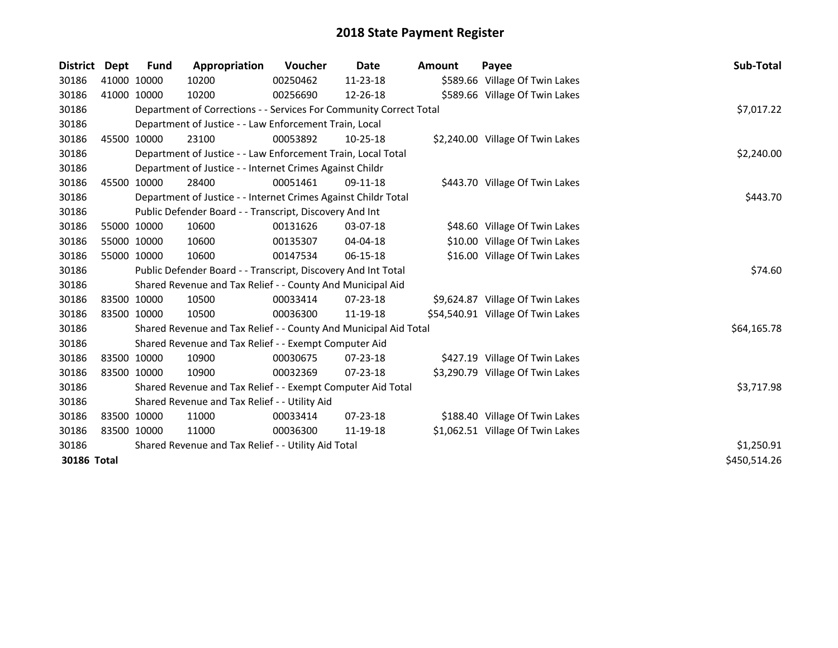| <b>District</b> | Dept        | <b>Fund</b> | Appropriation                                                      | <b>Voucher</b> | Date           | <b>Amount</b> | Payee                             | Sub-Total    |
|-----------------|-------------|-------------|--------------------------------------------------------------------|----------------|----------------|---------------|-----------------------------------|--------------|
| 30186           | 41000 10000 |             | 10200                                                              | 00250462       | 11-23-18       |               | \$589.66 Village Of Twin Lakes    |              |
| 30186           | 41000 10000 |             | 10200                                                              | 00256690       | 12-26-18       |               | \$589.66 Village Of Twin Lakes    |              |
| 30186           |             |             | Department of Corrections - - Services For Community Correct Total |                |                |               |                                   | \$7,017.22   |
| 30186           |             |             | Department of Justice - - Law Enforcement Train, Local             |                |                |               |                                   |              |
| 30186           |             | 45500 10000 | 23100                                                              | 00053892       | $10-25-18$     |               | \$2,240.00 Village Of Twin Lakes  |              |
| 30186           |             |             | Department of Justice - - Law Enforcement Train, Local Total       |                |                |               |                                   | \$2,240.00   |
| 30186           |             |             | Department of Justice - - Internet Crimes Against Childr           |                |                |               |                                   |              |
| 30186           | 45500 10000 |             | 28400                                                              | 00051461       | 09-11-18       |               | \$443.70 Village Of Twin Lakes    |              |
| 30186           |             |             | Department of Justice - - Internet Crimes Against Childr Total     | \$443.70       |                |               |                                   |              |
| 30186           |             |             | Public Defender Board - - Transcript, Discovery And Int            |                |                |               |                                   |              |
| 30186           |             | 55000 10000 | 10600                                                              | 00131626       | 03-07-18       |               | \$48.60 Village Of Twin Lakes     |              |
| 30186           |             | 55000 10000 | 10600                                                              | 00135307       | 04-04-18       |               | \$10.00 Village Of Twin Lakes     |              |
| 30186           |             | 55000 10000 | 10600                                                              | 00147534       | $06-15-18$     |               | \$16.00 Village Of Twin Lakes     |              |
| 30186           |             |             | Public Defender Board - - Transcript, Discovery And Int Total      |                |                |               |                                   | \$74.60      |
| 30186           |             |             | Shared Revenue and Tax Relief - - County And Municipal Aid         |                |                |               |                                   |              |
| 30186           |             | 83500 10000 | 10500                                                              | 00033414       | 07-23-18       |               | \$9,624.87 Village Of Twin Lakes  |              |
| 30186           | 83500 10000 |             | 10500                                                              | 00036300       | 11-19-18       |               | \$54,540.91 Village Of Twin Lakes |              |
| 30186           |             |             | Shared Revenue and Tax Relief - - County And Municipal Aid Total   |                |                |               |                                   | \$64,165.78  |
| 30186           |             |             | Shared Revenue and Tax Relief - - Exempt Computer Aid              |                |                |               |                                   |              |
| 30186           | 83500 10000 |             | 10900                                                              | 00030675       | 07-23-18       |               | \$427.19 Village Of Twin Lakes    |              |
| 30186           | 83500 10000 |             | 10900                                                              | 00032369       | 07-23-18       |               | \$3,290.79 Village Of Twin Lakes  |              |
| 30186           |             |             | Shared Revenue and Tax Relief - - Exempt Computer Aid Total        |                |                |               |                                   | \$3,717.98   |
| 30186           |             |             | Shared Revenue and Tax Relief - - Utility Aid                      |                |                |               |                                   |              |
| 30186           | 83500 10000 |             | 11000                                                              | 00033414       | $07 - 23 - 18$ |               | \$188.40 Village Of Twin Lakes    |              |
| 30186           | 83500 10000 |             | 11000                                                              | 00036300       | 11-19-18       |               | \$1,062.51 Village Of Twin Lakes  |              |
| 30186           |             |             | Shared Revenue and Tax Relief - - Utility Aid Total                |                |                |               |                                   | \$1,250.91   |
| 30186 Total     |             |             |                                                                    |                |                |               |                                   | \$450,514.26 |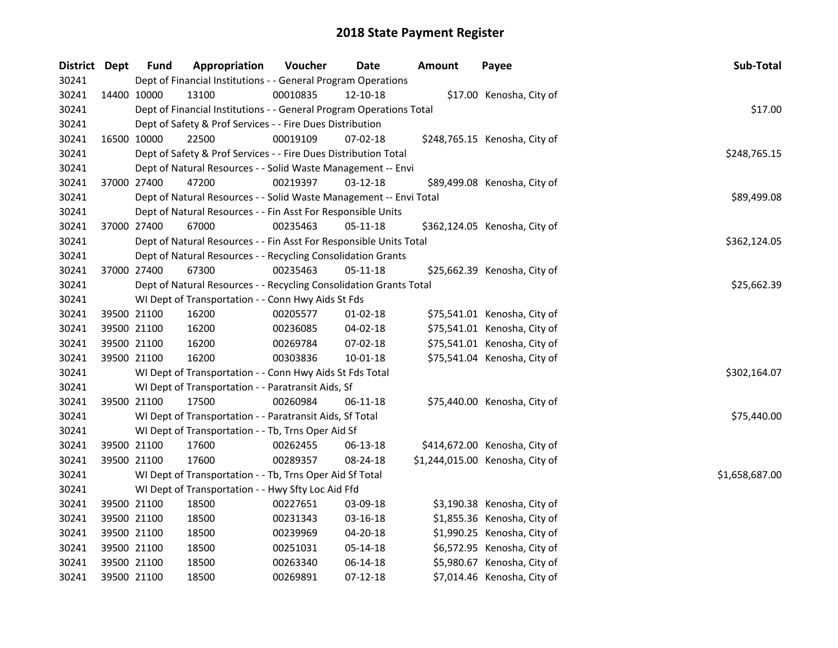| District Dept |             | <b>Fund</b> | Appropriation                                                       | Voucher  | Date           | <b>Amount</b> | Payee                           | Sub-Total      |
|---------------|-------------|-------------|---------------------------------------------------------------------|----------|----------------|---------------|---------------------------------|----------------|
| 30241         |             |             | Dept of Financial Institutions - - General Program Operations       |          |                |               |                                 |                |
| 30241         |             | 14400 10000 | 13100                                                               | 00010835 | 12-10-18       |               | \$17.00 Kenosha, City of        |                |
| 30241         |             |             | Dept of Financial Institutions - - General Program Operations Total |          |                |               |                                 | \$17.00        |
| 30241         |             |             | Dept of Safety & Prof Services - - Fire Dues Distribution           |          |                |               |                                 |                |
| 30241         |             | 16500 10000 | 22500                                                               | 00019109 | $07-02-18$     |               | \$248,765.15 Kenosha, City of   |                |
| 30241         |             |             | Dept of Safety & Prof Services - - Fire Dues Distribution Total     |          |                |               |                                 | \$248,765.15   |
| 30241         |             |             | Dept of Natural Resources - - Solid Waste Management -- Envi        |          |                |               |                                 |                |
| 30241         |             | 37000 27400 | 47200                                                               | 00219397 | $03 - 12 - 18$ |               | \$89,499.08 Kenosha, City of    |                |
| 30241         |             |             | Dept of Natural Resources - - Solid Waste Management -- Envi Total  |          |                |               |                                 | \$89,499.08    |
| 30241         |             |             | Dept of Natural Resources - - Fin Asst For Responsible Units        |          |                |               |                                 |                |
| 30241         |             | 37000 27400 | 67000                                                               | 00235463 | 05-11-18       |               | \$362,124.05 Kenosha, City of   |                |
| 30241         |             |             | Dept of Natural Resources - - Fin Asst For Responsible Units Total  |          |                |               |                                 | \$362,124.05   |
| 30241         |             |             | Dept of Natural Resources - - Recycling Consolidation Grants        |          |                |               |                                 |                |
| 30241         |             | 37000 27400 | 67300                                                               | 00235463 | 05-11-18       |               | \$25,662.39 Kenosha, City of    |                |
| 30241         |             |             | Dept of Natural Resources - - Recycling Consolidation Grants Total  |          |                |               |                                 | \$25,662.39    |
| 30241         |             |             | WI Dept of Transportation - - Conn Hwy Aids St Fds                  |          |                |               |                                 |                |
| 30241         |             | 39500 21100 | 16200                                                               | 00205577 | $01-02-18$     |               | \$75,541.01 Kenosha, City of    |                |
| 30241         | 39500 21100 |             | 16200                                                               | 00236085 | 04-02-18       |               | \$75,541.01 Kenosha, City of    |                |
| 30241         |             | 39500 21100 | 16200                                                               | 00269784 | 07-02-18       |               | \$75,541.01 Kenosha, City of    |                |
| 30241         |             | 39500 21100 | 16200                                                               | 00303836 | $10 - 01 - 18$ |               | \$75,541.04 Kenosha, City of    |                |
| 30241         |             |             | WI Dept of Transportation - - Conn Hwy Aids St Fds Total            |          |                |               |                                 | \$302,164.07   |
| 30241         |             |             | WI Dept of Transportation - - Paratransit Aids, Sf                  |          |                |               |                                 |                |
| 30241         | 39500 21100 |             | 17500                                                               | 00260984 | $06 - 11 - 18$ |               | \$75,440.00 Kenosha, City of    |                |
| 30241         |             |             | WI Dept of Transportation - - Paratransit Aids, Sf Total            |          |                |               |                                 | \$75,440.00    |
| 30241         |             |             | WI Dept of Transportation - - Tb, Trns Oper Aid Sf                  |          |                |               |                                 |                |
| 30241         | 39500 21100 |             | 17600                                                               | 00262455 | 06-13-18       |               | \$414,672.00 Kenosha, City of   |                |
| 30241         | 39500 21100 |             | 17600                                                               | 00289357 | 08-24-18       |               | \$1,244,015.00 Kenosha, City of |                |
| 30241         |             |             | WI Dept of Transportation - - Tb, Trns Oper Aid Sf Total            |          |                |               |                                 | \$1,658,687.00 |
| 30241         |             |             | WI Dept of Transportation - - Hwy Sfty Loc Aid Ffd                  |          |                |               |                                 |                |
| 30241         |             | 39500 21100 | 18500                                                               | 00227651 | 03-09-18       |               | \$3,190.38 Kenosha, City of     |                |
| 30241         | 39500 21100 |             | 18500                                                               | 00231343 | 03-16-18       |               | \$1,855.36 Kenosha, City of     |                |
| 30241         | 39500 21100 |             | 18500                                                               | 00239969 | 04-20-18       |               | \$1,990.25 Kenosha, City of     |                |
| 30241         | 39500 21100 |             | 18500                                                               | 00251031 | 05-14-18       |               | \$6,572.95 Kenosha, City of     |                |
| 30241         | 39500 21100 |             | 18500                                                               | 00263340 | 06-14-18       |               | \$5,980.67 Kenosha, City of     |                |
| 30241         |             | 39500 21100 | 18500                                                               | 00269891 | $07 - 12 - 18$ |               | \$7,014.46 Kenosha, City of     |                |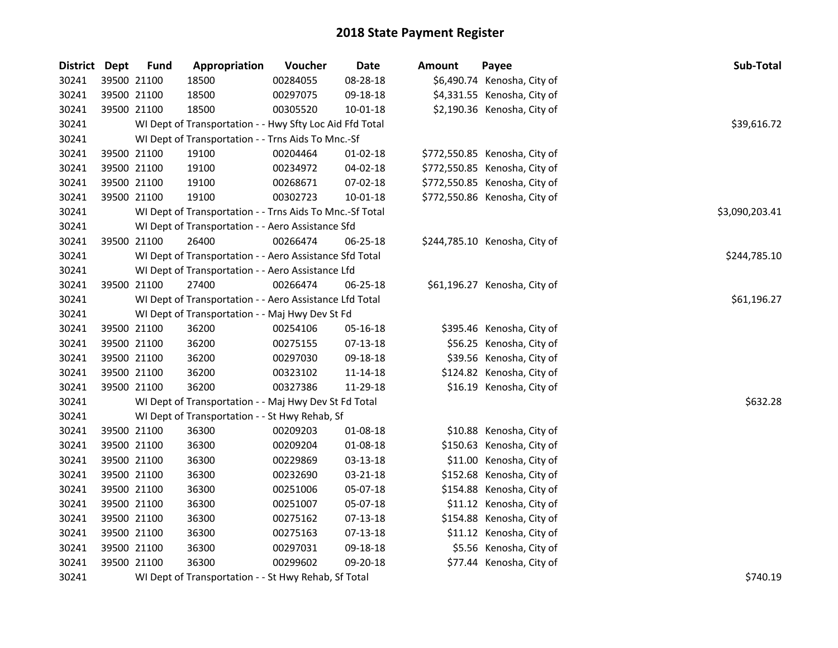| District Dept | <b>Fund</b> | Appropriation                                            | Voucher  | <b>Date</b>    | Amount | Payee                         | Sub-Total      |  |  |  |
|---------------|-------------|----------------------------------------------------------|----------|----------------|--------|-------------------------------|----------------|--|--|--|
| 30241         | 39500 21100 | 18500                                                    | 00284055 | 08-28-18       |        | \$6,490.74 Kenosha, City of   |                |  |  |  |
| 30241         | 39500 21100 | 18500                                                    | 00297075 | 09-18-18       |        | \$4,331.55 Kenosha, City of   |                |  |  |  |
| 30241         | 39500 21100 | 18500                                                    | 00305520 | 10-01-18       |        | \$2,190.36 Kenosha, City of   |                |  |  |  |
| 30241         |             | WI Dept of Transportation - - Hwy Sfty Loc Aid Ffd Total |          |                |        |                               | \$39,616.72    |  |  |  |
| 30241         |             | WI Dept of Transportation - - Trns Aids To Mnc.-Sf       |          |                |        |                               |                |  |  |  |
| 30241         | 39500 21100 | 19100                                                    | 00204464 | $01 - 02 - 18$ |        | \$772,550.85 Kenosha, City of |                |  |  |  |
| 30241         | 39500 21100 | 19100                                                    | 00234972 | 04-02-18       |        | \$772,550.85 Kenosha, City of |                |  |  |  |
| 30241         | 39500 21100 | 19100                                                    | 00268671 | 07-02-18       |        | \$772,550.85 Kenosha, City of |                |  |  |  |
| 30241         | 39500 21100 | 19100                                                    | 00302723 | 10-01-18       |        | \$772,550.86 Kenosha, City of |                |  |  |  |
| 30241         |             | WI Dept of Transportation - - Trns Aids To Mnc.-Sf Total |          |                |        |                               | \$3,090,203.41 |  |  |  |
| 30241         |             | WI Dept of Transportation - - Aero Assistance Sfd        |          |                |        |                               |                |  |  |  |
| 30241         | 39500 21100 | 26400                                                    | 00266474 | 06-25-18       |        | \$244,785.10 Kenosha, City of |                |  |  |  |
| 30241         |             | WI Dept of Transportation - - Aero Assistance Sfd Total  |          |                |        |                               | \$244,785.10   |  |  |  |
| 30241         |             | WI Dept of Transportation - - Aero Assistance Lfd        |          |                |        |                               |                |  |  |  |
| 30241         | 39500 21100 | 27400                                                    | 00266474 | 06-25-18       |        | \$61,196.27 Kenosha, City of  |                |  |  |  |
| 30241         |             | WI Dept of Transportation - - Aero Assistance Lfd Total  |          |                |        |                               | \$61,196.27    |  |  |  |
| 30241         |             | WI Dept of Transportation - - Maj Hwy Dev St Fd          |          |                |        |                               |                |  |  |  |
| 30241         | 39500 21100 | 36200                                                    | 00254106 | 05-16-18       |        | \$395.46 Kenosha, City of     |                |  |  |  |
| 30241         | 39500 21100 | 36200                                                    | 00275155 | 07-13-18       |        | \$56.25 Kenosha, City of      |                |  |  |  |
| 30241         | 39500 21100 | 36200                                                    | 00297030 | 09-18-18       |        | \$39.56 Kenosha, City of      |                |  |  |  |
| 30241         | 39500 21100 | 36200                                                    | 00323102 | 11-14-18       |        | \$124.82 Kenosha, City of     |                |  |  |  |
| 30241         | 39500 21100 | 36200                                                    | 00327386 | 11-29-18       |        | \$16.19 Kenosha, City of      |                |  |  |  |
| 30241         |             | WI Dept of Transportation - - Maj Hwy Dev St Fd Total    |          |                |        |                               | \$632.28       |  |  |  |
| 30241         |             | WI Dept of Transportation - - St Hwy Rehab, Sf           |          |                |        |                               |                |  |  |  |
| 30241         | 39500 21100 | 36300                                                    | 00209203 | 01-08-18       |        | \$10.88 Kenosha, City of      |                |  |  |  |
| 30241         | 39500 21100 | 36300                                                    | 00209204 | 01-08-18       |        | \$150.63 Kenosha, City of     |                |  |  |  |
| 30241         | 39500 21100 | 36300                                                    | 00229869 | 03-13-18       |        | \$11.00 Kenosha, City of      |                |  |  |  |
| 30241         | 39500 21100 | 36300                                                    | 00232690 | 03-21-18       |        | \$152.68 Kenosha, City of     |                |  |  |  |
| 30241         | 39500 21100 | 36300                                                    | 00251006 | 05-07-18       |        | \$154.88 Kenosha, City of     |                |  |  |  |
| 30241         | 39500 21100 | 36300                                                    | 00251007 | 05-07-18       |        | \$11.12 Kenosha, City of      |                |  |  |  |
| 30241         | 39500 21100 | 36300                                                    | 00275162 | 07-13-18       |        | \$154.88 Kenosha, City of     |                |  |  |  |
| 30241         | 39500 21100 | 36300                                                    | 00275163 | 07-13-18       |        | \$11.12 Kenosha, City of      |                |  |  |  |
| 30241         | 39500 21100 | 36300                                                    | 00297031 | 09-18-18       |        | \$5.56 Kenosha, City of       |                |  |  |  |
| 30241         | 39500 21100 | 36300                                                    | 00299602 | 09-20-18       |        | \$77.44 Kenosha, City of      |                |  |  |  |
| 30241         |             | WI Dept of Transportation - - St Hwy Rehab, Sf Total     |          |                |        |                               | \$740.19       |  |  |  |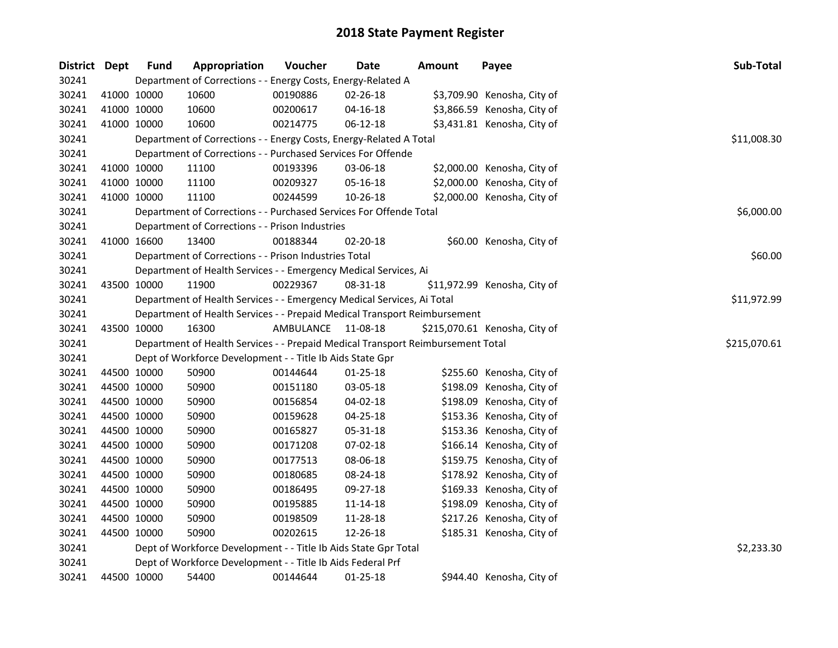| District Dept |             | <b>Fund</b> | Appropriation                                                                   | Voucher     | <b>Date</b>    | <b>Amount</b> | Payee                         | Sub-Total    |
|---------------|-------------|-------------|---------------------------------------------------------------------------------|-------------|----------------|---------------|-------------------------------|--------------|
| 30241         |             |             | Department of Corrections - - Energy Costs, Energy-Related A                    |             |                |               |                               |              |
| 30241         | 41000 10000 |             | 10600                                                                           | 00190886    | 02-26-18       |               | \$3,709.90 Kenosha, City of   |              |
| 30241         | 41000 10000 |             | 10600                                                                           | 00200617    | $04 - 16 - 18$ |               | \$3,866.59 Kenosha, City of   |              |
| 30241         | 41000 10000 |             | 10600                                                                           | 00214775    | 06-12-18       |               | \$3,431.81 Kenosha, City of   |              |
| 30241         |             |             | Department of Corrections - - Energy Costs, Energy-Related A Total              |             |                |               |                               | \$11,008.30  |
| 30241         |             |             | Department of Corrections - - Purchased Services For Offende                    |             |                |               |                               |              |
| 30241         | 41000 10000 |             | 11100                                                                           | 00193396    | 03-06-18       |               | \$2,000.00 Kenosha, City of   |              |
| 30241         | 41000 10000 |             | 11100                                                                           | 00209327    | 05-16-18       |               | \$2,000.00 Kenosha, City of   |              |
| 30241         | 41000 10000 |             | 11100                                                                           | 00244599    | 10-26-18       |               | \$2,000.00 Kenosha, City of   |              |
| 30241         |             |             | Department of Corrections - - Purchased Services For Offende Total              | \$6,000.00  |                |               |                               |              |
| 30241         |             |             | Department of Corrections - - Prison Industries                                 |             |                |               |                               |              |
| 30241         | 41000 16600 |             | 13400                                                                           | 00188344    | 02-20-18       |               | \$60.00 Kenosha, City of      |              |
| 30241         |             |             | Department of Corrections - - Prison Industries Total                           |             |                |               |                               | \$60.00      |
| 30241         |             |             | Department of Health Services - - Emergency Medical Services, Ai                |             |                |               |                               |              |
| 30241         | 43500 10000 |             | 11900                                                                           | 00229367    | 08-31-18       |               | \$11,972.99 Kenosha, City of  |              |
| 30241         |             |             | Department of Health Services - - Emergency Medical Services, Ai Total          | \$11,972.99 |                |               |                               |              |
| 30241         |             |             | Department of Health Services - - Prepaid Medical Transport Reimbursement       |             |                |               |                               |              |
| 30241         | 43500 10000 |             | 16300                                                                           | AMBULANCE   | 11-08-18       |               | \$215,070.61 Kenosha, City of |              |
| 30241         |             |             | Department of Health Services - - Prepaid Medical Transport Reimbursement Total |             |                |               |                               | \$215,070.61 |
| 30241         |             |             | Dept of Workforce Development - - Title Ib Aids State Gpr                       |             |                |               |                               |              |
| 30241         | 44500 10000 |             | 50900                                                                           | 00144644    | 01-25-18       |               | \$255.60 Kenosha, City of     |              |
| 30241         | 44500 10000 |             | 50900                                                                           | 00151180    | 03-05-18       |               | \$198.09 Kenosha, City of     |              |
| 30241         | 44500 10000 |             | 50900                                                                           | 00156854    | 04-02-18       |               | \$198.09 Kenosha, City of     |              |
| 30241         | 44500 10000 |             | 50900                                                                           | 00159628    | 04-25-18       |               | \$153.36 Kenosha, City of     |              |
| 30241         | 44500 10000 |             | 50900                                                                           | 00165827    | 05-31-18       |               | \$153.36 Kenosha, City of     |              |
| 30241         | 44500 10000 |             | 50900                                                                           | 00171208    | 07-02-18       |               | \$166.14 Kenosha, City of     |              |
| 30241         | 44500 10000 |             | 50900                                                                           | 00177513    | 08-06-18       |               | \$159.75 Kenosha, City of     |              |
| 30241         | 44500 10000 |             | 50900                                                                           | 00180685    | 08-24-18       |               | \$178.92 Kenosha, City of     |              |
| 30241         | 44500 10000 |             | 50900                                                                           | 00186495    | 09-27-18       |               | \$169.33 Kenosha, City of     |              |
| 30241         | 44500 10000 |             | 50900                                                                           | 00195885    | 11-14-18       |               | \$198.09 Kenosha, City of     |              |
| 30241         | 44500 10000 |             | 50900                                                                           | 00198509    | 11-28-18       |               | \$217.26 Kenosha, City of     |              |
| 30241         | 44500 10000 |             | 50900                                                                           | 00202615    | 12-26-18       |               | \$185.31 Kenosha, City of     |              |
| 30241         |             |             | Dept of Workforce Development - - Title Ib Aids State Gpr Total                 |             |                |               |                               | \$2,233.30   |
| 30241         |             |             | Dept of Workforce Development - - Title Ib Aids Federal Prf                     |             |                |               |                               |              |
| 30241         | 44500 10000 |             | 54400                                                                           | 00144644    | 01-25-18       |               | \$944.40 Kenosha, City of     |              |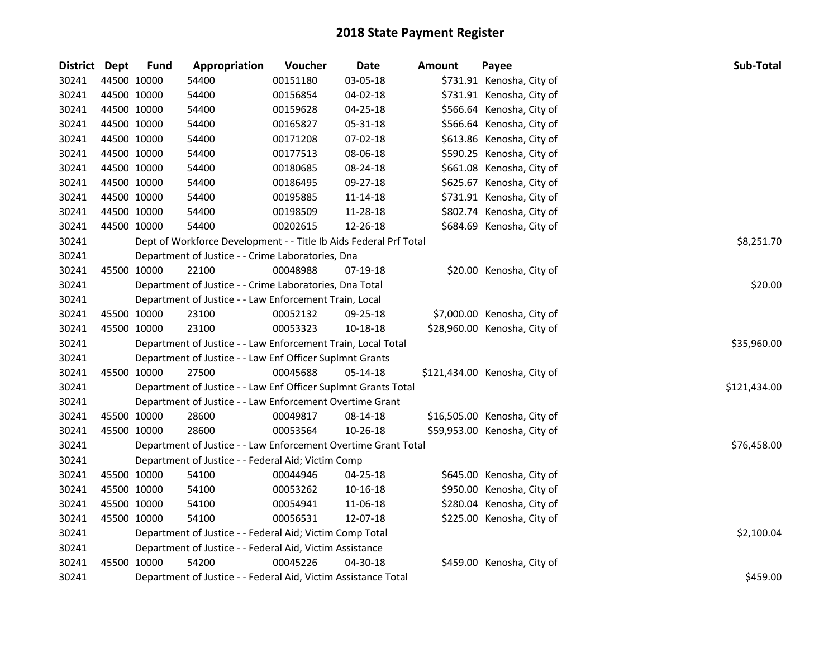| District Dept |             | <b>Fund</b>                                            | Appropriation                                                     | Voucher  | <b>Date</b>    | <b>Amount</b> | Payee                         | Sub-Total    |  |  |
|---------------|-------------|--------------------------------------------------------|-------------------------------------------------------------------|----------|----------------|---------------|-------------------------------|--------------|--|--|
| 30241         |             | 44500 10000                                            | 54400                                                             | 00151180 | 03-05-18       |               | \$731.91 Kenosha, City of     |              |  |  |
| 30241         |             | 44500 10000                                            | 54400                                                             | 00156854 | 04-02-18       |               | \$731.91 Kenosha, City of     |              |  |  |
| 30241         |             | 44500 10000                                            | 54400                                                             | 00159628 | 04-25-18       |               | \$566.64 Kenosha, City of     |              |  |  |
| 30241         |             | 44500 10000                                            | 54400                                                             | 00165827 | 05-31-18       |               | \$566.64 Kenosha, City of     |              |  |  |
| 30241         |             | 44500 10000                                            | 54400                                                             | 00171208 | 07-02-18       |               | \$613.86 Kenosha, City of     |              |  |  |
| 30241         |             | 44500 10000                                            | 54400                                                             | 00177513 | 08-06-18       |               | \$590.25 Kenosha, City of     |              |  |  |
| 30241         |             | 44500 10000                                            | 54400                                                             | 00180685 | 08-24-18       |               | \$661.08 Kenosha, City of     |              |  |  |
| 30241         |             | 44500 10000                                            | 54400                                                             | 00186495 | 09-27-18       |               | \$625.67 Kenosha, City of     |              |  |  |
| 30241         |             | 44500 10000                                            | 54400                                                             | 00195885 | 11-14-18       |               | \$731.91 Kenosha, City of     |              |  |  |
| 30241         |             | 44500 10000                                            | 54400                                                             | 00198509 | 11-28-18       |               | \$802.74 Kenosha, City of     |              |  |  |
| 30241         | 44500 10000 |                                                        | 54400                                                             | 00202615 | 12-26-18       |               | \$684.69 Kenosha, City of     |              |  |  |
| 30241         |             |                                                        | Dept of Workforce Development - - Title Ib Aids Federal Prf Total |          |                |               |                               | \$8,251.70   |  |  |
| 30241         |             |                                                        | Department of Justice - - Crime Laboratories, Dna                 |          |                |               |                               |              |  |  |
| 30241         |             | 45500 10000                                            | 22100                                                             | 00048988 | 07-19-18       |               | \$20.00 Kenosha, City of      |              |  |  |
| 30241         |             |                                                        | Department of Justice - - Crime Laboratories, Dna Total           |          |                |               |                               | \$20.00      |  |  |
| 30241         |             | Department of Justice - - Law Enforcement Train, Local |                                                                   |          |                |               |                               |              |  |  |
| 30241         |             | 45500 10000                                            | 23100                                                             | 00052132 | 09-25-18       |               | \$7,000.00 Kenosha, City of   |              |  |  |
| 30241         |             | 45500 10000                                            | 23100                                                             | 00053323 | $10 - 18 - 18$ |               | \$28,960.00 Kenosha, City of  |              |  |  |
| 30241         |             |                                                        | Department of Justice - - Law Enforcement Train, Local Total      |          |                |               |                               | \$35,960.00  |  |  |
| 30241         |             |                                                        | Department of Justice - - Law Enf Officer Suplmnt Grants          |          |                |               |                               |              |  |  |
| 30241         |             | 45500 10000                                            | 27500                                                             | 00045688 | 05-14-18       |               | \$121,434.00 Kenosha, City of |              |  |  |
| 30241         |             |                                                        | Department of Justice - - Law Enf Officer Suplmnt Grants Total    |          |                |               |                               | \$121,434.00 |  |  |
| 30241         |             |                                                        | Department of Justice - - Law Enforcement Overtime Grant          |          |                |               |                               |              |  |  |
| 30241         |             | 45500 10000                                            | 28600                                                             | 00049817 | 08-14-18       |               | \$16,505.00 Kenosha, City of  |              |  |  |
| 30241         |             | 45500 10000                                            | 28600                                                             | 00053564 | 10-26-18       |               | \$59,953.00 Kenosha, City of  |              |  |  |
| 30241         |             |                                                        | Department of Justice - - Law Enforcement Overtime Grant Total    |          |                |               |                               | \$76,458.00  |  |  |
| 30241         |             |                                                        | Department of Justice - - Federal Aid; Victim Comp                |          |                |               |                               |              |  |  |
| 30241         |             | 45500 10000                                            | 54100                                                             | 00044946 | 04-25-18       |               | \$645.00 Kenosha, City of     |              |  |  |
| 30241         |             | 45500 10000                                            | 54100                                                             | 00053262 | 10-16-18       |               | \$950.00 Kenosha, City of     |              |  |  |
| 30241         |             | 45500 10000                                            | 54100                                                             | 00054941 | 11-06-18       |               | \$280.04 Kenosha, City of     |              |  |  |
| 30241         |             | 45500 10000                                            | 54100                                                             | 00056531 | 12-07-18       |               | \$225.00 Kenosha, City of     |              |  |  |
| 30241         |             |                                                        | Department of Justice - - Federal Aid; Victim Comp Total          |          |                |               |                               | \$2,100.04   |  |  |
| 30241         |             |                                                        | Department of Justice - - Federal Aid, Victim Assistance          |          |                |               |                               |              |  |  |
| 30241         |             | 45500 10000                                            | 54200                                                             | 00045226 | 04-30-18       |               | \$459.00 Kenosha, City of     |              |  |  |
| 30241         |             |                                                        | Department of Justice - - Federal Aid, Victim Assistance Total    |          |                |               |                               | \$459.00     |  |  |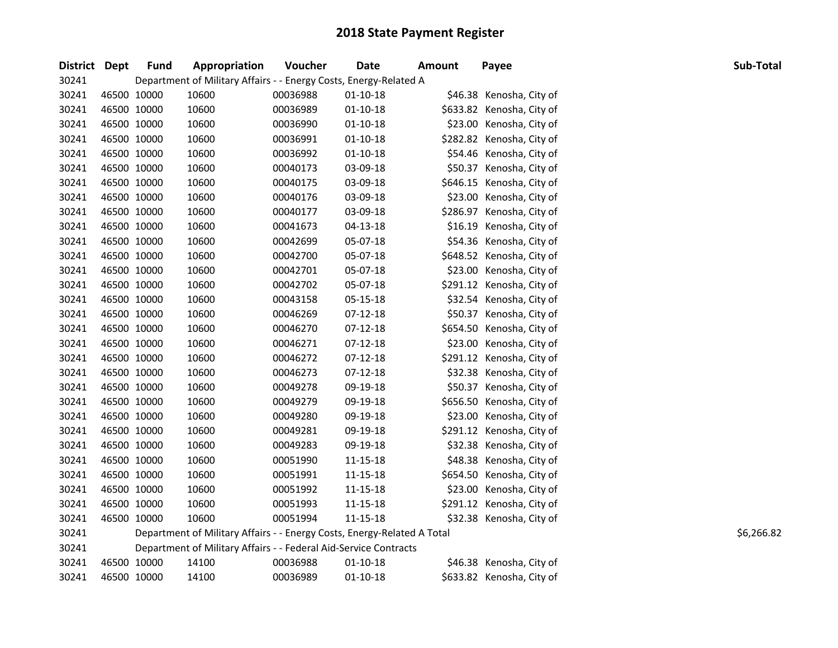| District Dept | <b>Fund</b> | Appropriation                                                           | Voucher  | <b>Date</b>    | <b>Amount</b> | Payee                     | Sub-Total  |
|---------------|-------------|-------------------------------------------------------------------------|----------|----------------|---------------|---------------------------|------------|
| 30241         |             | Department of Military Affairs - - Energy Costs, Energy-Related A       |          |                |               |                           |            |
| 30241         | 46500 10000 | 10600                                                                   | 00036988 | $01 - 10 - 18$ |               | \$46.38 Kenosha, City of  |            |
| 30241         | 46500 10000 | 10600                                                                   | 00036989 | $01-10-18$     |               | \$633.82 Kenosha, City of |            |
| 30241         | 46500 10000 | 10600                                                                   | 00036990 | $01 - 10 - 18$ |               | \$23.00 Kenosha, City of  |            |
| 30241         | 46500 10000 | 10600                                                                   | 00036991 | $01-10-18$     |               | \$282.82 Kenosha, City of |            |
| 30241         | 46500 10000 | 10600                                                                   | 00036992 | $01 - 10 - 18$ |               | \$54.46 Kenosha, City of  |            |
| 30241         | 46500 10000 | 10600                                                                   | 00040173 | 03-09-18       |               | \$50.37 Kenosha, City of  |            |
| 30241         | 46500 10000 | 10600                                                                   | 00040175 | 03-09-18       |               | \$646.15 Kenosha, City of |            |
| 30241         | 46500 10000 | 10600                                                                   | 00040176 | 03-09-18       |               | \$23.00 Kenosha, City of  |            |
| 30241         | 46500 10000 | 10600                                                                   | 00040177 | 03-09-18       |               | \$286.97 Kenosha, City of |            |
| 30241         | 46500 10000 | 10600                                                                   | 00041673 | $04 - 13 - 18$ |               | \$16.19 Kenosha, City of  |            |
| 30241         | 46500 10000 | 10600                                                                   | 00042699 | 05-07-18       |               | \$54.36 Kenosha, City of  |            |
| 30241         | 46500 10000 | 10600                                                                   | 00042700 | 05-07-18       |               | \$648.52 Kenosha, City of |            |
| 30241         | 46500 10000 | 10600                                                                   | 00042701 | 05-07-18       |               | \$23.00 Kenosha, City of  |            |
| 30241         | 46500 10000 | 10600                                                                   | 00042702 | 05-07-18       |               | \$291.12 Kenosha, City of |            |
| 30241         | 46500 10000 | 10600                                                                   | 00043158 | 05-15-18       |               | \$32.54 Kenosha, City of  |            |
| 30241         | 46500 10000 | 10600                                                                   | 00046269 | $07-12-18$     |               | \$50.37 Kenosha, City of  |            |
| 30241         | 46500 10000 | 10600                                                                   | 00046270 | $07-12-18$     |               | \$654.50 Kenosha, City of |            |
| 30241         | 46500 10000 | 10600                                                                   | 00046271 | $07-12-18$     |               | \$23.00 Kenosha, City of  |            |
| 30241         | 46500 10000 | 10600                                                                   | 00046272 | $07-12-18$     |               | \$291.12 Kenosha, City of |            |
| 30241         | 46500 10000 | 10600                                                                   | 00046273 | $07-12-18$     |               | \$32.38 Kenosha, City of  |            |
| 30241         | 46500 10000 | 10600                                                                   | 00049278 | 09-19-18       |               | \$50.37 Kenosha, City of  |            |
| 30241         | 46500 10000 | 10600                                                                   | 00049279 | 09-19-18       |               | \$656.50 Kenosha, City of |            |
| 30241         | 46500 10000 | 10600                                                                   | 00049280 | 09-19-18       |               | \$23.00 Kenosha, City of  |            |
| 30241         | 46500 10000 | 10600                                                                   | 00049281 | 09-19-18       |               | \$291.12 Kenosha, City of |            |
| 30241         | 46500 10000 | 10600                                                                   | 00049283 | 09-19-18       |               | \$32.38 Kenosha, City of  |            |
| 30241         | 46500 10000 | 10600                                                                   | 00051990 | 11-15-18       |               | \$48.38 Kenosha, City of  |            |
| 30241         | 46500 10000 | 10600                                                                   | 00051991 | 11-15-18       |               | \$654.50 Kenosha, City of |            |
| 30241         | 46500 10000 | 10600                                                                   | 00051992 | 11-15-18       |               | \$23.00 Kenosha, City of  |            |
| 30241         | 46500 10000 | 10600                                                                   | 00051993 | 11-15-18       |               | \$291.12 Kenosha, City of |            |
| 30241         | 46500 10000 | 10600                                                                   | 00051994 | 11-15-18       |               | \$32.38 Kenosha, City of  |            |
| 30241         |             | Department of Military Affairs - - Energy Costs, Energy-Related A Total |          |                |               |                           | \$6,266.82 |
| 30241         |             | Department of Military Affairs - - Federal Aid-Service Contracts        |          |                |               |                           |            |
| 30241         | 46500 10000 | 14100                                                                   | 00036988 | $01 - 10 - 18$ |               | \$46.38 Kenosha, City of  |            |
| 30241         | 46500 10000 | 14100                                                                   | 00036989 | $01 - 10 - 18$ |               | \$633.82 Kenosha, City of |            |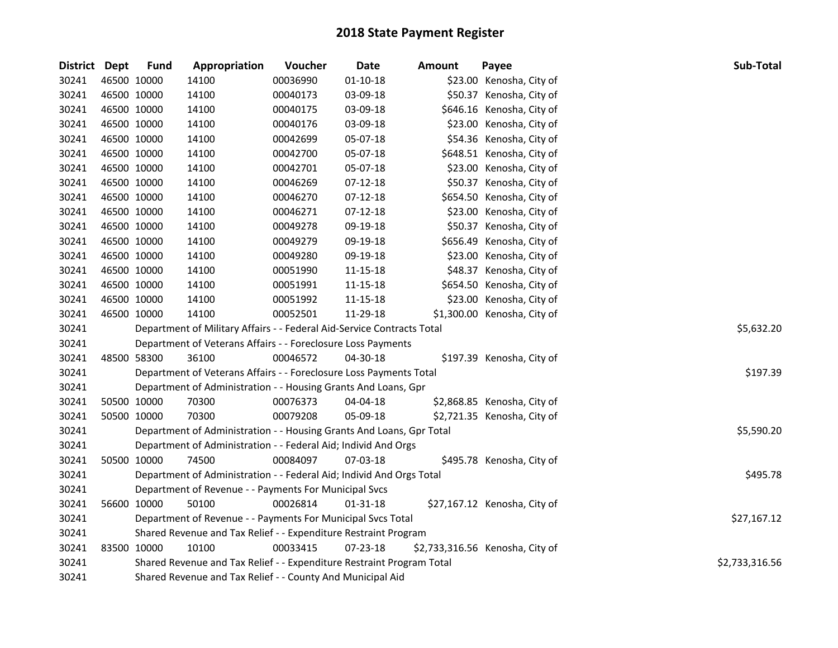| District Dept | <b>Fund</b> | Appropriation                                                          | Voucher    | Date           | <b>Amount</b>                   | Payee                        | Sub-Total      |
|---------------|-------------|------------------------------------------------------------------------|------------|----------------|---------------------------------|------------------------------|----------------|
| 30241         | 46500 10000 | 14100                                                                  | 00036990   | $01 - 10 - 18$ |                                 | \$23.00 Kenosha, City of     |                |
| 30241         | 46500 10000 | 14100                                                                  | 00040173   | 03-09-18       |                                 | \$50.37 Kenosha, City of     |                |
| 30241         | 46500 10000 | 14100                                                                  | 00040175   | 03-09-18       |                                 | \$646.16 Kenosha, City of    |                |
| 30241         | 46500 10000 | 14100                                                                  | 00040176   | 03-09-18       |                                 | \$23.00 Kenosha, City of     |                |
| 30241         | 46500 10000 | 14100                                                                  | 00042699   | 05-07-18       |                                 | \$54.36 Kenosha, City of     |                |
| 30241         | 46500 10000 | 14100                                                                  | 00042700   | 05-07-18       |                                 | \$648.51 Kenosha, City of    |                |
| 30241         | 46500 10000 | 14100                                                                  | 00042701   | 05-07-18       |                                 | \$23.00 Kenosha, City of     |                |
| 30241         | 46500 10000 | 14100                                                                  | 00046269   | $07-12-18$     |                                 | \$50.37 Kenosha, City of     |                |
| 30241         | 46500 10000 | 14100                                                                  | 00046270   | $07-12-18$     |                                 | \$654.50 Kenosha, City of    |                |
| 30241         | 46500 10000 | 14100                                                                  | 00046271   | $07-12-18$     |                                 | \$23.00 Kenosha, City of     |                |
| 30241         | 46500 10000 | 14100                                                                  | 00049278   | 09-19-18       |                                 | \$50.37 Kenosha, City of     |                |
| 30241         | 46500 10000 | 14100                                                                  | 00049279   | 09-19-18       |                                 | \$656.49 Kenosha, City of    |                |
| 30241         | 46500 10000 | 14100                                                                  | 00049280   | 09-19-18       |                                 | \$23.00 Kenosha, City of     |                |
| 30241         | 46500 10000 | 14100                                                                  | 00051990   | 11-15-18       |                                 | \$48.37 Kenosha, City of     |                |
| 30241         | 46500 10000 | 14100                                                                  | 00051991   | 11-15-18       |                                 | \$654.50 Kenosha, City of    |                |
| 30241         | 46500 10000 | 14100                                                                  | 00051992   | 11-15-18       |                                 | \$23.00 Kenosha, City of     |                |
| 30241         | 46500 10000 | 14100                                                                  | 00052501   | 11-29-18       |                                 | \$1,300.00 Kenosha, City of  |                |
| 30241         |             | Department of Military Affairs - - Federal Aid-Service Contracts Total | \$5,632.20 |                |                                 |                              |                |
| 30241         |             | Department of Veterans Affairs - - Foreclosure Loss Payments           |            |                |                                 |                              |                |
| 30241         | 48500 58300 | 36100                                                                  | 00046572   | 04-30-18       |                                 | \$197.39 Kenosha, City of    |                |
| 30241         |             | Department of Veterans Affairs - - Foreclosure Loss Payments Total     |            |                |                                 |                              | \$197.39       |
| 30241         |             | Department of Administration - - Housing Grants And Loans, Gpr         |            |                |                                 |                              |                |
| 30241         | 50500 10000 | 70300                                                                  | 00076373   | 04-04-18       |                                 | \$2,868.85 Kenosha, City of  |                |
| 30241         | 50500 10000 | 70300                                                                  | 00079208   | 05-09-18       |                                 | \$2,721.35 Kenosha, City of  |                |
| 30241         |             | Department of Administration - - Housing Grants And Loans, Gpr Total   |            |                |                                 |                              | \$5,590.20     |
| 30241         |             | Department of Administration - - Federal Aid; Individ And Orgs         |            |                |                                 |                              |                |
| 30241         | 50500 10000 | 74500                                                                  | 00084097   | 07-03-18       |                                 | \$495.78 Kenosha, City of    |                |
| 30241         |             | Department of Administration - - Federal Aid; Individ And Orgs Total   |            |                |                                 |                              | \$495.78       |
| 30241         |             | Department of Revenue - - Payments For Municipal Svcs                  |            |                |                                 |                              |                |
| 30241         | 56600 10000 | 50100                                                                  | 00026814   | $01 - 31 - 18$ |                                 | \$27,167.12 Kenosha, City of |                |
| 30241         |             | Department of Revenue - - Payments For Municipal Svcs Total            |            |                |                                 |                              | \$27,167.12    |
| 30241         |             | Shared Revenue and Tax Relief - - Expenditure Restraint Program        |            |                |                                 |                              |                |
| 30241         | 83500 10000 | 10100                                                                  | 00033415   | 07-23-18       | \$2,733,316.56 Kenosha, City of |                              |                |
| 30241         |             | Shared Revenue and Tax Relief - - Expenditure Restraint Program Total  |            |                |                                 |                              | \$2,733,316.56 |
| 30241         |             | Shared Revenue and Tax Relief - - County And Municipal Aid             |            |                |                                 |                              |                |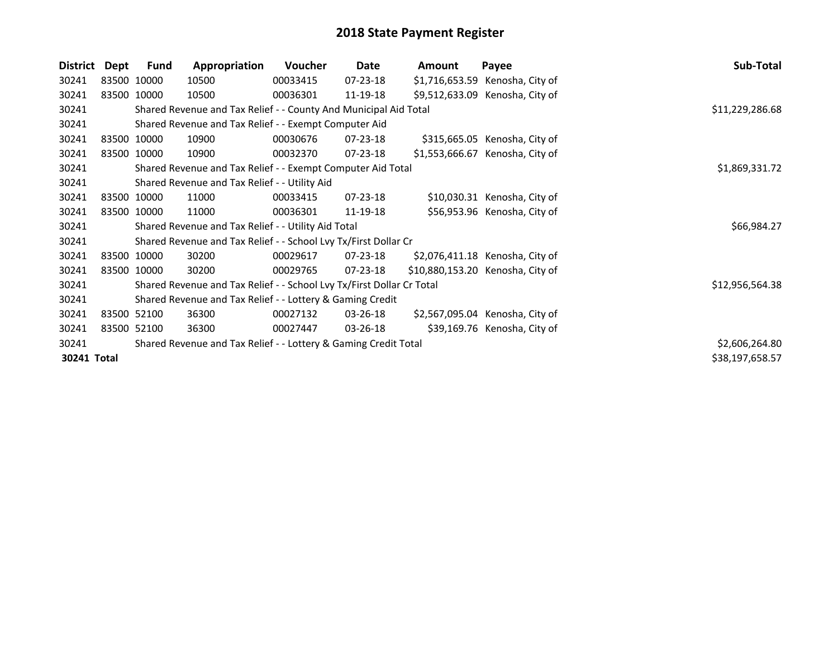| <b>District</b> | Dept        | Fund        | Appropriation                                                         | <b>Voucher</b> | Date           | Amount | Payee                            | Sub-Total       |
|-----------------|-------------|-------------|-----------------------------------------------------------------------|----------------|----------------|--------|----------------------------------|-----------------|
| 30241           | 83500 10000 |             | 10500                                                                 | 00033415       | 07-23-18       |        | \$1,716,653.59 Kenosha, City of  |                 |
| 30241           | 83500 10000 |             | 10500                                                                 | 00036301       | 11-19-18       |        | \$9,512,633.09 Kenosha, City of  |                 |
| 30241           |             |             | Shared Revenue and Tax Relief - - County And Municipal Aid Total      |                |                |        |                                  | \$11,229,286.68 |
| 30241           |             |             | Shared Revenue and Tax Relief - - Exempt Computer Aid                 |                |                |        |                                  |                 |
| 30241           |             | 83500 10000 | 10900                                                                 | 00030676       | 07-23-18       |        | \$315,665.05 Kenosha, City of    |                 |
| 30241           |             | 83500 10000 | 10900                                                                 | 00032370       | 07-23-18       |        | \$1,553,666.67 Kenosha, City of  |                 |
| 30241           |             |             | Shared Revenue and Tax Relief - - Exempt Computer Aid Total           | \$1,869,331.72 |                |        |                                  |                 |
| 30241           |             |             | Shared Revenue and Tax Relief - - Utility Aid                         |                |                |        |                                  |                 |
| 30241           |             | 83500 10000 | 11000                                                                 | 00033415       | $07 - 23 - 18$ |        | \$10,030.31 Kenosha, City of     |                 |
| 30241           |             | 83500 10000 | 11000                                                                 | 00036301       | 11-19-18       |        | \$56,953.96 Kenosha, City of     |                 |
| 30241           |             |             | Shared Revenue and Tax Relief - - Utility Aid Total                   |                |                |        |                                  | \$66,984.27     |
| 30241           |             |             | Shared Revenue and Tax Relief - - School Lvy Tx/First Dollar Cr       |                |                |        |                                  |                 |
| 30241           |             | 83500 10000 | 30200                                                                 | 00029617       | 07-23-18       |        | \$2,076,411.18 Kenosha, City of  |                 |
| 30241           |             | 83500 10000 | 30200                                                                 | 00029765       | 07-23-18       |        | \$10,880,153.20 Kenosha, City of |                 |
| 30241           |             |             | Shared Revenue and Tax Relief - - School Lvy Tx/First Dollar Cr Total |                |                |        |                                  | \$12,956,564.38 |
| 30241           |             |             | Shared Revenue and Tax Relief - - Lottery & Gaming Credit             |                |                |        |                                  |                 |
| 30241           |             | 83500 52100 | 36300                                                                 | 00027132       | 03-26-18       |        | \$2,567,095.04 Kenosha, City of  |                 |
| 30241           |             | 83500 52100 | 36300                                                                 | 00027447       | 03-26-18       |        | \$39,169.76 Kenosha, City of     |                 |
| 30241           |             |             | Shared Revenue and Tax Relief - - Lottery & Gaming Credit Total       |                |                |        |                                  | \$2,606,264.80  |
| 30241 Total     |             |             |                                                                       |                |                |        |                                  | \$38,197,658.57 |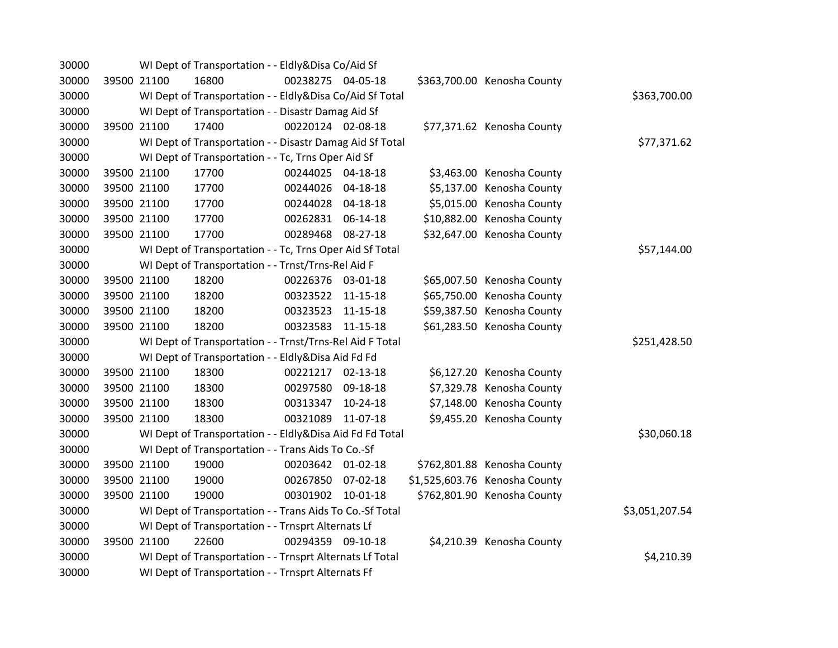| 30000 |             |             | WI Dept of Transportation - - Eldly&Disa Co/Aid Sf       |                   |            |                               |                |
|-------|-------------|-------------|----------------------------------------------------------|-------------------|------------|-------------------------------|----------------|
| 30000 |             | 39500 21100 | 16800                                                    | 00238275 04-05-18 |            | \$363,700.00 Kenosha County   |                |
| 30000 |             |             | WI Dept of Transportation - - Eldly&Disa Co/Aid Sf Total |                   |            |                               | \$363,700.00   |
| 30000 |             |             | WI Dept of Transportation - - Disastr Damag Aid Sf       |                   |            |                               |                |
| 30000 |             | 39500 21100 | 17400                                                    | 00220124 02-08-18 |            | \$77,371.62 Kenosha County    |                |
| 30000 |             |             | WI Dept of Transportation - - Disastr Damag Aid Sf Total |                   |            |                               | \$77,371.62    |
| 30000 |             |             | WI Dept of Transportation - - Tc, Trns Oper Aid Sf       |                   |            |                               |                |
| 30000 |             | 39500 21100 | 17700                                                    | 00244025 04-18-18 |            | \$3,463.00 Kenosha County     |                |
| 30000 |             | 39500 21100 | 17700                                                    | 00244026 04-18-18 |            | \$5,137.00 Kenosha County     |                |
| 30000 |             | 39500 21100 | 17700                                                    | 00244028 04-18-18 |            | \$5,015.00 Kenosha County     |                |
| 30000 |             | 39500 21100 | 17700                                                    | 00262831 06-14-18 |            | \$10,882.00 Kenosha County    |                |
| 30000 | 39500 21100 |             | 17700                                                    | 00289468 08-27-18 |            | \$32,647.00 Kenosha County    |                |
| 30000 |             |             | WI Dept of Transportation - - Tc, Trns Oper Aid Sf Total |                   |            |                               | \$57,144.00    |
| 30000 |             |             | WI Dept of Transportation - - Trnst/Trns-Rel Aid F       |                   |            |                               |                |
| 30000 |             | 39500 21100 | 18200                                                    | 00226376 03-01-18 |            | \$65,007.50 Kenosha County    |                |
| 30000 |             | 39500 21100 | 18200                                                    | 00323522 11-15-18 |            | \$65,750.00 Kenosha County    |                |
| 30000 |             | 39500 21100 | 18200                                                    | 00323523 11-15-18 |            | \$59,387.50 Kenosha County    |                |
| 30000 |             | 39500 21100 | 18200                                                    | 00323583 11-15-18 |            | \$61,283.50 Kenosha County    |                |
| 30000 |             |             | WI Dept of Transportation - - Trnst/Trns-Rel Aid F Total |                   |            |                               | \$251,428.50   |
| 30000 |             |             | WI Dept of Transportation - - Eldly&Disa Aid Fd Fd       |                   |            |                               |                |
| 30000 |             | 39500 21100 | 18300                                                    | 00221217 02-13-18 |            | \$6,127.20 Kenosha County     |                |
| 30000 |             | 39500 21100 | 18300                                                    | 00297580 09-18-18 |            | \$7,329.78 Kenosha County     |                |
| 30000 |             | 39500 21100 | 18300                                                    | 00313347          | $10-24-18$ | \$7,148.00 Kenosha County     |                |
| 30000 |             | 39500 21100 | 18300                                                    | 00321089          | 11-07-18   | \$9,455.20 Kenosha County     |                |
| 30000 |             |             | WI Dept of Transportation - - Eldly&Disa Aid Fd Fd Total |                   |            |                               | \$30,060.18    |
| 30000 |             |             | WI Dept of Transportation - - Trans Aids To Co.-Sf       |                   |            |                               |                |
| 30000 |             | 39500 21100 | 19000                                                    | 00203642 01-02-18 |            | \$762,801.88 Kenosha County   |                |
| 30000 |             | 39500 21100 | 19000                                                    | 00267850          | 07-02-18   | \$1,525,603.76 Kenosha County |                |
| 30000 |             | 39500 21100 | 19000                                                    | 00301902 10-01-18 |            | \$762,801.90 Kenosha County   |                |
| 30000 |             |             | WI Dept of Transportation - - Trans Aids To Co.-Sf Total |                   |            |                               | \$3,051,207.54 |
| 30000 |             |             | WI Dept of Transportation - - Trnsprt Alternats Lf       |                   |            |                               |                |
| 30000 |             | 39500 21100 | 22600                                                    | 00294359 09-10-18 |            | \$4,210.39 Kenosha County     |                |
| 30000 |             |             | WI Dept of Transportation - - Trnsprt Alternats Lf Total |                   |            |                               | \$4,210.39     |
| 30000 |             |             | WI Dept of Transportation - - Trnsprt Alternats Ff       |                   |            |                               |                |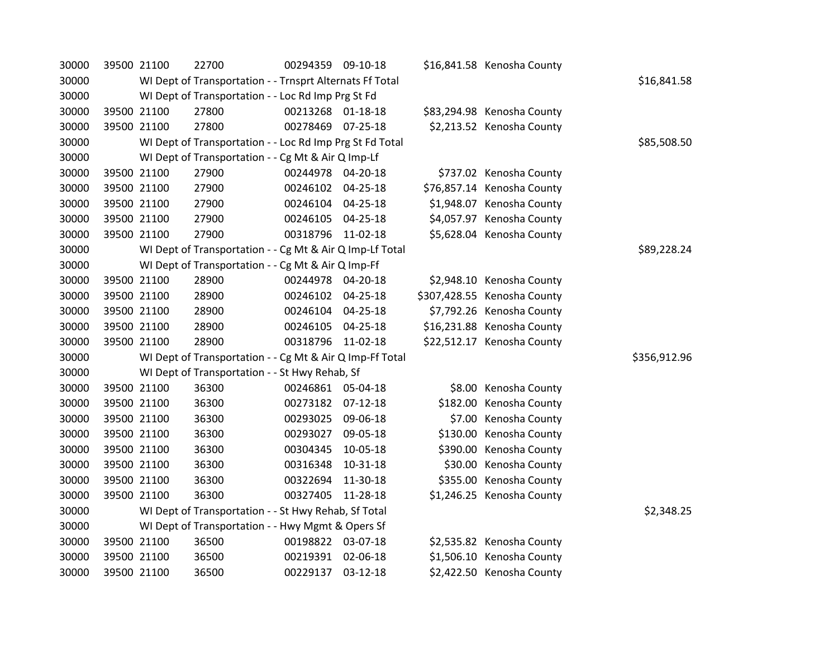| 30000 | 39500 21100                                        |                                                          | 22700        | 00294359 09-10-18 |                |  | \$16,841.58 Kenosha County  |  |  |
|-------|----------------------------------------------------|----------------------------------------------------------|--------------|-------------------|----------------|--|-----------------------------|--|--|
| 30000 |                                                    | WI Dept of Transportation - - Trnsprt Alternats Ff Total | \$16,841.58  |                   |                |  |                             |  |  |
| 30000 |                                                    | WI Dept of Transportation - - Loc Rd Imp Prg St Fd       |              |                   |                |  |                             |  |  |
| 30000 |                                                    | 39500 21100                                              | 27800        | 00213268 01-18-18 |                |  | \$83,294.98 Kenosha County  |  |  |
| 30000 |                                                    | 39500 21100                                              | 27800        | 00278469          | 07-25-18       |  | \$2,213.52 Kenosha County   |  |  |
| 30000 |                                                    | WI Dept of Transportation - - Loc Rd Imp Prg St Fd Total | \$85,508.50  |                   |                |  |                             |  |  |
| 30000 |                                                    | WI Dept of Transportation - - Cg Mt & Air Q Imp-Lf       |              |                   |                |  |                             |  |  |
| 30000 |                                                    | 39500 21100                                              | 27900        | 00244978 04-20-18 |                |  | \$737.02 Kenosha County     |  |  |
| 30000 |                                                    | 39500 21100                                              | 27900        | 00246102          | 04-25-18       |  | \$76,857.14 Kenosha County  |  |  |
| 30000 |                                                    | 39500 21100                                              | 27900        | 00246104 04-25-18 |                |  | \$1,948.07 Kenosha County   |  |  |
| 30000 |                                                    | 39500 21100                                              | 27900        | 00246105          | 04-25-18       |  | \$4,057.97 Kenosha County   |  |  |
| 30000 | 39500 21100                                        |                                                          | 27900        | 00318796 11-02-18 |                |  | \$5,628.04 Kenosha County   |  |  |
| 30000 |                                                    | WI Dept of Transportation - - Cg Mt & Air Q Imp-Lf Total | \$89,228.24  |                   |                |  |                             |  |  |
| 30000 | WI Dept of Transportation - - Cg Mt & Air Q Imp-Ff |                                                          |              |                   |                |  |                             |  |  |
| 30000 |                                                    | 39500 21100                                              | 28900        | 00244978 04-20-18 |                |  | \$2,948.10 Kenosha County   |  |  |
| 30000 |                                                    | 39500 21100                                              | 28900        | 00246102          | 04-25-18       |  | \$307,428.55 Kenosha County |  |  |
| 30000 |                                                    | 39500 21100                                              | 28900        | 00246104          | 04-25-18       |  | \$7,792.26 Kenosha County   |  |  |
| 30000 |                                                    | 39500 21100                                              | 28900        | 00246105          | $04 - 25 - 18$ |  | \$16,231.88 Kenosha County  |  |  |
| 30000 |                                                    | 39500 21100                                              | 28900        | 00318796          | 11-02-18       |  | \$22,512.17 Kenosha County  |  |  |
| 30000 |                                                    | WI Dept of Transportation - - Cg Mt & Air Q Imp-Ff Total | \$356,912.96 |                   |                |  |                             |  |  |
| 30000 |                                                    | WI Dept of Transportation - - St Hwy Rehab, Sf           |              |                   |                |  |                             |  |  |
| 30000 | 39500 21100                                        |                                                          | 36300        | 00246861 05-04-18 |                |  | \$8.00 Kenosha County       |  |  |
| 30000 |                                                    | 39500 21100                                              | 36300        | 00273182          | $07-12-18$     |  | \$182.00 Kenosha County     |  |  |
| 30000 |                                                    | 39500 21100                                              | 36300        | 00293025          | 09-06-18       |  | \$7.00 Kenosha County       |  |  |
| 30000 |                                                    | 39500 21100                                              | 36300        | 00293027          | 09-05-18       |  | \$130.00 Kenosha County     |  |  |
| 30000 | 39500 21100                                        |                                                          | 36300        | 00304345          | 10-05-18       |  | \$390.00 Kenosha County     |  |  |
| 30000 |                                                    | 39500 21100                                              | 36300        | 00316348          | 10-31-18       |  | \$30.00 Kenosha County      |  |  |
| 30000 |                                                    | 39500 21100                                              | 36300        | 00322694          | 11-30-18       |  | \$355.00 Kenosha County     |  |  |
| 30000 |                                                    | 39500 21100                                              | 36300        | 00327405          | 11-28-18       |  | \$1,246.25 Kenosha County   |  |  |
| 30000 |                                                    | WI Dept of Transportation - - St Hwy Rehab, Sf Total     | \$2,348.25   |                   |                |  |                             |  |  |
| 30000 |                                                    |                                                          |              |                   |                |  |                             |  |  |
| 30000 |                                                    | 39500 21100                                              | 36500        | 00198822 03-07-18 |                |  | \$2,535.82 Kenosha County   |  |  |
| 30000 | 39500 21100                                        |                                                          | 36500        | 00219391          | 02-06-18       |  | \$1,506.10 Kenosha County   |  |  |
| 30000 | 39500 21100                                        |                                                          | 36500        | 00229137          | 03-12-18       |  | \$2,422.50 Kenosha County   |  |  |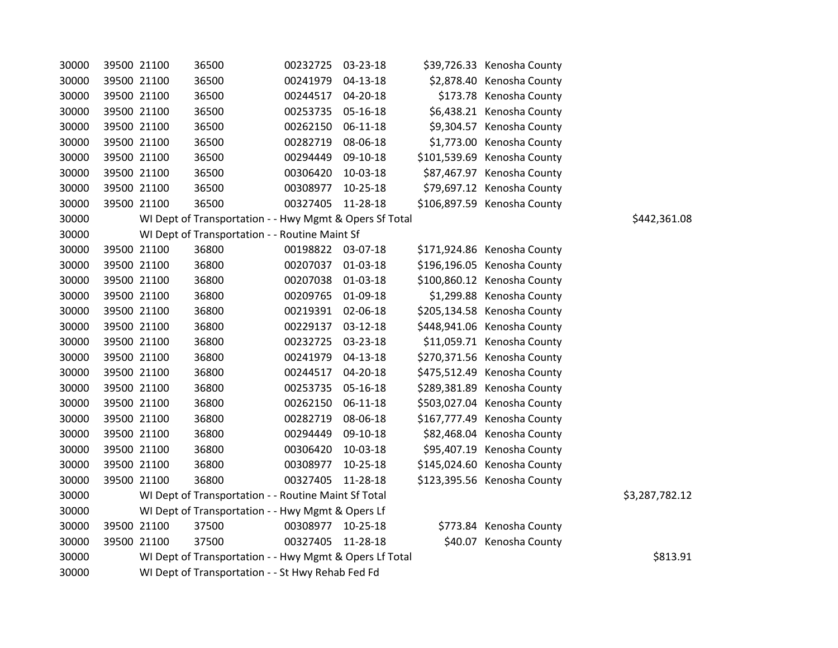| 30000 | 39500 21100 |                                                         | 36500                                                   | 00232725          | 03-23-18   | \$39,726.33 Kenosha County  |              |
|-------|-------------|---------------------------------------------------------|---------------------------------------------------------|-------------------|------------|-----------------------------|--------------|
| 30000 | 39500 21100 |                                                         | 36500                                                   | 00241979          | 04-13-18   | \$2,878.40 Kenosha County   |              |
| 30000 | 39500 21100 |                                                         | 36500                                                   | 00244517          | 04-20-18   | \$173.78 Kenosha County     |              |
| 30000 | 39500 21100 |                                                         | 36500                                                   | 00253735 05-16-18 |            | \$6,438.21 Kenosha County   |              |
| 30000 | 39500 21100 |                                                         | 36500                                                   | 00262150 06-11-18 |            | \$9,304.57 Kenosha County   |              |
| 30000 |             | 39500 21100                                             | 36500                                                   | 00282719          | 08-06-18   | \$1,773.00 Kenosha County   |              |
| 30000 |             | 39500 21100                                             | 36500                                                   | 00294449          | 09-10-18   | \$101,539.69 Kenosha County |              |
| 30000 |             | 39500 21100                                             | 36500                                                   | 00306420          | 10-03-18   | \$87,467.97 Kenosha County  |              |
| 30000 | 39500 21100 |                                                         | 36500                                                   | 00308977          | 10-25-18   | \$79,697.12 Kenosha County  |              |
| 30000 | 39500 21100 |                                                         | 36500                                                   | 00327405          | 11-28-18   | \$106,897.59 Kenosha County |              |
| 30000 |             |                                                         | WI Dept of Transportation - - Hwy Mgmt & Opers Sf Total |                   |            |                             | \$442,361.08 |
| 30000 |             |                                                         | WI Dept of Transportation - - Routine Maint Sf          |                   |            |                             |              |
| 30000 | 39500 21100 |                                                         | 36800                                                   | 00198822 03-07-18 |            | \$171,924.86 Kenosha County |              |
| 30000 | 39500 21100 |                                                         | 36800                                                   | 00207037 01-03-18 |            | \$196,196.05 Kenosha County |              |
| 30000 | 39500 21100 |                                                         | 36800                                                   | 00207038 01-03-18 |            | \$100,860.12 Kenosha County |              |
| 30000 |             | 39500 21100                                             | 36800                                                   | 00209765          | 01-09-18   | \$1,299.88 Kenosha County   |              |
| 30000 |             | 39500 21100                                             | 36800                                                   | 00219391          | 02-06-18   | \$205,134.58 Kenosha County |              |
| 30000 | 39500 21100 |                                                         | 36800                                                   | 00229137          | 03-12-18   | \$448,941.06 Kenosha County |              |
| 30000 | 39500 21100 |                                                         | 36800                                                   | 00232725          | 03-23-18   | \$11,059.71 Kenosha County  |              |
| 30000 | 39500 21100 |                                                         | 36800                                                   | 00241979 04-13-18 |            | \$270,371.56 Kenosha County |              |
| 30000 | 39500 21100 |                                                         | 36800                                                   | 00244517          | 04-20-18   | \$475,512.49 Kenosha County |              |
| 30000 |             | 39500 21100                                             | 36800                                                   | 00253735          | 05-16-18   | \$289,381.89 Kenosha County |              |
| 30000 | 39500 21100 |                                                         | 36800                                                   | 00262150          | 06-11-18   | \$503,027.04 Kenosha County |              |
| 30000 | 39500 21100 |                                                         | 36800                                                   | 00282719          | 08-06-18   | \$167,777.49 Kenosha County |              |
| 30000 | 39500 21100 |                                                         | 36800                                                   | 00294449          | 09-10-18   | \$82,468.04 Kenosha County  |              |
| 30000 |             | 39500 21100                                             | 36800                                                   | 00306420          | 10-03-18   | \$95,407.19 Kenosha County  |              |
| 30000 |             | 39500 21100                                             | 36800                                                   | 00308977          | $10-25-18$ | \$145,024.60 Kenosha County |              |
| 30000 |             | 39500 21100                                             | 36800                                                   | 00327405          | 11-28-18   | \$123,395.56 Kenosha County |              |
| 30000 |             | WI Dept of Transportation - - Routine Maint Sf Total    | \$3,287,782.12                                          |                   |            |                             |              |
| 30000 |             |                                                         | WI Dept of Transportation - - Hwy Mgmt & Opers Lf       |                   |            |                             |              |
| 30000 |             | 39500 21100                                             | 37500                                                   | 00308977 10-25-18 |            | \$773.84 Kenosha County     |              |
| 30000 | 39500 21100 |                                                         | 37500                                                   | 00327405          | 11-28-18   | \$40.07 Kenosha County      |              |
| 30000 |             | WI Dept of Transportation - - Hwy Mgmt & Opers Lf Total | \$813.91                                                |                   |            |                             |              |
| 30000 |             | WI Dept of Transportation - - St Hwy Rehab Fed Fd       |                                                         |                   |            |                             |              |